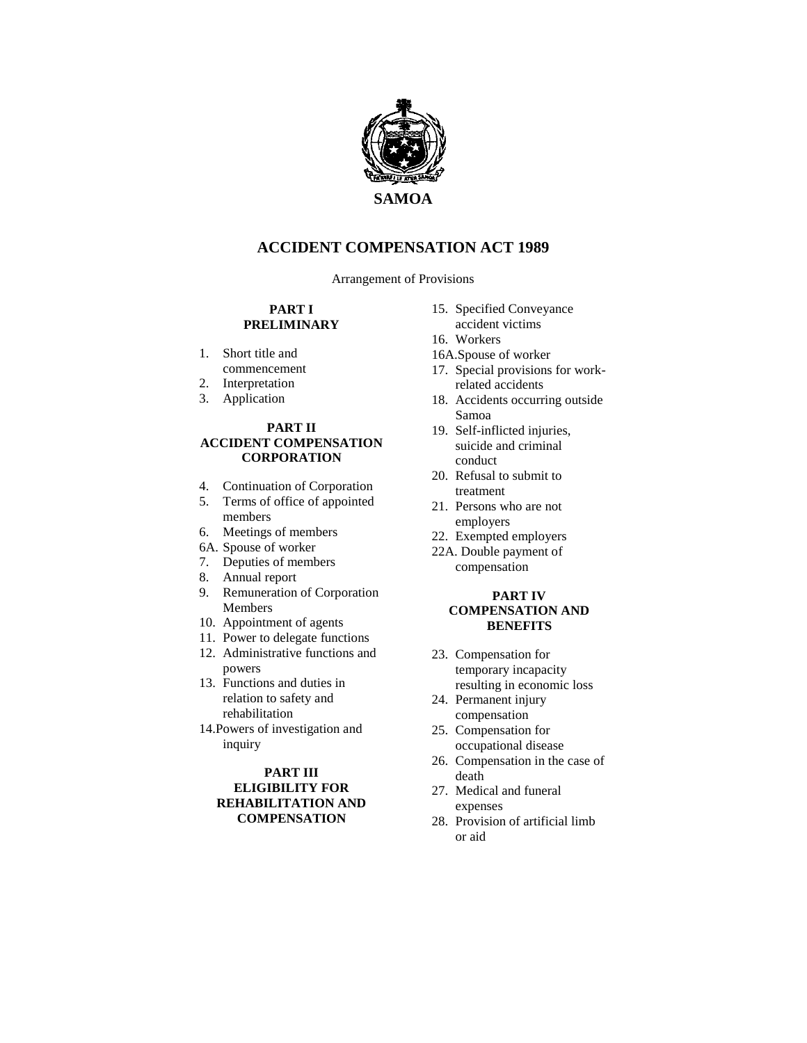

## **ACCIDENT COMPENSATION ACT 1989**

Arrangement of Provisions

#### **PART I PRELIMINARY**

- 1. Short title and commencement
- 2. Interpretation
- 3. Application

#### **PART II ACCIDENT COMPENSATION CORPORATION**

- 4. Continuation of Corporation
- 5. Terms of office of appointed members
- 6. Meetings of members
- 6A. Spouse of worker
- 7. Deputies of members
- 8. Annual report
- 9. Remuneration of Corporation Members
- 10. Appointment of agents
- 11. Power to delegate functions
- 12. Administrative functions and powers
- 13. Functions and duties in relation to safety and rehabilitation
- 14.Powers of investigation and inquiry

### **PART III ELIGIBILITY FOR REHABILITATION AND COMPENSATION**

- 15. Specified Conveyance accident victims
- 
- 16. Workers
- 16A.Spouse of worker
- 17. Special provisions for workrelated accidents
- 18. Accidents occurring outside Samoa
- 19. Self-inflicted injuries, suicide and criminal conduct
- 20. Refusal to submit to treatment
- 21. Persons who are not employers
- 22. Exempted employers
- 22A. Double payment of compensation

#### **PART IV COMPENSATION AND BENEFITS**

- 23. Compensation for temporary incapacity resulting in economic loss
- 24. Permanent injury compensation
- 25. Compensation for occupational disease
- 26. Compensation in the case of death
- 27. Medical and funeral expenses
- 28. Provision of artificial limb or aid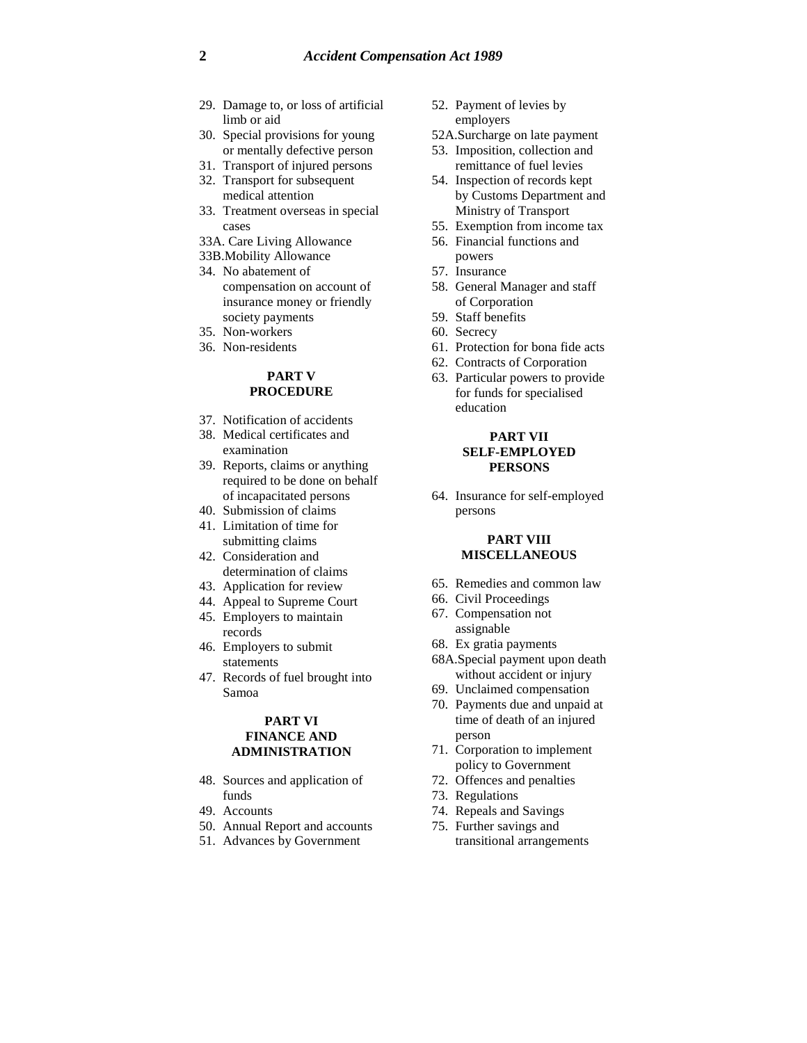- 29. Damage to, or loss of artificial limb or aid
- 30. Special provisions for young or mentally defective person
- 31. Transport of injured persons
- 32. Transport for subsequent medical attention
- 33. Treatment overseas in special cases
- 33A. Care Living Allowance
- 33B.Mobility Allowance 34. No abatement of compensation on account of insurance money or friendly society payments
- 35. Non-workers
- 36. Non-residents

### **PART V PROCEDURE**

- 37. Notification of accidents
- 38. Medical certificates and examination
- 39. Reports, claims or anything required to be done on behalf of incapacitated persons
- 40. Submission of claims
- 41. Limitation of time for submitting claims
- 42. Consideration and determination of claims
- 43. Application for review
- 44. Appeal to Supreme Court
- 45. Employers to maintain records
- 46. Employers to submit statements
- 47. Records of fuel brought into Samoa

### **PART VI FINANCE AND ADMINISTRATION**

- 48. Sources and application of funds
- 49. Accounts
- 50. Annual Report and accounts
- 51. Advances by Government
- 52. Payment of levies by employers
- 52A.Surcharge on late payment
- 53. Imposition, collection and remittance of fuel levies
- 54. Inspection of records kept by Customs Department and Ministry of Transport
- 55. Exemption from income tax
- 56. Financial functions and powers
- 57. Insurance
- 58. General Manager and staff of Corporation
- 59. Staff benefits
- 60. Secrecy
- 61. Protection for bona fide acts
- 62. Contracts of Corporation
- 63. Particular powers to provide for funds for specialised education

#### **PART VII SELF-EMPLOYED PERSONS**

64. Insurance for self-employed persons

#### **PART VIII MISCELLANEOUS**

- 65. Remedies and common law
- 66. Civil Proceedings
- 67. Compensation not assignable
- 68. Ex gratia payments
- 68A.Special payment upon death without accident or injury
- 69. Unclaimed compensation
- 70. Payments due and unpaid at time of death of an injured person
- 71. Corporation to implement policy to Government
- 72. Offences and penalties
- 73. Regulations
- 74. Repeals and Savings
- 75. Further savings and transitional arrangements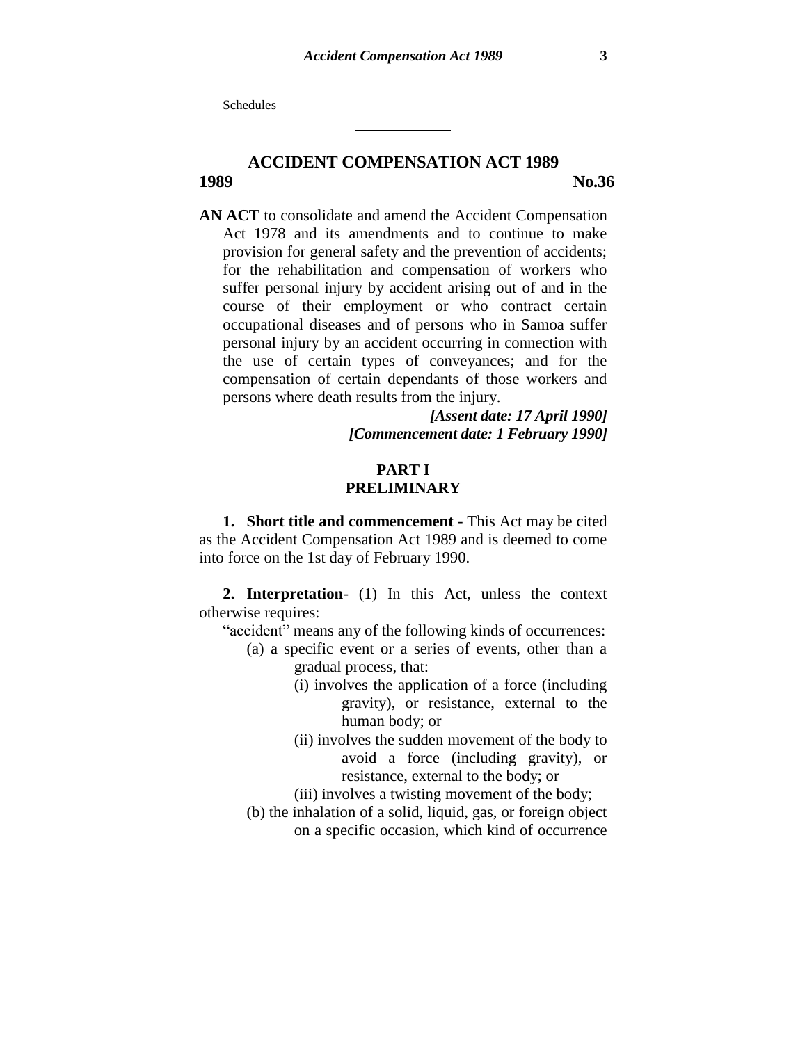**Schedules** 

# **ACCIDENT COMPENSATION ACT 1989 1989 No.36**

**AN ACT** to consolidate and amend the Accident Compensation Act 1978 and its amendments and to continue to make provision for general safety and the prevention of accidents; for the rehabilitation and compensation of workers who suffer personal injury by accident arising out of and in the course of their employment or who contract certain occupational diseases and of persons who in Samoa suffer personal injury by an accident occurring in connection with the use of certain types of conveyances; and for the compensation of certain dependants of those workers and persons where death results from the injury.

> *[Assent date: 17 April 1990] [Commencement date: 1 February 1990]*

## **PART I PRELIMINARY**

**1. Short title and commencement** - This Act may be cited as the Accident Compensation Act 1989 and is deemed to come into force on the 1st day of February 1990.

**2. Interpretation**- (1) In this Act, unless the context otherwise requires:

- "accident" means any of the following kinds of occurrences:
	- (a) a specific event or a series of events, other than a gradual process, that:
		- (i) involves the application of a force (including gravity), or resistance, external to the human body; or
		- (ii) involves the sudden movement of the body to avoid a force (including gravity), or resistance, external to the body; or
		- (iii) involves a twisting movement of the body;
	- (b) the inhalation of a solid, liquid, gas, or foreign object on a specific occasion, which kind of occurrence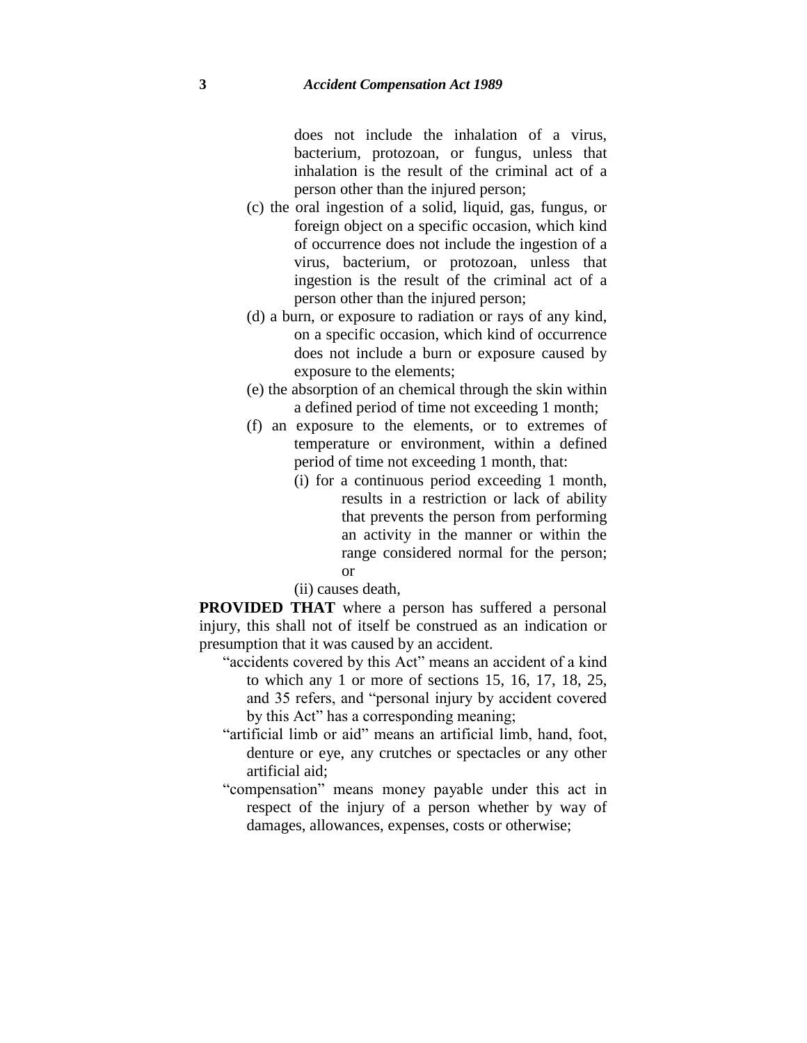does not include the inhalation of a virus, bacterium, protozoan, or fungus, unless that inhalation is the result of the criminal act of a person other than the injured person;

- (c) the oral ingestion of a solid, liquid, gas, fungus, or foreign object on a specific occasion, which kind of occurrence does not include the ingestion of a virus, bacterium, or protozoan, unless that ingestion is the result of the criminal act of a person other than the injured person;
- (d) a burn, or exposure to radiation or rays of any kind, on a specific occasion, which kind of occurrence does not include a burn or exposure caused by exposure to the elements;
- (e) the absorption of an chemical through the skin within a defined period of time not exceeding 1 month;
- (f) an exposure to the elements, or to extremes of temperature or environment, within a defined period of time not exceeding 1 month, that:
	- (i) for a continuous period exceeding 1 month, results in a restriction or lack of ability that prevents the person from performing an activity in the manner or within the range considered normal for the person; or

(ii) causes death,

**PROVIDED THAT** where a person has suffered a personal injury, this shall not of itself be construed as an indication or presumption that it was caused by an accident.

- "accidents covered by this Act" means an accident of a kind to which any 1 or more of sections 15, 16, 17, 18, 25, and 35 refers, and "personal injury by accident covered by this Act" has a corresponding meaning;
- "artificial limb or aid" means an artificial limb, hand, foot, denture or eye, any crutches or spectacles or any other artificial aid;
- "compensation" means money payable under this act in respect of the injury of a person whether by way of damages, allowances, expenses, costs or otherwise;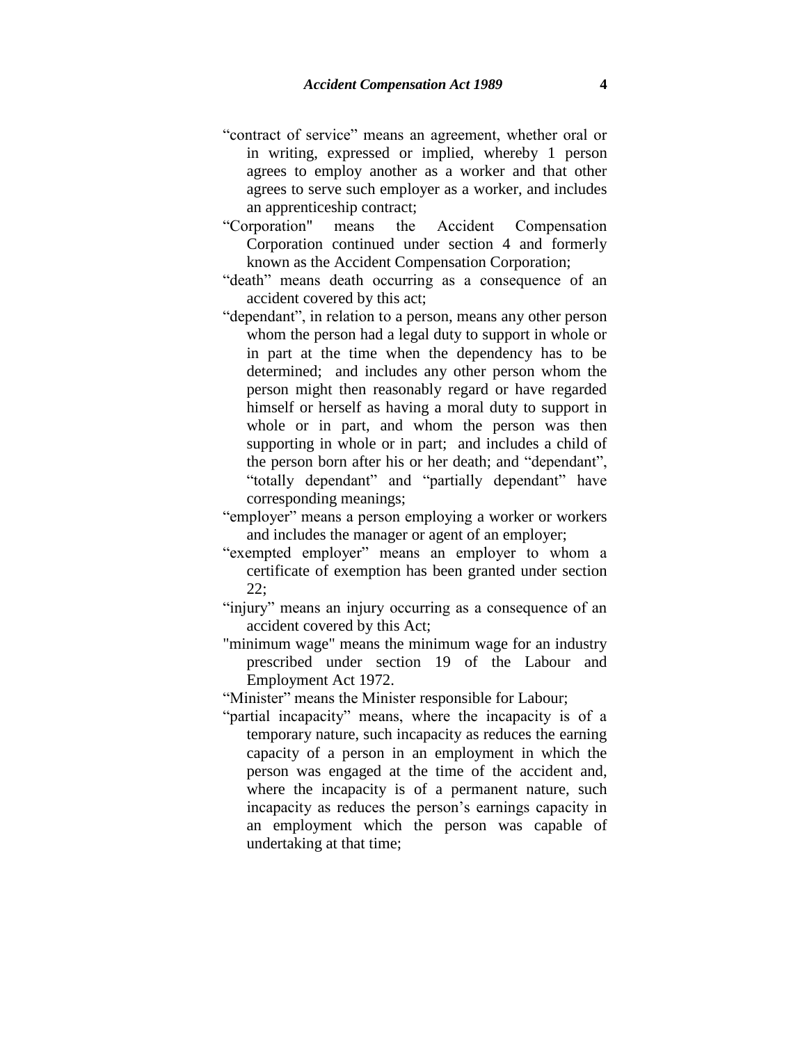- "contract of service" means an agreement, whether oral or in writing, expressed or implied, whereby 1 person agrees to employ another as a worker and that other agrees to serve such employer as a worker, and includes an apprenticeship contract;
- "Corporation" means the Accident Compensation Corporation continued under section 4 and formerly known as the Accident Compensation Corporation;
- "death" means death occurring as a consequence of an accident covered by this act;
- "dependant", in relation to a person, means any other person whom the person had a legal duty to support in whole or in part at the time when the dependency has to be determined; and includes any other person whom the person might then reasonably regard or have regarded himself or herself as having a moral duty to support in whole or in part, and whom the person was then supporting in whole or in part; and includes a child of the person born after his or her death; and "dependant", "totally dependant" and "partially dependant" have corresponding meanings;
- "employer" means a person employing a worker or workers and includes the manager or agent of an employer;
- "exempted employer" means an employer to whom a certificate of exemption has been granted under section 22;
- "injury" means an injury occurring as a consequence of an accident covered by this Act;
- "minimum wage" means the minimum wage for an industry prescribed under section 19 of the Labour and Employment Act 1972.
- "Minister" means the Minister responsible for Labour;
- "partial incapacity" means, where the incapacity is of a temporary nature, such incapacity as reduces the earning capacity of a person in an employment in which the person was engaged at the time of the accident and, where the incapacity is of a permanent nature, such incapacity as reduces the person's earnings capacity in an employment which the person was capable of undertaking at that time;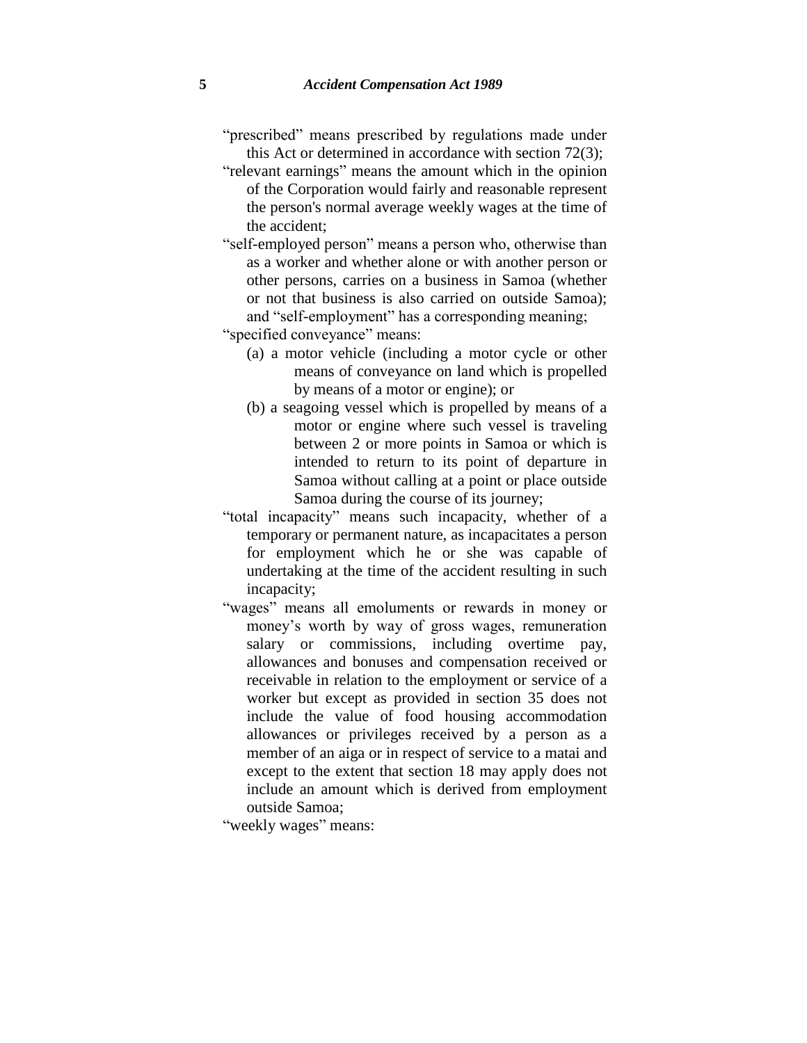- "prescribed" means prescribed by regulations made under this Act or determined in accordance with section 72(3);
- "relevant earnings" means the amount which in the opinion of the Corporation would fairly and reasonable represent the person's normal average weekly wages at the time of the accident;
- "self-employed person" means a person who, otherwise than as a worker and whether alone or with another person or other persons, carries on a business in Samoa (whether or not that business is also carried on outside Samoa); and "self-employment" has a corresponding meaning;
- "specified conveyance" means:
	- (a) a motor vehicle (including a motor cycle or other means of conveyance on land which is propelled by means of a motor or engine); or
	- (b) a seagoing vessel which is propelled by means of a motor or engine where such vessel is traveling between 2 or more points in Samoa or which is intended to return to its point of departure in Samoa without calling at a point or place outside Samoa during the course of its journey;
- "total incapacity" means such incapacity, whether of a temporary or permanent nature, as incapacitates a person for employment which he or she was capable of undertaking at the time of the accident resulting in such incapacity;
- "wages" means all emoluments or rewards in money or money's worth by way of gross wages, remuneration salary or commissions, including overtime pay, allowances and bonuses and compensation received or receivable in relation to the employment or service of a worker but except as provided in section 35 does not include the value of food housing accommodation allowances or privileges received by a person as a member of an aiga or in respect of service to a matai and except to the extent that section 18 may apply does not include an amount which is derived from employment outside Samoa;

"weekly wages" means: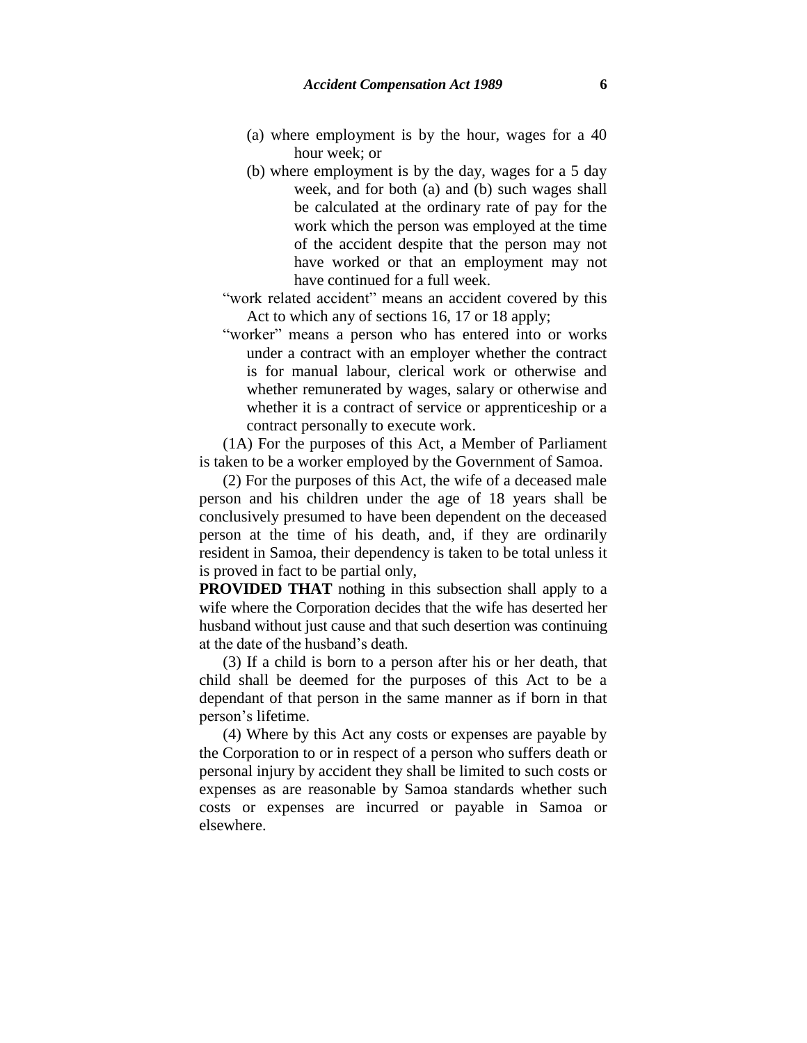- (a) where employment is by the hour, wages for a 40 hour week; or
- (b) where employment is by the day, wages for a 5 day week, and for both (a) and (b) such wages shall be calculated at the ordinary rate of pay for the work which the person was employed at the time of the accident despite that the person may not have worked or that an employment may not have continued for a full week.

"work related accident" means an accident covered by this Act to which any of sections 16, 17 or 18 apply;

"worker" means a person who has entered into or works under a contract with an employer whether the contract is for manual labour, clerical work or otherwise and whether remunerated by wages, salary or otherwise and whether it is a contract of service or apprenticeship or a contract personally to execute work.

(1A) For the purposes of this Act, a Member of Parliament is taken to be a worker employed by the Government of Samoa.

(2) For the purposes of this Act, the wife of a deceased male person and his children under the age of 18 years shall be conclusively presumed to have been dependent on the deceased person at the time of his death, and, if they are ordinarily resident in Samoa, their dependency is taken to be total unless it is proved in fact to be partial only,

**PROVIDED THAT** nothing in this subsection shall apply to a wife where the Corporation decides that the wife has deserted her husband without just cause and that such desertion was continuing at the date of the husband's death.

(3) If a child is born to a person after his or her death, that child shall be deemed for the purposes of this Act to be a dependant of that person in the same manner as if born in that person's lifetime.

(4) Where by this Act any costs or expenses are payable by the Corporation to or in respect of a person who suffers death or personal injury by accident they shall be limited to such costs or expenses as are reasonable by Samoa standards whether such costs or expenses are incurred or payable in Samoa or elsewhere.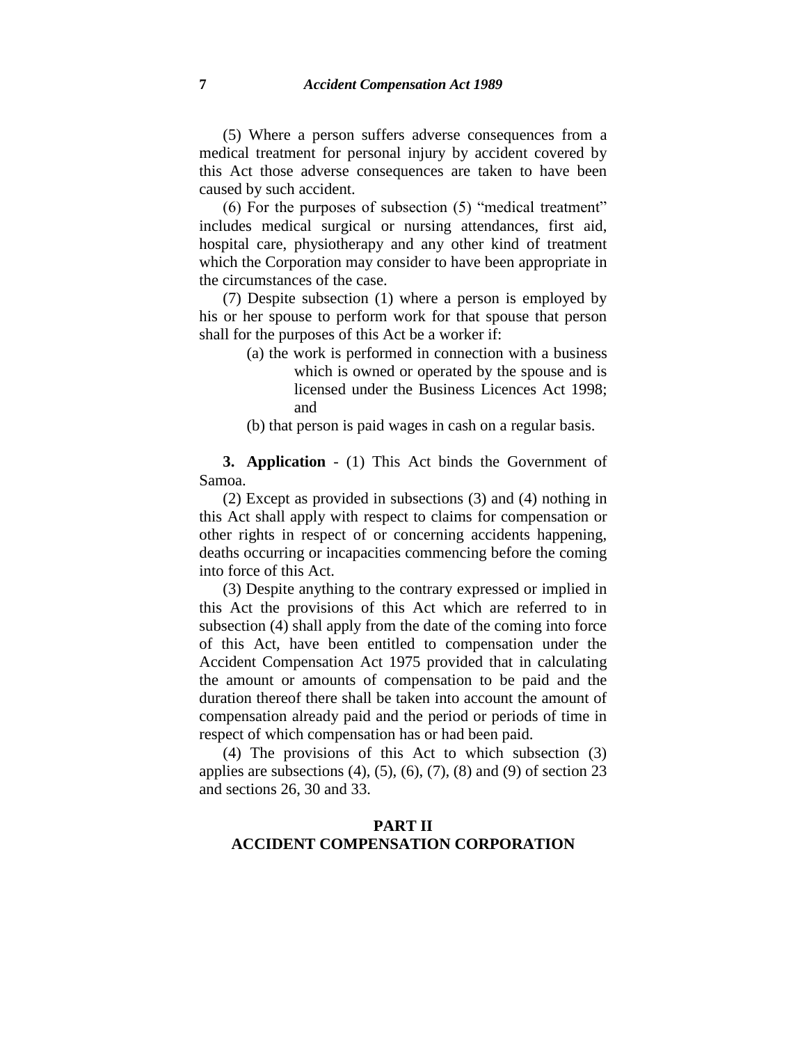(5) Where a person suffers adverse consequences from a medical treatment for personal injury by accident covered by this Act those adverse consequences are taken to have been caused by such accident.

(6) For the purposes of subsection (5) "medical treatment" includes medical surgical or nursing attendances, first aid, hospital care, physiotherapy and any other kind of treatment which the Corporation may consider to have been appropriate in the circumstances of the case.

(7) Despite subsection (1) where a person is employed by his or her spouse to perform work for that spouse that person shall for the purposes of this Act be a worker if:

> (a) the work is performed in connection with a business which is owned or operated by the spouse and is licensed under the Business Licences Act 1998; and

(b) that person is paid wages in cash on a regular basis.

**3. Application** - (1) This Act binds the Government of Samoa.

(2) Except as provided in subsections (3) and (4) nothing in this Act shall apply with respect to claims for compensation or other rights in respect of or concerning accidents happening, deaths occurring or incapacities commencing before the coming into force of this Act.

(3) Despite anything to the contrary expressed or implied in this Act the provisions of this Act which are referred to in subsection (4) shall apply from the date of the coming into force of this Act, have been entitled to compensation under the Accident Compensation Act 1975 provided that in calculating the amount or amounts of compensation to be paid and the duration thereof there shall be taken into account the amount of compensation already paid and the period or periods of time in respect of which compensation has or had been paid.

(4) The provisions of this Act to which subsection (3) applies are subsections  $(4)$ ,  $(5)$ ,  $(6)$ ,  $(7)$ ,  $(8)$  and  $(9)$  of section 23 and sections 26, 30 and 33.

## **PART II ACCIDENT COMPENSATION CORPORATION**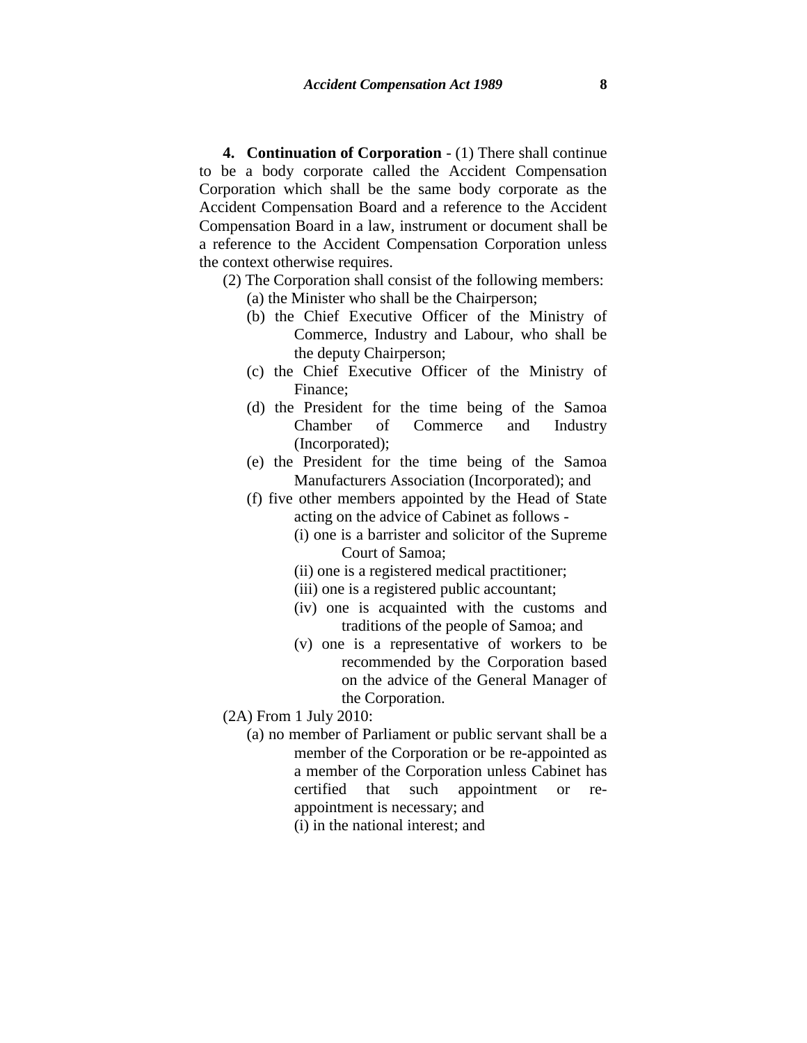**4. Continuation of Corporation** - (1) There shall continue to be a body corporate called the Accident Compensation Corporation which shall be the same body corporate as the Accident Compensation Board and a reference to the Accident Compensation Board in a law, instrument or document shall be a reference to the Accident Compensation Corporation unless the context otherwise requires.

- (2) The Corporation shall consist of the following members: (a) the Minister who shall be the Chairperson;
	- (b) the Chief Executive Officer of the Ministry of Commerce, Industry and Labour, who shall be the deputy Chairperson;
	- (c) the Chief Executive Officer of the Ministry of Finance;
	- (d) the President for the time being of the Samoa Chamber of Commerce and Industry (Incorporated);
	- (e) the President for the time being of the Samoa Manufacturers Association (Incorporated); and
	- (f) five other members appointed by the Head of State acting on the advice of Cabinet as follows -
		- (i) one is a barrister and solicitor of the Supreme Court of Samoa;
		- (ii) one is a registered medical practitioner;
		- (iii) one is a registered public accountant;
		- (iv) one is acquainted with the customs and traditions of the people of Samoa; and
		- (v) one is a representative of workers to be recommended by the Corporation based on the advice of the General Manager of the Corporation.
- (2A) From 1 July 2010:
	- (a) no member of Parliament or public servant shall be a member of the Corporation or be re-appointed as a member of the Corporation unless Cabinet has certified that such appointment or reappointment is necessary; and (i) in the national interest; and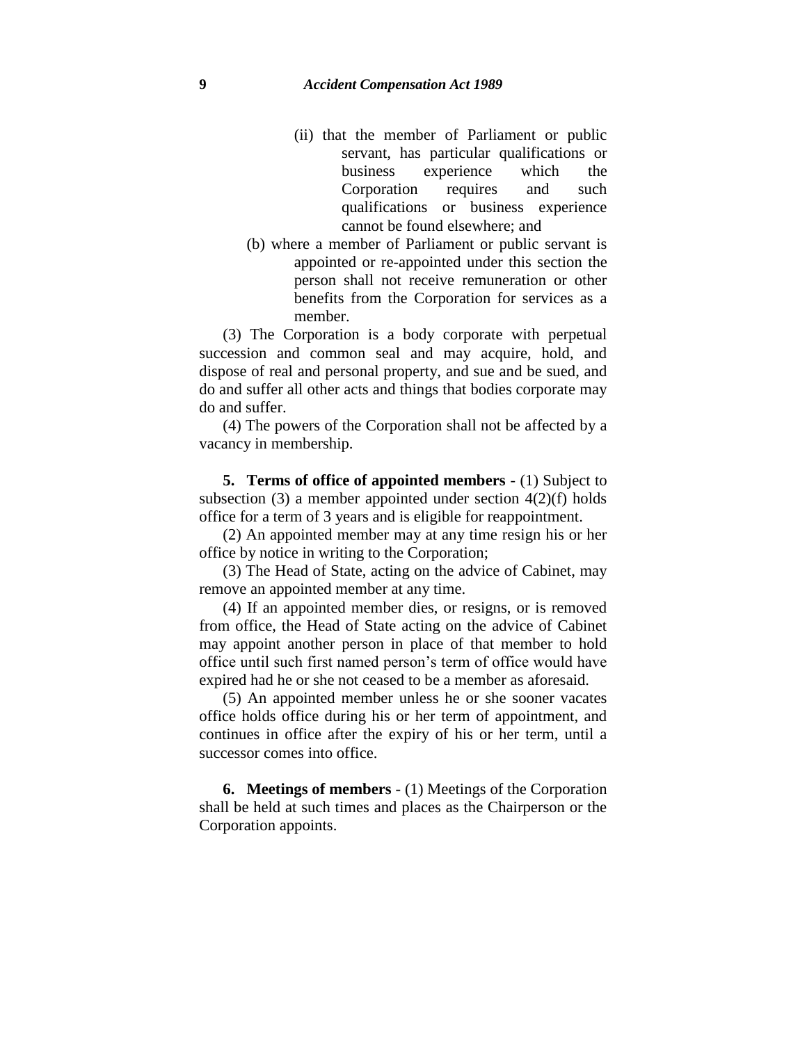- (ii) that the member of Parliament or public servant, has particular qualifications or business experience which the Corporation requires and such qualifications or business experience cannot be found elsewhere; and
- (b) where a member of Parliament or public servant is appointed or re-appointed under this section the person shall not receive remuneration or other benefits from the Corporation for services as a member.

(3) The Corporation is a body corporate with perpetual succession and common seal and may acquire, hold, and dispose of real and personal property, and sue and be sued, and do and suffer all other acts and things that bodies corporate may do and suffer.

(4) The powers of the Corporation shall not be affected by a vacancy in membership.

**5. Terms of office of appointed members** - (1) Subject to subsection (3) a member appointed under section  $4(2)(f)$  holds office for a term of 3 years and is eligible for reappointment.

(2) An appointed member may at any time resign his or her office by notice in writing to the Corporation;

(3) The Head of State, acting on the advice of Cabinet, may remove an appointed member at any time.

(4) If an appointed member dies, or resigns, or is removed from office, the Head of State acting on the advice of Cabinet may appoint another person in place of that member to hold office until such first named person's term of office would have expired had he or she not ceased to be a member as aforesaid.

(5) An appointed member unless he or she sooner vacates office holds office during his or her term of appointment, and continues in office after the expiry of his or her term, until a successor comes into office.

**6. Meetings of members** - (1) Meetings of the Corporation shall be held at such times and places as the Chairperson or the Corporation appoints.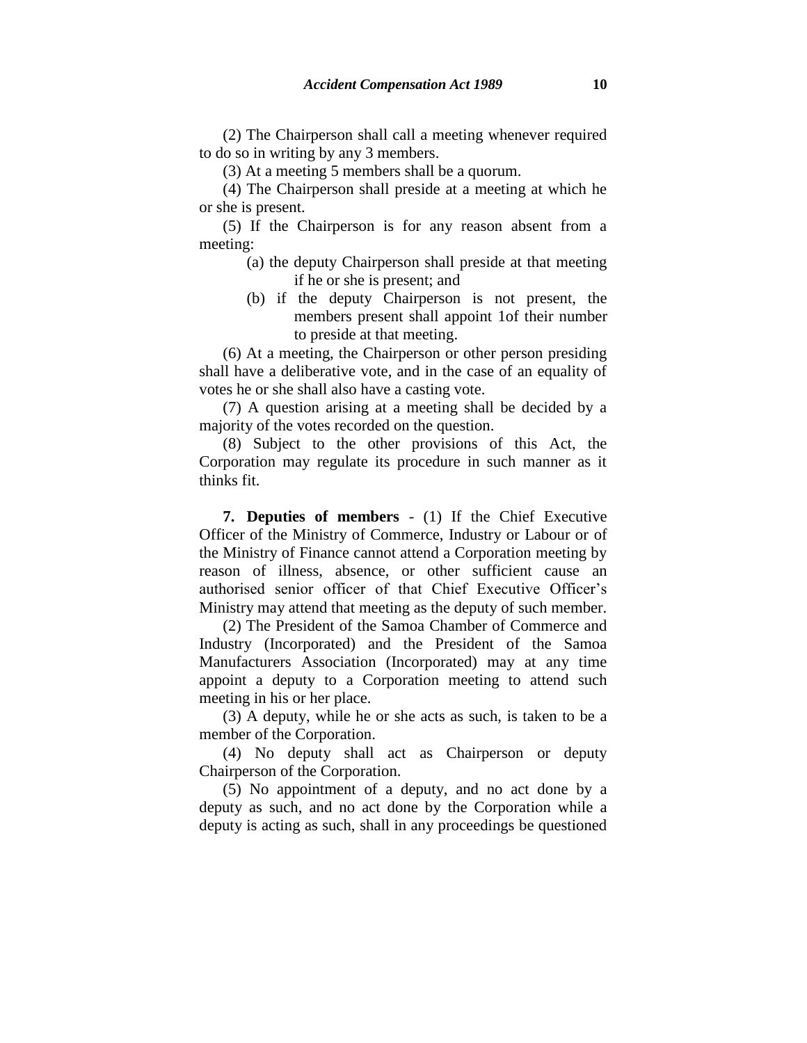(2) The Chairperson shall call a meeting whenever required to do so in writing by any 3 members.

(3) At a meeting 5 members shall be a quorum.

(4) The Chairperson shall preside at a meeting at which he or she is present.

(5) If the Chairperson is for any reason absent from a meeting:

- (a) the deputy Chairperson shall preside at that meeting if he or she is present; and
- (b) if the deputy Chairperson is not present, the members present shall appoint 1of their number to preside at that meeting.

(6) At a meeting, the Chairperson or other person presiding shall have a deliberative vote, and in the case of an equality of votes he or she shall also have a casting vote.

(7) A question arising at a meeting shall be decided by a majority of the votes recorded on the question.

(8) Subject to the other provisions of this Act, the Corporation may regulate its procedure in such manner as it thinks fit.

**7. Deputies of members** - (1) If the Chief Executive Officer of the Ministry of Commerce, Industry or Labour or of the Ministry of Finance cannot attend a Corporation meeting by reason of illness, absence, or other sufficient cause an authorised senior officer of that Chief Executive Officer's Ministry may attend that meeting as the deputy of such member.

(2) The President of the Samoa Chamber of Commerce and Industry (Incorporated) and the President of the Samoa Manufacturers Association (Incorporated) may at any time appoint a deputy to a Corporation meeting to attend such meeting in his or her place.

(3) A deputy, while he or she acts as such, is taken to be a member of the Corporation.

(4) No deputy shall act as Chairperson or deputy Chairperson of the Corporation.

(5) No appointment of a deputy, and no act done by a deputy as such, and no act done by the Corporation while a deputy is acting as such, shall in any proceedings be questioned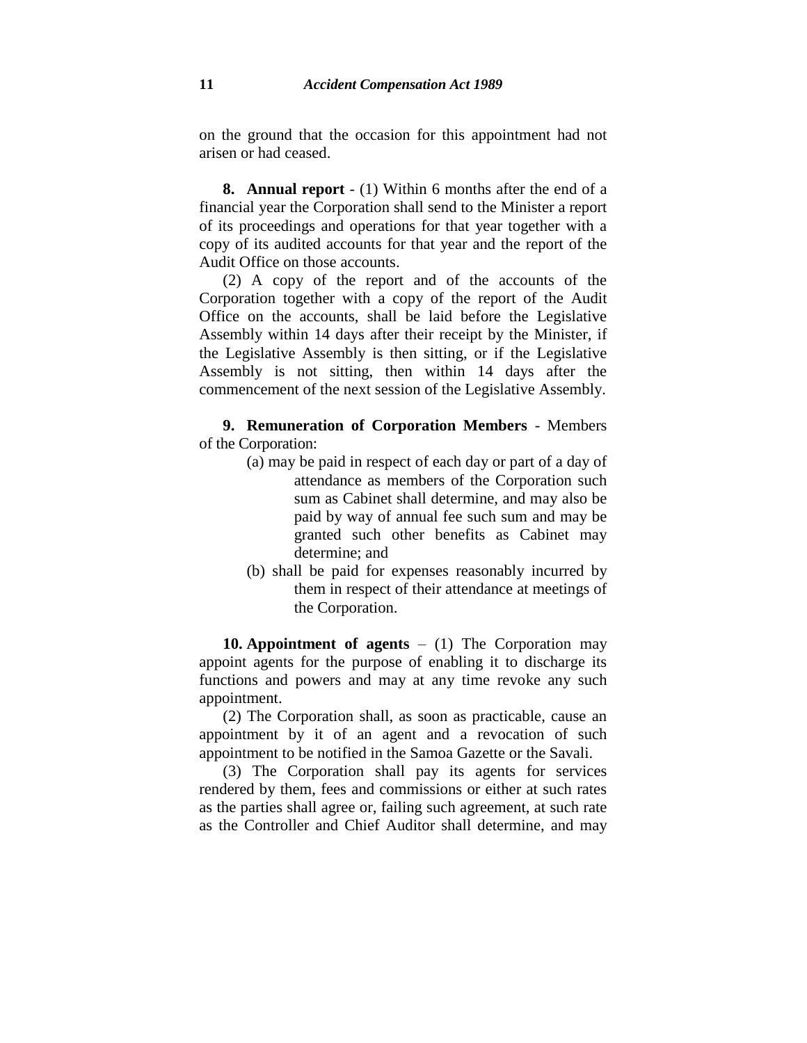on the ground that the occasion for this appointment had not arisen or had ceased.

**8. Annual report** - (1) Within 6 months after the end of a financial year the Corporation shall send to the Minister a report of its proceedings and operations for that year together with a copy of its audited accounts for that year and the report of the Audit Office on those accounts.

(2) A copy of the report and of the accounts of the Corporation together with a copy of the report of the Audit Office on the accounts, shall be laid before the Legislative Assembly within 14 days after their receipt by the Minister, if the Legislative Assembly is then sitting, or if the Legislative Assembly is not sitting, then within 14 days after the commencement of the next session of the Legislative Assembly.

**9. Remuneration of Corporation Members** - Members of the Corporation:

- (a) may be paid in respect of each day or part of a day of attendance as members of the Corporation such sum as Cabinet shall determine, and may also be paid by way of annual fee such sum and may be granted such other benefits as Cabinet may determine; and
- (b) shall be paid for expenses reasonably incurred by them in respect of their attendance at meetings of the Corporation.

**10. Appointment of agents** – (1) The Corporation may appoint agents for the purpose of enabling it to discharge its functions and powers and may at any time revoke any such appointment.

(2) The Corporation shall, as soon as practicable, cause an appointment by it of an agent and a revocation of such appointment to be notified in the Samoa Gazette or the Savali.

(3) The Corporation shall pay its agents for services rendered by them, fees and commissions or either at such rates as the parties shall agree or, failing such agreement, at such rate as the Controller and Chief Auditor shall determine, and may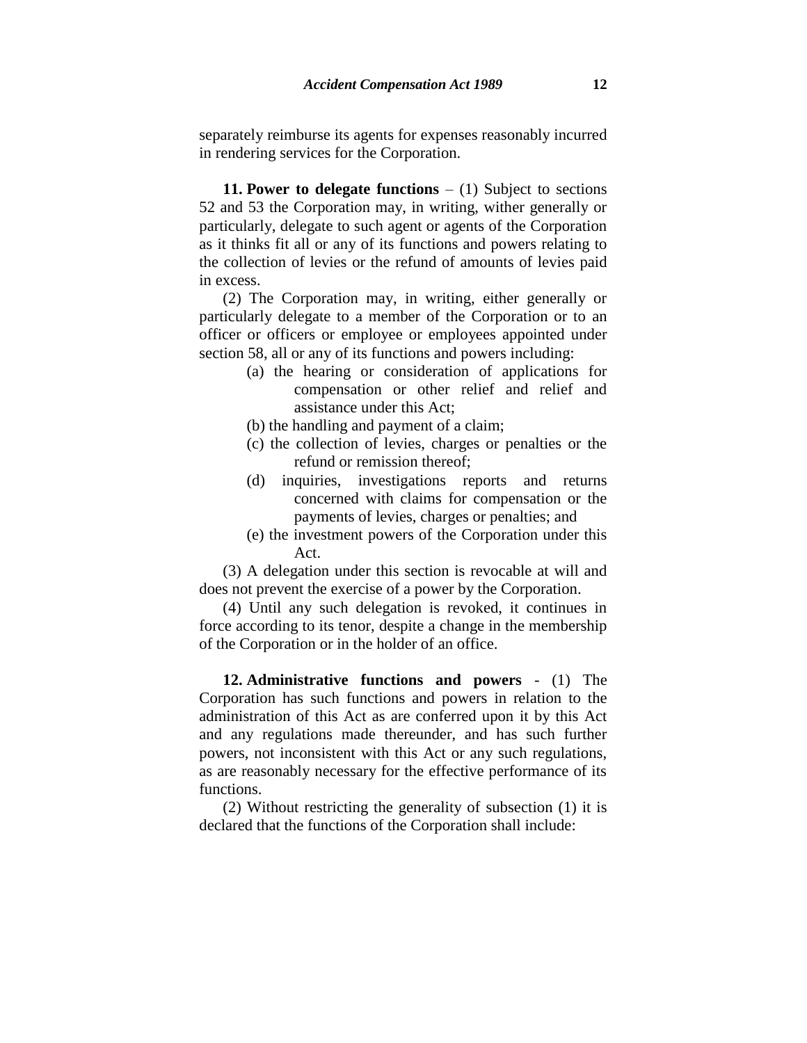separately reimburse its agents for expenses reasonably incurred in rendering services for the Corporation.

**11. Power to delegate functions** – (1) Subject to sections 52 and 53 the Corporation may, in writing, wither generally or particularly, delegate to such agent or agents of the Corporation as it thinks fit all or any of its functions and powers relating to the collection of levies or the refund of amounts of levies paid in excess.

(2) The Corporation may, in writing, either generally or particularly delegate to a member of the Corporation or to an officer or officers or employee or employees appointed under section 58, all or any of its functions and powers including:

- (a) the hearing or consideration of applications for compensation or other relief and relief and assistance under this Act;
- (b) the handling and payment of a claim;
- (c) the collection of levies, charges or penalties or the refund or remission thereof;
- (d) inquiries, investigations reports and returns concerned with claims for compensation or the payments of levies, charges or penalties; and
- (e) the investment powers of the Corporation under this Act.

(3) A delegation under this section is revocable at will and does not prevent the exercise of a power by the Corporation.

(4) Until any such delegation is revoked, it continues in force according to its tenor, despite a change in the membership of the Corporation or in the holder of an office.

**12. Administrative functions and powers** - (1) The Corporation has such functions and powers in relation to the administration of this Act as are conferred upon it by this Act and any regulations made thereunder, and has such further powers, not inconsistent with this Act or any such regulations, as are reasonably necessary for the effective performance of its functions.

(2) Without restricting the generality of subsection (1) it is declared that the functions of the Corporation shall include: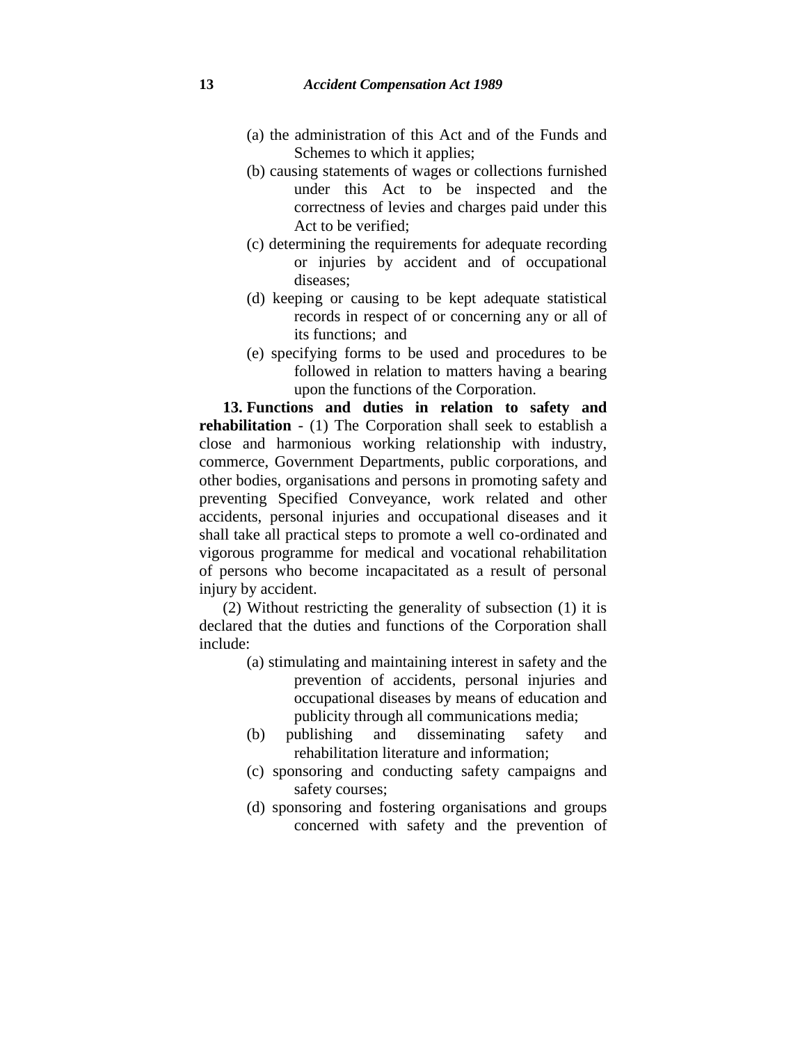- (a) the administration of this Act and of the Funds and Schemes to which it applies;
- (b) causing statements of wages or collections furnished under this Act to be inspected and the correctness of levies and charges paid under this Act to be verified;
- (c) determining the requirements for adequate recording or injuries by accident and of occupational diseases;
- (d) keeping or causing to be kept adequate statistical records in respect of or concerning any or all of its functions; and
- (e) specifying forms to be used and procedures to be followed in relation to matters having a bearing upon the functions of the Corporation.

**13. Functions and duties in relation to safety and rehabilitation** - (1) The Corporation shall seek to establish a close and harmonious working relationship with industry, commerce, Government Departments, public corporations, and other bodies, organisations and persons in promoting safety and preventing Specified Conveyance, work related and other accidents, personal injuries and occupational diseases and it shall take all practical steps to promote a well co-ordinated and vigorous programme for medical and vocational rehabilitation of persons who become incapacitated as a result of personal injury by accident.

(2) Without restricting the generality of subsection (1) it is declared that the duties and functions of the Corporation shall include:

- (a) stimulating and maintaining interest in safety and the prevention of accidents, personal injuries and occupational diseases by means of education and publicity through all communications media;
- (b) publishing and disseminating safety and rehabilitation literature and information;
- (c) sponsoring and conducting safety campaigns and safety courses;
- (d) sponsoring and fostering organisations and groups concerned with safety and the prevention of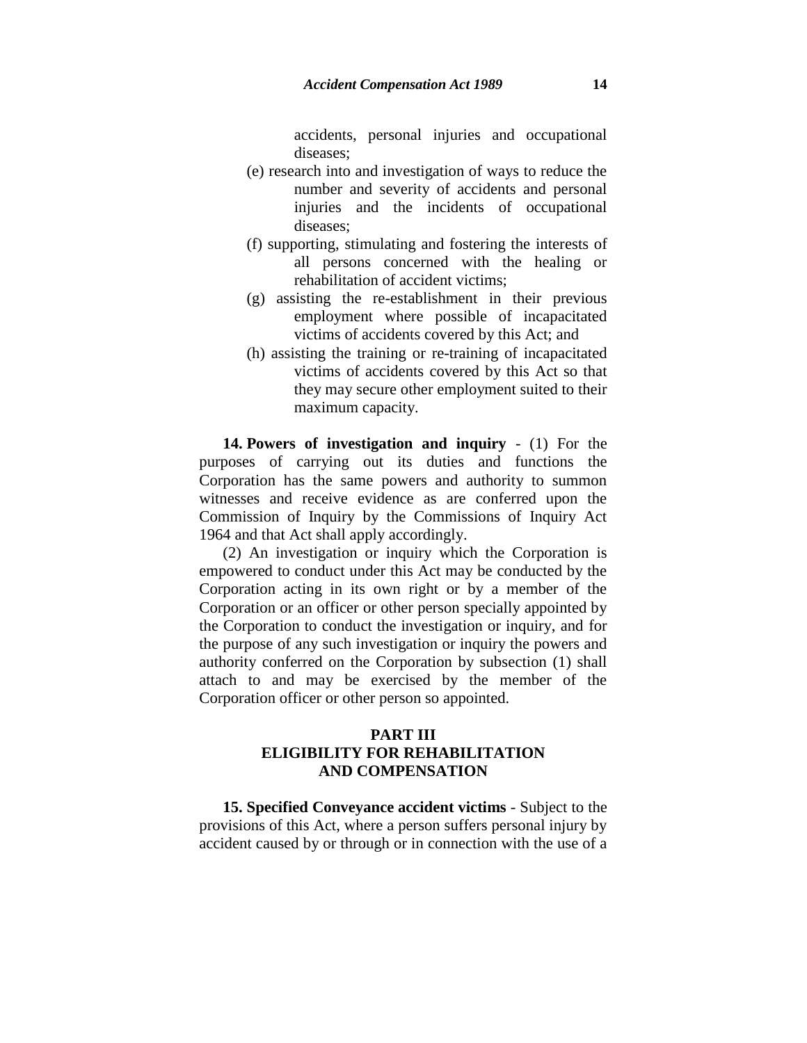accidents, personal injuries and occupational diseases;

- (e) research into and investigation of ways to reduce the number and severity of accidents and personal injuries and the incidents of occupational diseases;
- (f) supporting, stimulating and fostering the interests of all persons concerned with the healing or rehabilitation of accident victims;
- (g) assisting the re-establishment in their previous employment where possible of incapacitated victims of accidents covered by this Act; and
- (h) assisting the training or re-training of incapacitated victims of accidents covered by this Act so that they may secure other employment suited to their maximum capacity.

**14. Powers of investigation and inquiry** - (1) For the purposes of carrying out its duties and functions the Corporation has the same powers and authority to summon witnesses and receive evidence as are conferred upon the Commission of Inquiry by the Commissions of Inquiry Act 1964 and that Act shall apply accordingly.

(2) An investigation or inquiry which the Corporation is empowered to conduct under this Act may be conducted by the Corporation acting in its own right or by a member of the Corporation or an officer or other person specially appointed by the Corporation to conduct the investigation or inquiry, and for the purpose of any such investigation or inquiry the powers and authority conferred on the Corporation by subsection (1) shall attach to and may be exercised by the member of the Corporation officer or other person so appointed.

## **PART III ELIGIBILITY FOR REHABILITATION AND COMPENSATION**

**15. Specified Conveyance accident victims** - Subject to the provisions of this Act, where a person suffers personal injury by accident caused by or through or in connection with the use of a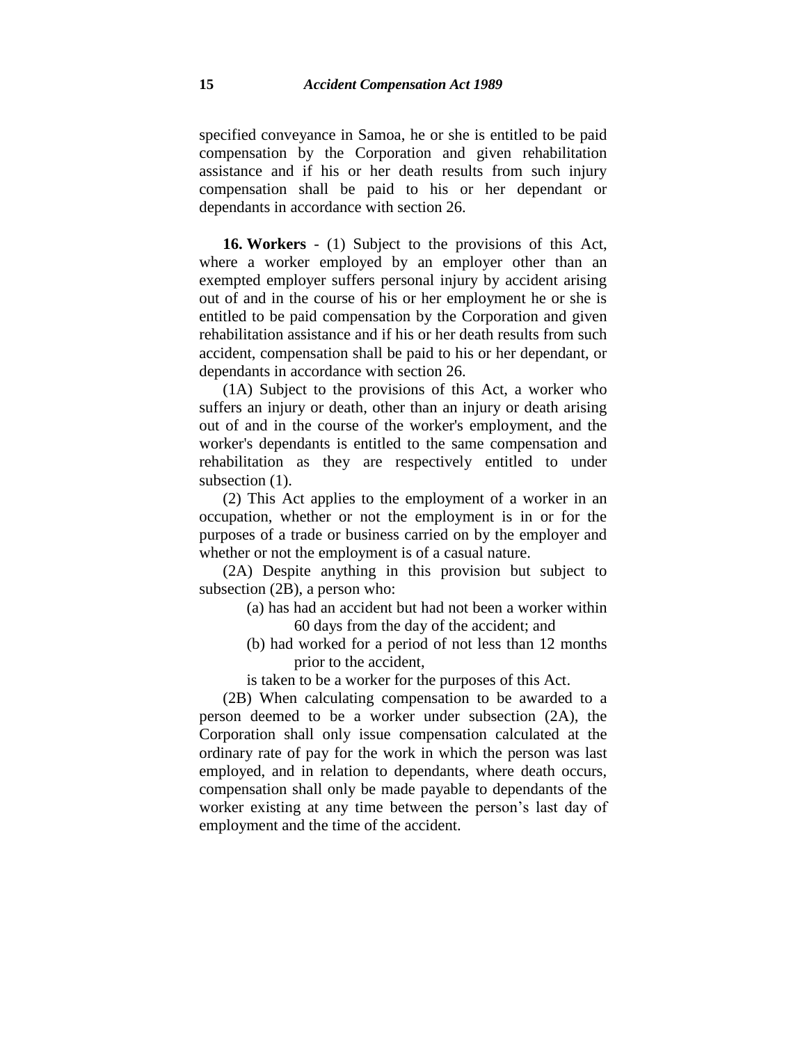specified conveyance in Samoa, he or she is entitled to be paid compensation by the Corporation and given rehabilitation assistance and if his or her death results from such injury compensation shall be paid to his or her dependant or dependants in accordance with section 26.

**16. Workers** - (1) Subject to the provisions of this Act, where a worker employed by an employer other than an exempted employer suffers personal injury by accident arising out of and in the course of his or her employment he or she is entitled to be paid compensation by the Corporation and given rehabilitation assistance and if his or her death results from such accident, compensation shall be paid to his or her dependant, or dependants in accordance with section 26.

(1A) Subject to the provisions of this Act, a worker who suffers an injury or death, other than an injury or death arising out of and in the course of the worker's employment, and the worker's dependants is entitled to the same compensation and rehabilitation as they are respectively entitled to under subsection  $(1)$ .

(2) This Act applies to the employment of a worker in an occupation, whether or not the employment is in or for the purposes of a trade or business carried on by the employer and whether or not the employment is of a casual nature.

(2A) Despite anything in this provision but subject to subsection (2B), a person who:

- (a) has had an accident but had not been a worker within 60 days from the day of the accident; and
- (b) had worked for a period of not less than 12 months prior to the accident,

is taken to be a worker for the purposes of this Act.

(2B) When calculating compensation to be awarded to a person deemed to be a worker under subsection (2A), the Corporation shall only issue compensation calculated at the ordinary rate of pay for the work in which the person was last employed, and in relation to dependants, where death occurs, compensation shall only be made payable to dependants of the worker existing at any time between the person's last day of employment and the time of the accident.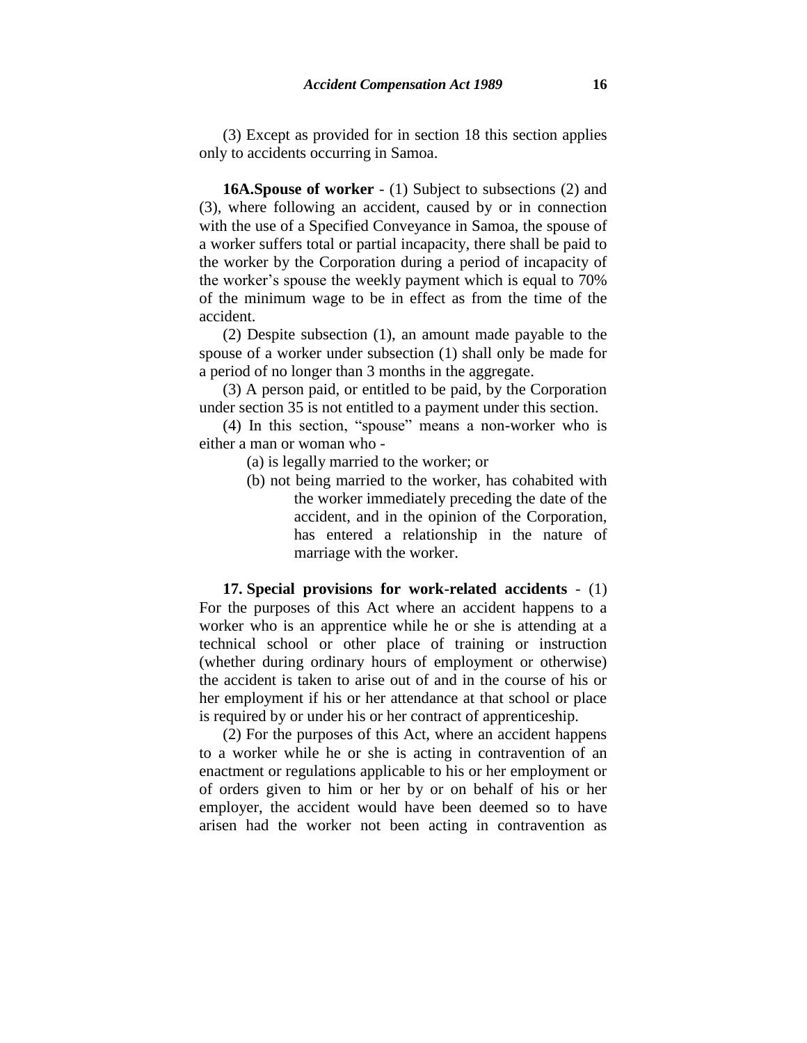(3) Except as provided for in section 18 this section applies only to accidents occurring in Samoa.

**16A.Spouse of worker** - (1) Subject to subsections (2) and (3), where following an accident, caused by or in connection with the use of a Specified Conveyance in Samoa, the spouse of a worker suffers total or partial incapacity, there shall be paid to the worker by the Corporation during a period of incapacity of the worker's spouse the weekly payment which is equal to 70% of the minimum wage to be in effect as from the time of the accident.

(2) Despite subsection (1), an amount made payable to the spouse of a worker under subsection (1) shall only be made for a period of no longer than 3 months in the aggregate.

(3) A person paid, or entitled to be paid, by the Corporation under section 35 is not entitled to a payment under this section.

(4) In this section, "spouse" means a non-worker who is either a man or woman who -

- (a) is legally married to the worker; or
- (b) not being married to the worker, has cohabited with the worker immediately preceding the date of the accident, and in the opinion of the Corporation, has entered a relationship in the nature of marriage with the worker.

**17. Special provisions for work-related accidents** - (1) For the purposes of this Act where an accident happens to a worker who is an apprentice while he or she is attending at a technical school or other place of training or instruction (whether during ordinary hours of employment or otherwise) the accident is taken to arise out of and in the course of his or her employment if his or her attendance at that school or place is required by or under his or her contract of apprenticeship.

(2) For the purposes of this Act, where an accident happens to a worker while he or she is acting in contravention of an enactment or regulations applicable to his or her employment or of orders given to him or her by or on behalf of his or her employer, the accident would have been deemed so to have arisen had the worker not been acting in contravention as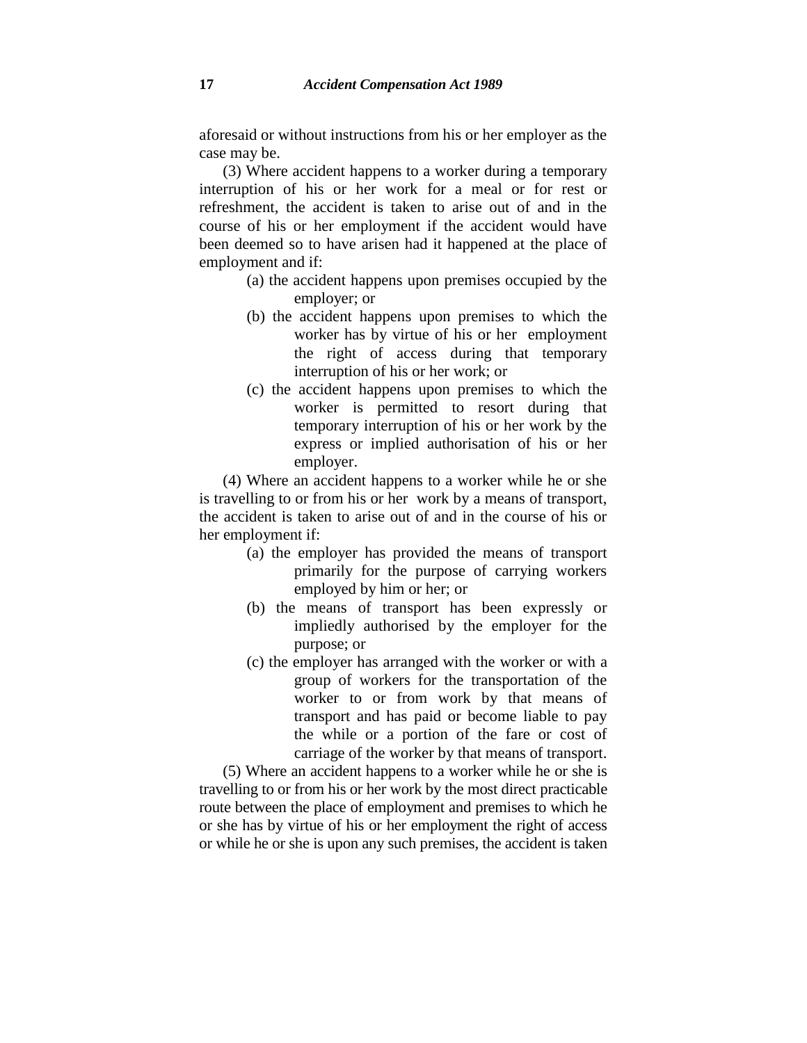aforesaid or without instructions from his or her employer as the case may be.

(3) Where accident happens to a worker during a temporary interruption of his or her work for a meal or for rest or refreshment, the accident is taken to arise out of and in the course of his or her employment if the accident would have been deemed so to have arisen had it happened at the place of employment and if:

- (a) the accident happens upon premises occupied by the employer; or
- (b) the accident happens upon premises to which the worker has by virtue of his or her employment the right of access during that temporary interruption of his or her work; or
- (c) the accident happens upon premises to which the worker is permitted to resort during that temporary interruption of his or her work by the express or implied authorisation of his or her employer.

(4) Where an accident happens to a worker while he or she is travelling to or from his or her work by a means of transport, the accident is taken to arise out of and in the course of his or her employment if:

- (a) the employer has provided the means of transport primarily for the purpose of carrying workers employed by him or her; or
- (b) the means of transport has been expressly or impliedly authorised by the employer for the purpose; or
- (c) the employer has arranged with the worker or with a group of workers for the transportation of the worker to or from work by that means of transport and has paid or become liable to pay the while or a portion of the fare or cost of carriage of the worker by that means of transport.

(5) Where an accident happens to a worker while he or she is travelling to or from his or her work by the most direct practicable route between the place of employment and premises to which he or she has by virtue of his or her employment the right of access or while he or she is upon any such premises, the accident is taken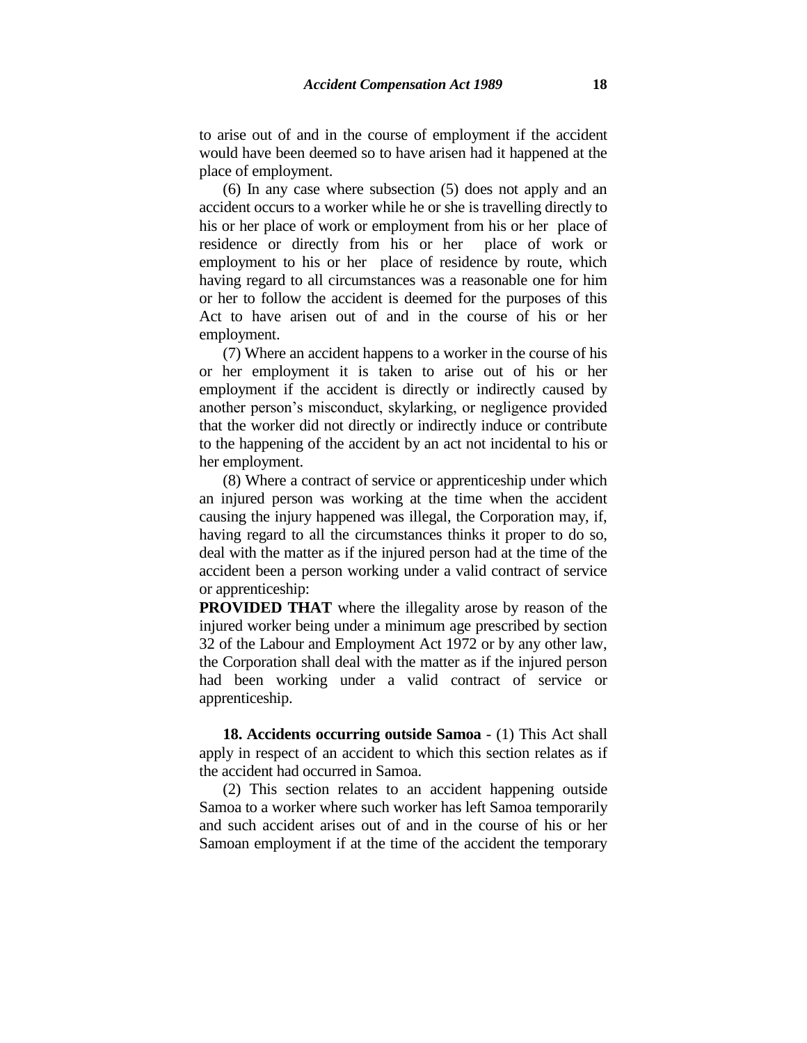to arise out of and in the course of employment if the accident would have been deemed so to have arisen had it happened at the place of employment.

(6) In any case where subsection (5) does not apply and an accident occurs to a worker while he or she is travelling directly to his or her place of work or employment from his or her place of residence or directly from his or her place of work or employment to his or her place of residence by route, which having regard to all circumstances was a reasonable one for him or her to follow the accident is deemed for the purposes of this Act to have arisen out of and in the course of his or her employment.

(7) Where an accident happens to a worker in the course of his or her employment it is taken to arise out of his or her employment if the accident is directly or indirectly caused by another person's misconduct, skylarking, or negligence provided that the worker did not directly or indirectly induce or contribute to the happening of the accident by an act not incidental to his or her employment.

(8) Where a contract of service or apprenticeship under which an injured person was working at the time when the accident causing the injury happened was illegal, the Corporation may, if, having regard to all the circumstances thinks it proper to do so, deal with the matter as if the injured person had at the time of the accident been a person working under a valid contract of service or apprenticeship:

**PROVIDED THAT** where the illegality arose by reason of the injured worker being under a minimum age prescribed by section 32 of the Labour and Employment Act 1972 or by any other law, the Corporation shall deal with the matter as if the injured person had been working under a valid contract of service or apprenticeship.

**18. Accidents occurring outside Samoa** - (1) This Act shall apply in respect of an accident to which this section relates as if the accident had occurred in Samoa.

(2) This section relates to an accident happening outside Samoa to a worker where such worker has left Samoa temporarily and such accident arises out of and in the course of his or her Samoan employment if at the time of the accident the temporary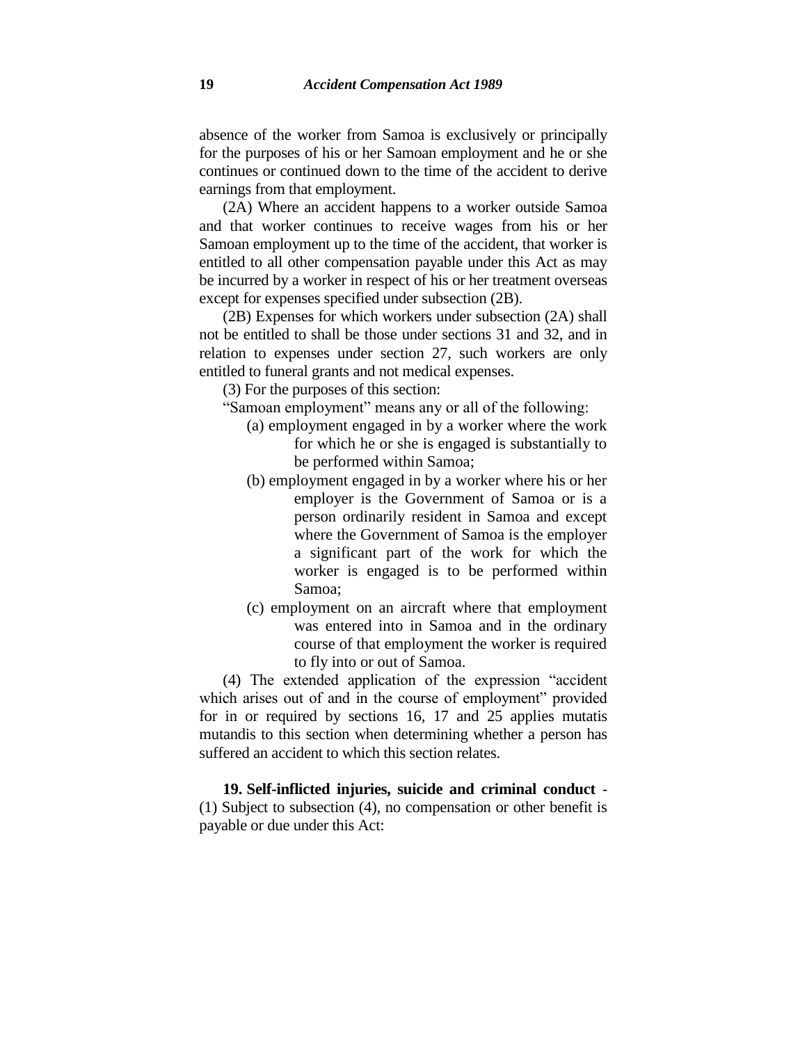absence of the worker from Samoa is exclusively or principally for the purposes of his or her Samoan employment and he or she continues or continued down to the time of the accident to derive earnings from that employment.

(2A) Where an accident happens to a worker outside Samoa and that worker continues to receive wages from his or her Samoan employment up to the time of the accident, that worker is entitled to all other compensation payable under this Act as may be incurred by a worker in respect of his or her treatment overseas except for expenses specified under subsection (2B).

(2B) Expenses for which workers under subsection (2A) shall not be entitled to shall be those under sections 31 and 32, and in relation to expenses under section 27, such workers are only entitled to funeral grants and not medical expenses.

(3) For the purposes of this section:

- "Samoan employment" means any or all of the following:
	- (a) employment engaged in by a worker where the work for which he or she is engaged is substantially to be performed within Samoa;
	- (b) employment engaged in by a worker where his or her employer is the Government of Samoa or is a person ordinarily resident in Samoa and except where the Government of Samoa is the employer a significant part of the work for which the worker is engaged is to be performed within Samoa;
	- (c) employment on an aircraft where that employment was entered into in Samoa and in the ordinary course of that employment the worker is required to fly into or out of Samoa.

(4) The extended application of the expression "accident which arises out of and in the course of employment" provided for in or required by sections 16, 17 and 25 applies mutatis mutandis to this section when determining whether a person has suffered an accident to which this section relates.

**19. Self-inflicted injuries, suicide and criminal conduct** - (1) Subject to subsection (4), no compensation or other benefit is payable or due under this Act: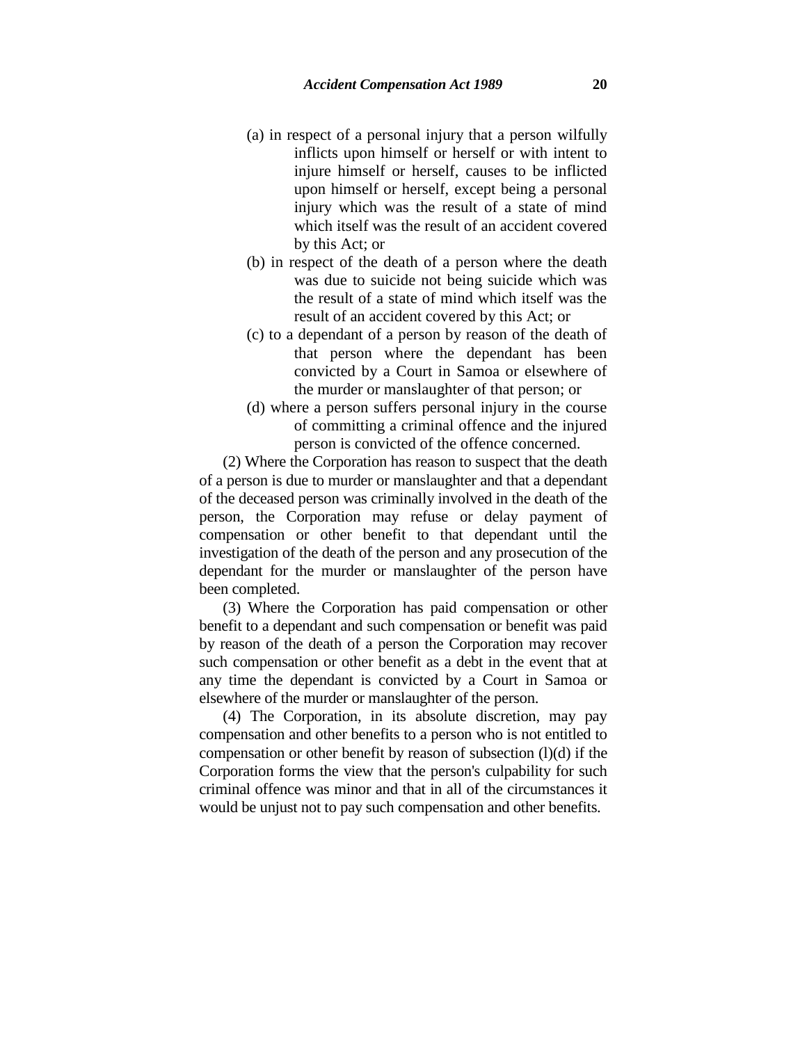- (a) in respect of a personal injury that a person wilfully inflicts upon himself or herself or with intent to injure himself or herself, causes to be inflicted upon himself or herself, except being a personal injury which was the result of a state of mind which itself was the result of an accident covered by this Act; or
- (b) in respect of the death of a person where the death was due to suicide not being suicide which was the result of a state of mind which itself was the result of an accident covered by this Act; or
- (c) to a dependant of a person by reason of the death of that person where the dependant has been convicted by a Court in Samoa or elsewhere of the murder or manslaughter of that person; or
- (d) where a person suffers personal injury in the course of committing a criminal offence and the injured person is convicted of the offence concerned.

(2) Where the Corporation has reason to suspect that the death of a person is due to murder or manslaughter and that a dependant of the deceased person was criminally involved in the death of the person, the Corporation may refuse or delay payment of compensation or other benefit to that dependant until the investigation of the death of the person and any prosecution of the dependant for the murder or manslaughter of the person have been completed.

(3) Where the Corporation has paid compensation or other benefit to a dependant and such compensation or benefit was paid by reason of the death of a person the Corporation may recover such compensation or other benefit as a debt in the event that at any time the dependant is convicted by a Court in Samoa or elsewhere of the murder or manslaughter of the person.

(4) The Corporation, in its absolute discretion, may pay compensation and other benefits to a person who is not entitled to compensation or other benefit by reason of subsection  $(l)(d)$  if the Corporation forms the view that the person's culpability for such criminal offence was minor and that in all of the circumstances it would be unjust not to pay such compensation and other benefits.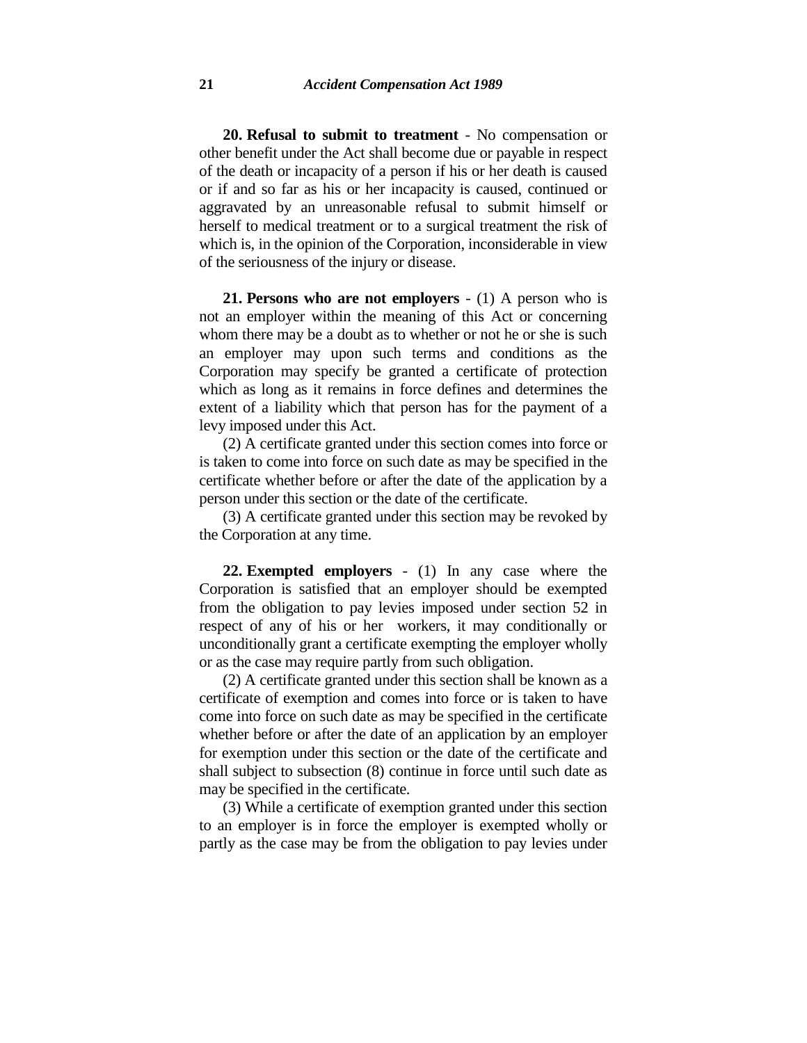**20. Refusal to submit to treatment** - No compensation or other benefit under the Act shall become due or payable in respect of the death or incapacity of a person if his or her death is caused or if and so far as his or her incapacity is caused, continued or aggravated by an unreasonable refusal to submit himself or herself to medical treatment or to a surgical treatment the risk of which is, in the opinion of the Corporation, inconsiderable in view of the seriousness of the injury or disease.

**21. Persons who are not employers** - (1) A person who is not an employer within the meaning of this Act or concerning whom there may be a doubt as to whether or not he or she is such an employer may upon such terms and conditions as the Corporation may specify be granted a certificate of protection which as long as it remains in force defines and determines the extent of a liability which that person has for the payment of a levy imposed under this Act.

(2) A certificate granted under this section comes into force or is taken to come into force on such date as may be specified in the certificate whether before or after the date of the application by a person under this section or the date of the certificate.

(3) A certificate granted under this section may be revoked by the Corporation at any time.

**22. Exempted employers** - (1) In any case where the Corporation is satisfied that an employer should be exempted from the obligation to pay levies imposed under section 52 in respect of any of his or her workers, it may conditionally or unconditionally grant a certificate exempting the employer wholly or as the case may require partly from such obligation.

(2) A certificate granted under this section shall be known as a certificate of exemption and comes into force or is taken to have come into force on such date as may be specified in the certificate whether before or after the date of an application by an employer for exemption under this section or the date of the certificate and shall subject to subsection (8) continue in force until such date as may be specified in the certificate.

(3) While a certificate of exemption granted under this section to an employer is in force the employer is exempted wholly or partly as the case may be from the obligation to pay levies under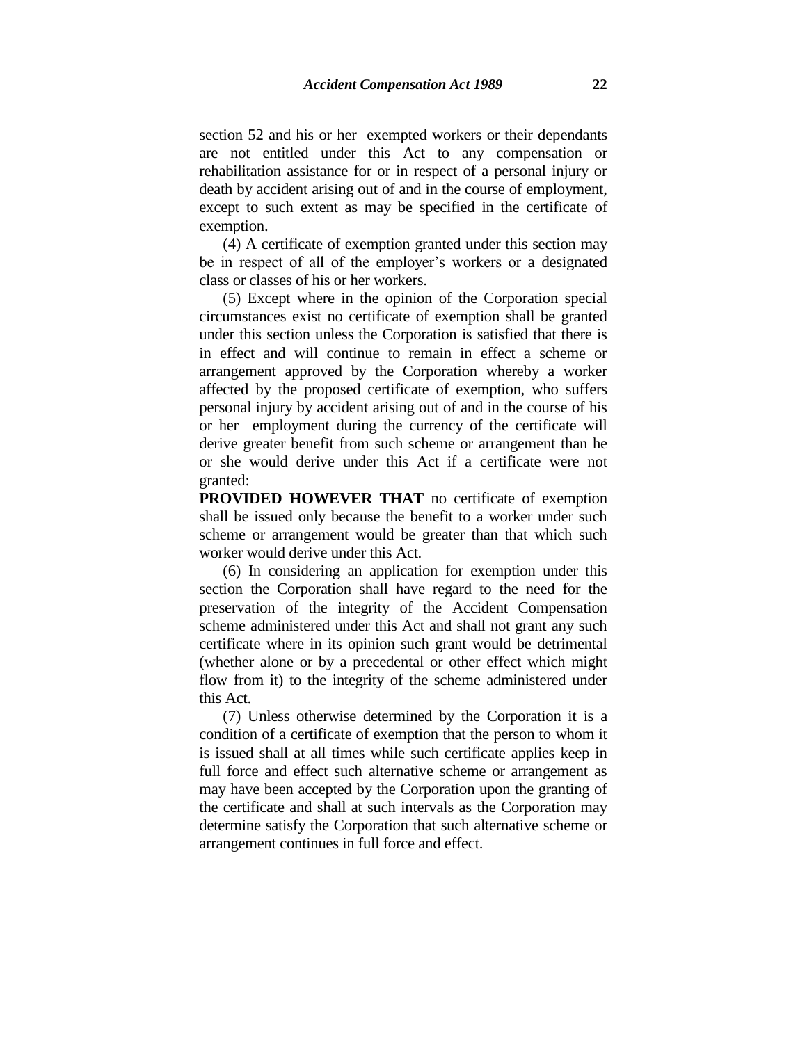section 52 and his or her exempted workers or their dependants are not entitled under this Act to any compensation or rehabilitation assistance for or in respect of a personal injury or death by accident arising out of and in the course of employment, except to such extent as may be specified in the certificate of exemption.

(4) A certificate of exemption granted under this section may be in respect of all of the employer's workers or a designated class or classes of his or her workers.

(5) Except where in the opinion of the Corporation special circumstances exist no certificate of exemption shall be granted under this section unless the Corporation is satisfied that there is in effect and will continue to remain in effect a scheme or arrangement approved by the Corporation whereby a worker affected by the proposed certificate of exemption, who suffers personal injury by accident arising out of and in the course of his or her employment during the currency of the certificate will derive greater benefit from such scheme or arrangement than he or she would derive under this Act if a certificate were not granted:

**PROVIDED HOWEVER THAT** no certificate of exemption shall be issued only because the benefit to a worker under such scheme or arrangement would be greater than that which such worker would derive under this Act.

(6) In considering an application for exemption under this section the Corporation shall have regard to the need for the preservation of the integrity of the Accident Compensation scheme administered under this Act and shall not grant any such certificate where in its opinion such grant would be detrimental (whether alone or by a precedental or other effect which might flow from it) to the integrity of the scheme administered under this Act.

(7) Unless otherwise determined by the Corporation it is a condition of a certificate of exemption that the person to whom it is issued shall at all times while such certificate applies keep in full force and effect such alternative scheme or arrangement as may have been accepted by the Corporation upon the granting of the certificate and shall at such intervals as the Corporation may determine satisfy the Corporation that such alternative scheme or arrangement continues in full force and effect.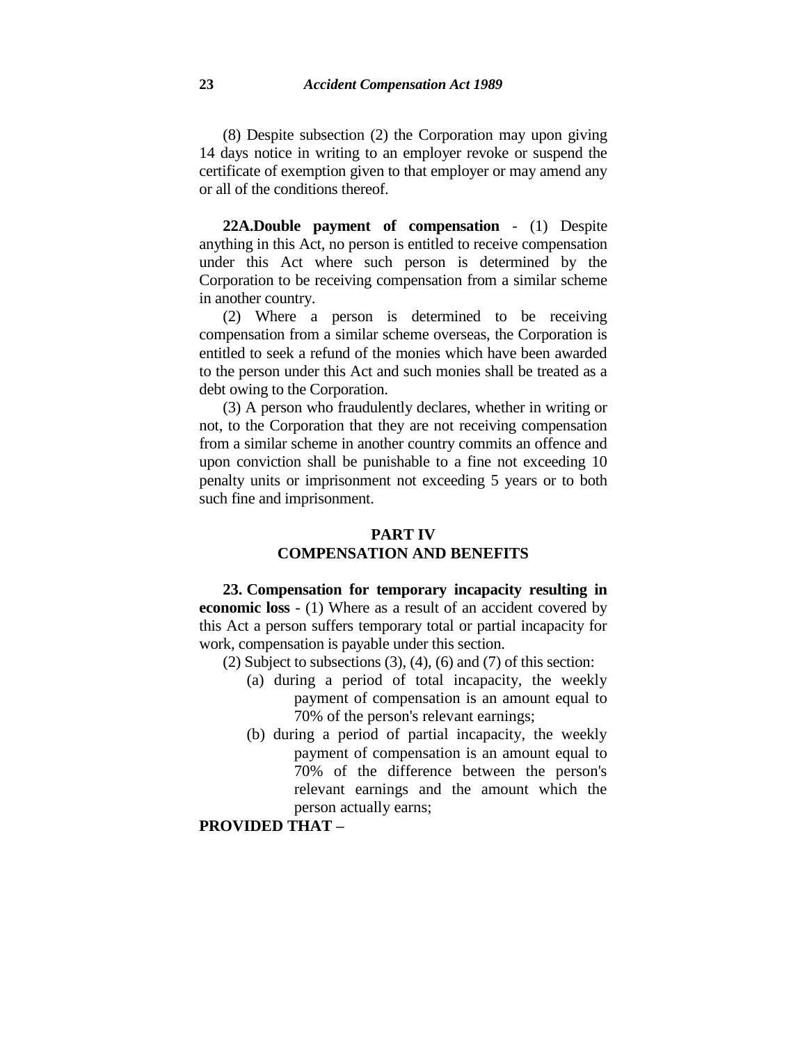(8) Despite subsection (2) the Corporation may upon giving 14 days notice in writing to an employer revoke or suspend the certificate of exemption given to that employer or may amend any or all of the conditions thereof.

**22A.Double payment of compensation** - (1) Despite anything in this Act, no person is entitled to receive compensation under this Act where such person is determined by the Corporation to be receiving compensation from a similar scheme in another country.

(2) Where a person is determined to be receiving compensation from a similar scheme overseas, the Corporation is entitled to seek a refund of the monies which have been awarded to the person under this Act and such monies shall be treated as a debt owing to the Corporation.

(3) A person who fraudulently declares, whether in writing or not, to the Corporation that they are not receiving compensation from a similar scheme in another country commits an offence and upon conviction shall be punishable to a fine not exceeding 10 penalty units or imprisonment not exceeding 5 years or to both such fine and imprisonment.

#### **PART IV COMPENSATION AND BENEFITS**

**23. Compensation for temporary incapacity resulting in economic loss** - (1) Where as a result of an accident covered by this Act a person suffers temporary total or partial incapacity for work, compensation is payable under this section.

- (2) Subject to subsections  $(3)$ ,  $(4)$ ,  $(6)$  and  $(7)$  of this section:
	- (a) during a period of total incapacity, the weekly payment of compensation is an amount equal to 70% of the person's relevant earnings;
	- (b) during a period of partial incapacity, the weekly payment of compensation is an amount equal to 70% of the difference between the person's relevant earnings and the amount which the person actually earns;

### **PROVIDED THAT –**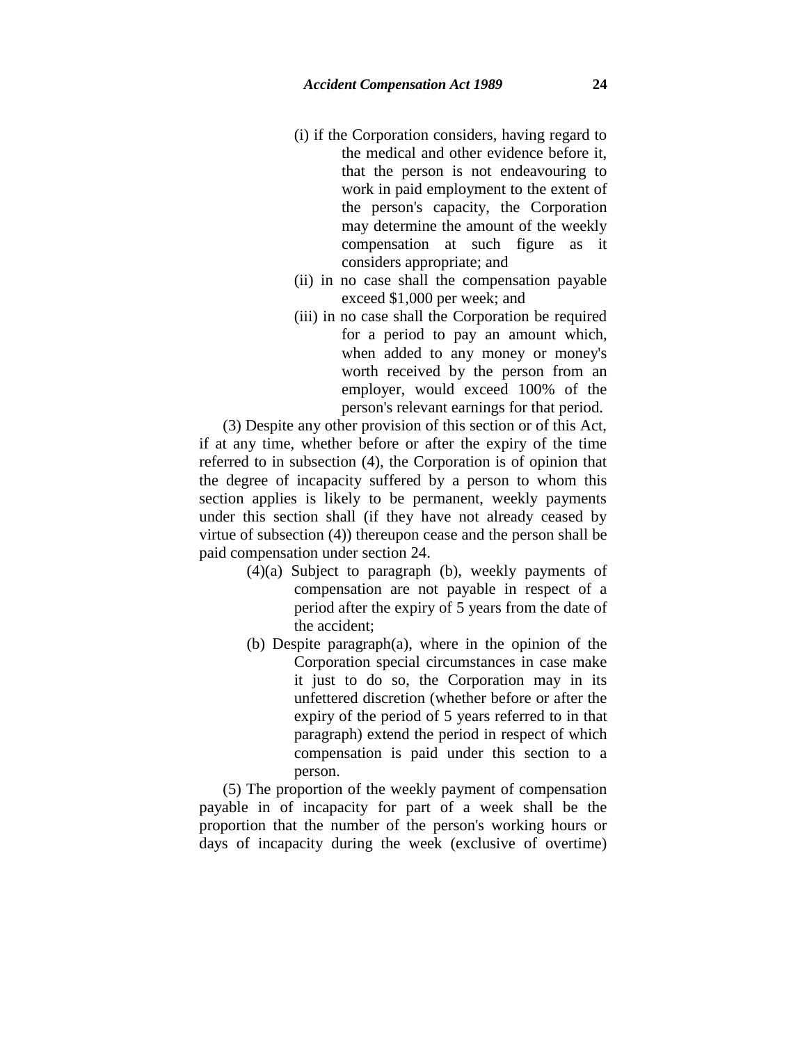- (i) if the Corporation considers, having regard to the medical and other evidence before it, that the person is not endeavouring to work in paid employment to the extent of the person's capacity, the Corporation may determine the amount of the weekly compensation at such figure as it considers appropriate; and
- (ii) in no case shall the compensation payable exceed \$1,000 per week; and
- (iii) in no case shall the Corporation be required for a period to pay an amount which, when added to any money or money's worth received by the person from an employer, would exceed 100% of the person's relevant earnings for that period.

(3) Despite any other provision of this section or of this Act, if at any time, whether before or after the expiry of the time referred to in subsection (4), the Corporation is of opinion that the degree of incapacity suffered by a person to whom this section applies is likely to be permanent, weekly payments under this section shall (if they have not already ceased by virtue of subsection (4)) thereupon cease and the person shall be paid compensation under section 24.

- (4)(a) Subject to paragraph (b), weekly payments of compensation are not payable in respect of a period after the expiry of 5 years from the date of the accident;
- (b) Despite paragraph(a), where in the opinion of the Corporation special circumstances in case make it just to do so, the Corporation may in its unfettered discretion (whether before or after the expiry of the period of 5 years referred to in that paragraph) extend the period in respect of which compensation is paid under this section to a person.

(5) The proportion of the weekly payment of compensation payable in of incapacity for part of a week shall be the proportion that the number of the person's working hours or days of incapacity during the week (exclusive of overtime)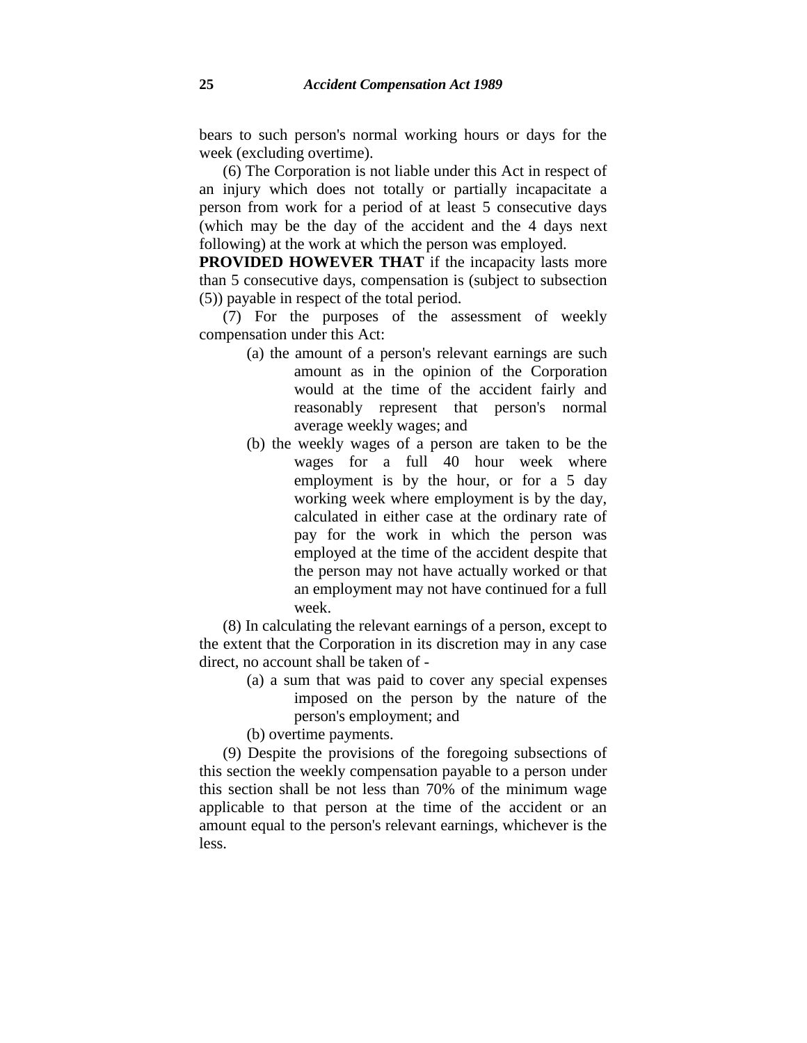bears to such person's normal working hours or days for the week (excluding overtime).

(6) The Corporation is not liable under this Act in respect of an injury which does not totally or partially incapacitate a person from work for a period of at least 5 consecutive days (which may be the day of the accident and the 4 days next following) at the work at which the person was employed.

**PROVIDED HOWEVER THAT** if the incapacity lasts more than 5 consecutive days, compensation is (subject to subsection (5)) payable in respect of the total period.

(7) For the purposes of the assessment of weekly compensation under this Act:

- (a) the amount of a person's relevant earnings are such amount as in the opinion of the Corporation would at the time of the accident fairly and reasonably represent that person's normal average weekly wages; and
- (b) the weekly wages of a person are taken to be the wages for a full 40 hour week where employment is by the hour, or for a 5 day working week where employment is by the day, calculated in either case at the ordinary rate of pay for the work in which the person was employed at the time of the accident despite that the person may not have actually worked or that an employment may not have continued for a full week.

(8) In calculating the relevant earnings of a person, except to the extent that the Corporation in its discretion may in any case direct, no account shall be taken of -

> (a) a sum that was paid to cover any special expenses imposed on the person by the nature of the person's employment; and

(b) overtime payments.

(9) Despite the provisions of the foregoing subsections of this section the weekly compensation payable to a person under this section shall be not less than 70% of the minimum wage applicable to that person at the time of the accident or an amount equal to the person's relevant earnings, whichever is the less.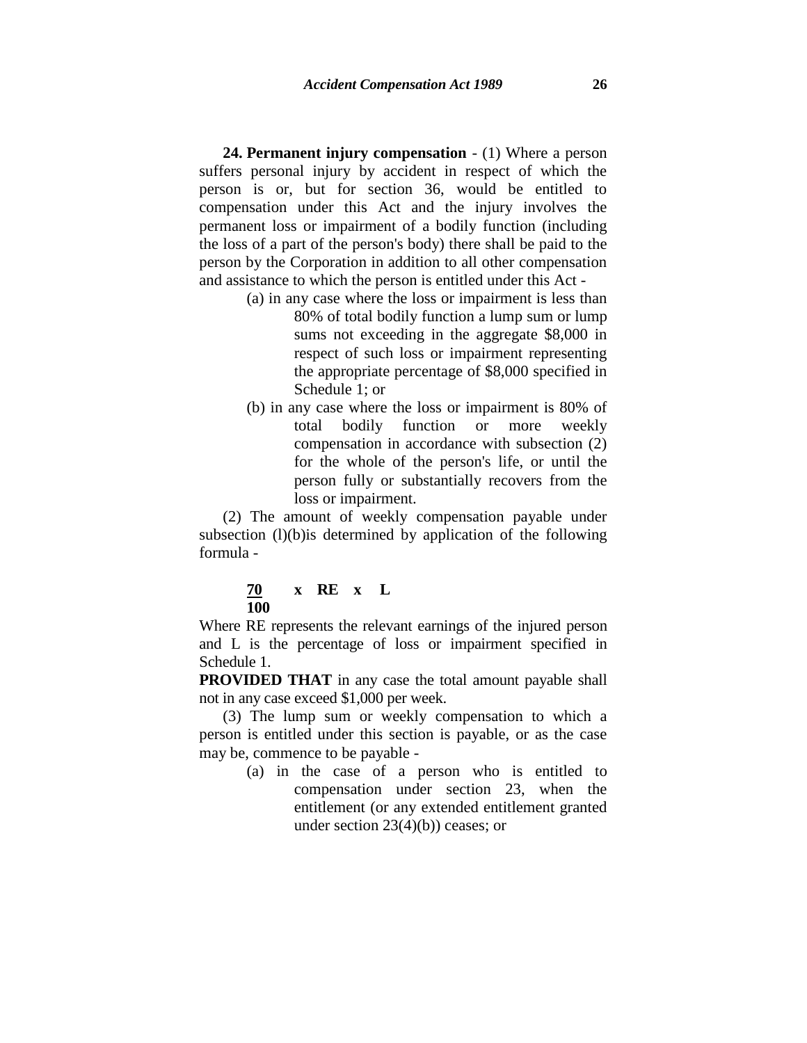**24. Permanent injury compensation** - (1) Where a person suffers personal injury by accident in respect of which the person is or, but for section 36, would be entitled to compensation under this Act and the injury involves the permanent loss or impairment of a bodily function (including the loss of a part of the person's body) there shall be paid to the person by the Corporation in addition to all other compensation and assistance to which the person is entitled under this Act -

- (a) in any case where the loss or impairment is less than 80% of total bodily function a lump sum or lump sums not exceeding in the aggregate \$8,000 in respect of such loss or impairment representing the appropriate percentage of \$8,000 specified in Schedule 1; or
- (b) in any case where the loss or impairment is 80% of total bodily function or more weekly compensation in accordance with subsection (2) for the whole of the person's life, or until the person fully or substantially recovers from the loss or impairment.

(2) The amount of weekly compensation payable under subsection  $(l)(b)$  is determined by application of the following formula -

### **70 x RE x L 100**

Where RE represents the relevant earnings of the injured person and L is the percentage of loss or impairment specified in Schedule 1.

**PROVIDED THAT** in any case the total amount payable shall not in any case exceed \$1,000 per week.

(3) The lump sum or weekly compensation to which a person is entitled under this section is payable, or as the case may be, commence to be payable -

> (a) in the case of a person who is entitled to compensation under section 23, when the entitlement (or any extended entitlement granted under section  $23(4)(b)$ ) ceases; or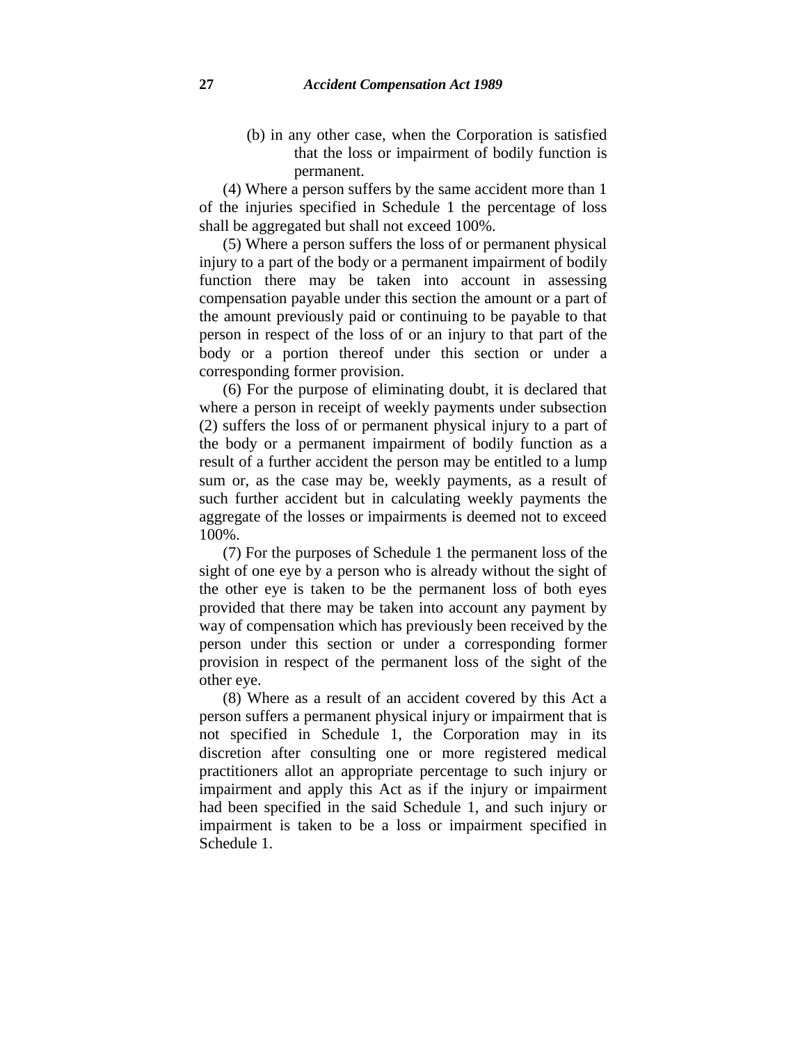(b) in any other case, when the Corporation is satisfied that the loss or impairment of bodily function is permanent.

(4) Where a person suffers by the same accident more than 1 of the injuries specified in Schedule 1 the percentage of loss shall be aggregated but shall not exceed 100%.

(5) Where a person suffers the loss of or permanent physical injury to a part of the body or a permanent impairment of bodily function there may be taken into account in assessing compensation payable under this section the amount or a part of the amount previously paid or continuing to be payable to that person in respect of the loss of or an injury to that part of the body or a portion thereof under this section or under a corresponding former provision.

(6) For the purpose of eliminating doubt, it is declared that where a person in receipt of weekly payments under subsection (2) suffers the loss of or permanent physical injury to a part of the body or a permanent impairment of bodily function as a result of a further accident the person may be entitled to a lump sum or, as the case may be, weekly payments, as a result of such further accident but in calculating weekly payments the aggregate of the losses or impairments is deemed not to exceed 100%.

(7) For the purposes of Schedule 1 the permanent loss of the sight of one eye by a person who is already without the sight of the other eye is taken to be the permanent loss of both eyes provided that there may be taken into account any payment by way of compensation which has previously been received by the person under this section or under a corresponding former provision in respect of the permanent loss of the sight of the other eye.

(8) Where as a result of an accident covered by this Act a person suffers a permanent physical injury or impairment that is not specified in Schedule 1, the Corporation may in its discretion after consulting one or more registered medical practitioners allot an appropriate percentage to such injury or impairment and apply this Act as if the injury or impairment had been specified in the said Schedule 1, and such injury or impairment is taken to be a loss or impairment specified in Schedule 1.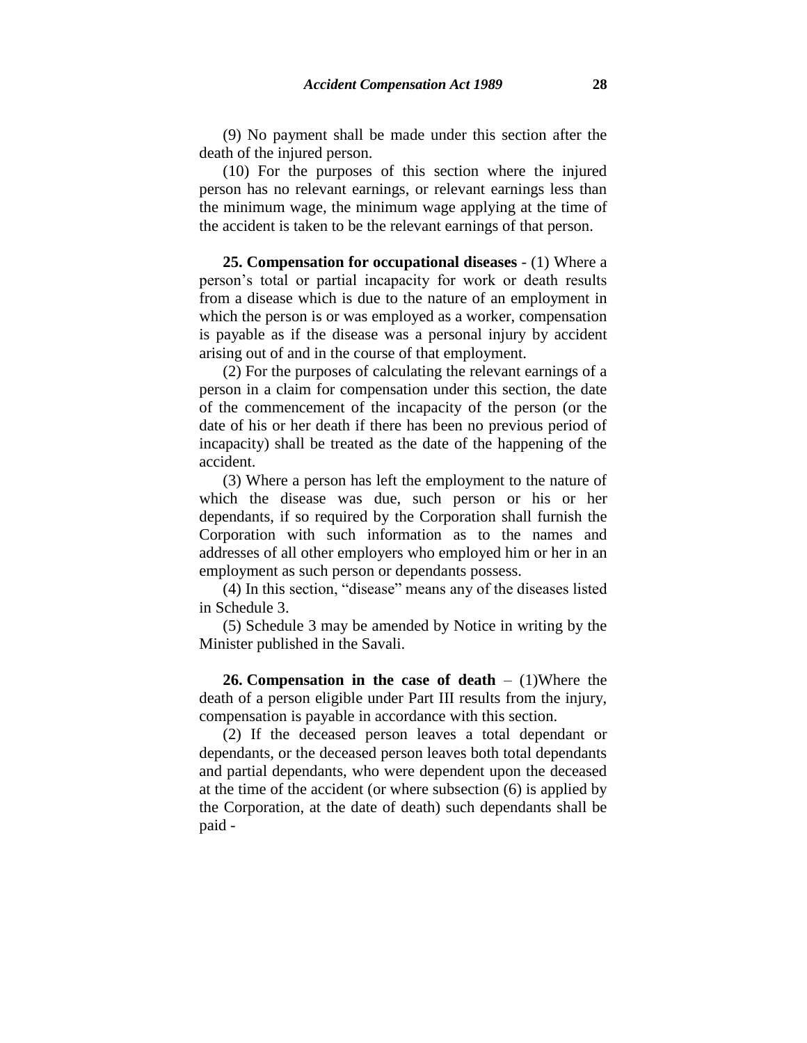(9) No payment shall be made under this section after the death of the injured person.

(10) For the purposes of this section where the injured person has no relevant earnings, or relevant earnings less than the minimum wage, the minimum wage applying at the time of the accident is taken to be the relevant earnings of that person.

**25. Compensation for occupational diseases** - (1) Where a person's total or partial incapacity for work or death results from a disease which is due to the nature of an employment in which the person is or was employed as a worker, compensation is payable as if the disease was a personal injury by accident arising out of and in the course of that employment.

(2) For the purposes of calculating the relevant earnings of a person in a claim for compensation under this section, the date of the commencement of the incapacity of the person (or the date of his or her death if there has been no previous period of incapacity) shall be treated as the date of the happening of the accident.

(3) Where a person has left the employment to the nature of which the disease was due, such person or his or her dependants, if so required by the Corporation shall furnish the Corporation with such information as to the names and addresses of all other employers who employed him or her in an employment as such person or dependants possess.

(4) In this section, "disease" means any of the diseases listed in Schedule 3.

(5) Schedule 3 may be amended by Notice in writing by the Minister published in the Savali.

**26. Compensation in the case of death** – (1)Where the death of a person eligible under Part III results from the injury, compensation is payable in accordance with this section.

(2) If the deceased person leaves a total dependant or dependants, or the deceased person leaves both total dependants and partial dependants, who were dependent upon the deceased at the time of the accident (or where subsection (6) is applied by the Corporation, at the date of death) such dependants shall be paid -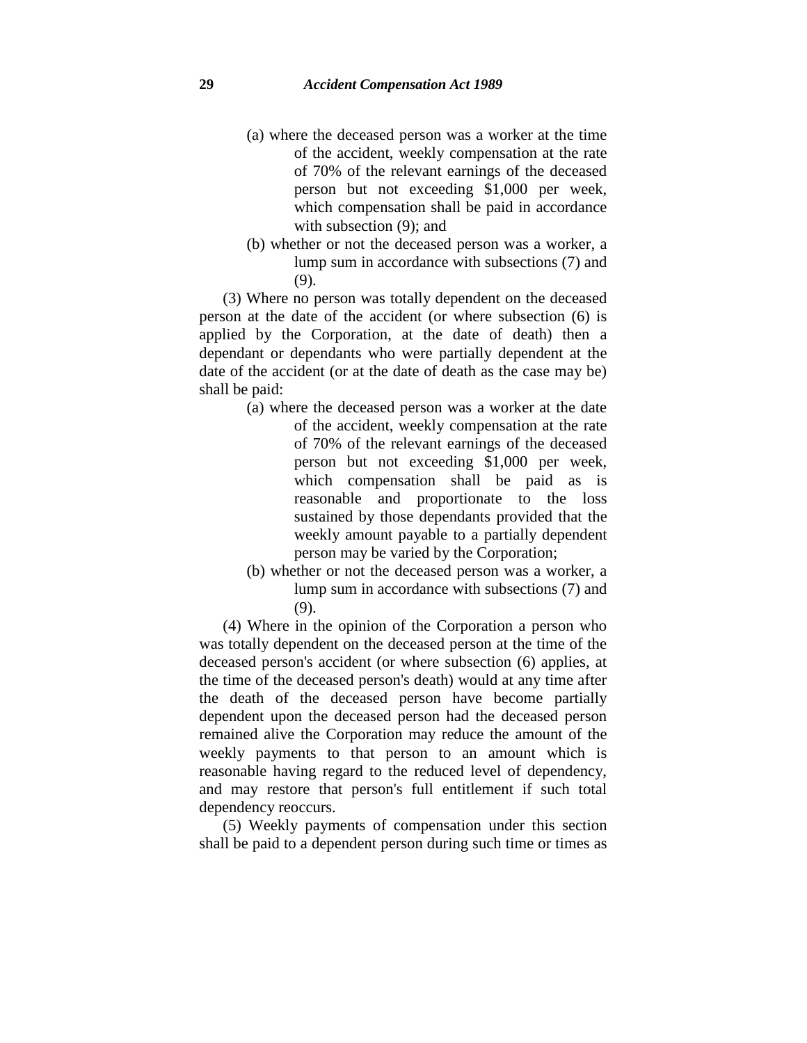- (a) where the deceased person was a worker at the time of the accident, weekly compensation at the rate of 70% of the relevant earnings of the deceased person but not exceeding \$1,000 per week, which compensation shall be paid in accordance with subsection  $(9)$ ; and
- (b) whether or not the deceased person was a worker, a lump sum in accordance with subsections (7) and (9).

(3) Where no person was totally dependent on the deceased person at the date of the accident (or where subsection (6) is applied by the Corporation, at the date of death) then a dependant or dependants who were partially dependent at the date of the accident (or at the date of death as the case may be) shall be paid:

- (a) where the deceased person was a worker at the date of the accident, weekly compensation at the rate of 70% of the relevant earnings of the deceased person but not exceeding \$1,000 per week, which compensation shall be paid as is reasonable and proportionate to the loss sustained by those dependants provided that the weekly amount payable to a partially dependent person may be varied by the Corporation;
- (b) whether or not the deceased person was a worker, a lump sum in accordance with subsections (7) and (9).

(4) Where in the opinion of the Corporation a person who was totally dependent on the deceased person at the time of the deceased person's accident (or where subsection (6) applies, at the time of the deceased person's death) would at any time after the death of the deceased person have become partially dependent upon the deceased person had the deceased person remained alive the Corporation may reduce the amount of the weekly payments to that person to an amount which is reasonable having regard to the reduced level of dependency, and may restore that person's full entitlement if such total dependency reoccurs.

(5) Weekly payments of compensation under this section shall be paid to a dependent person during such time or times as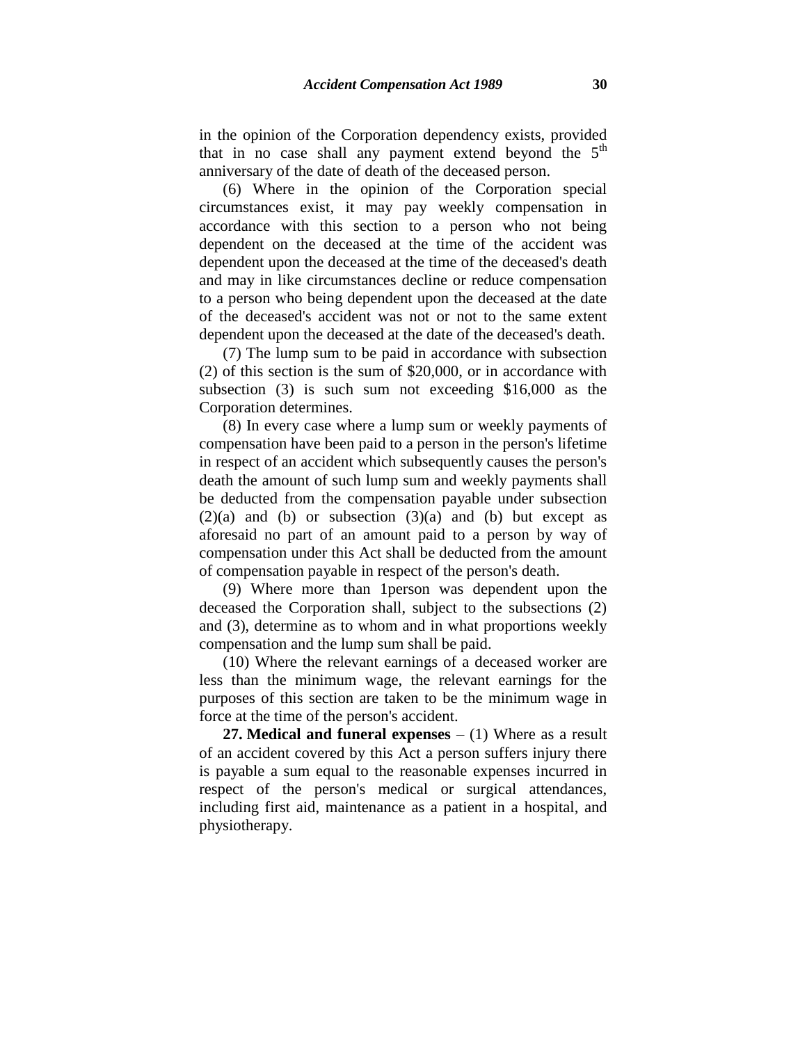in the opinion of the Corporation dependency exists, provided that in no case shall any payment extend beyond the 5<sup>th</sup> anniversary of the date of death of the deceased person.

(6) Where in the opinion of the Corporation special circumstances exist, it may pay weekly compensation in accordance with this section to a person who not being dependent on the deceased at the time of the accident was dependent upon the deceased at the time of the deceased's death and may in like circumstances decline or reduce compensation to a person who being dependent upon the deceased at the date of the deceased's accident was not or not to the same extent dependent upon the deceased at the date of the deceased's death.

(7) The lump sum to be paid in accordance with subsection (2) of this section is the sum of \$20,000, or in accordance with subsection (3) is such sum not exceeding \$16,000 as the Corporation determines.

(8) In every case where a lump sum or weekly payments of compensation have been paid to a person in the person's lifetime in respect of an accident which subsequently causes the person's death the amount of such lump sum and weekly payments shall be deducted from the compensation payable under subsection  $(2)(a)$  and  $(b)$  or subsection  $(3)(a)$  and  $(b)$  but except as aforesaid no part of an amount paid to a person by way of compensation under this Act shall be deducted from the amount of compensation payable in respect of the person's death.

(9) Where more than 1person was dependent upon the deceased the Corporation shall, subject to the subsections (2) and (3), determine as to whom and in what proportions weekly compensation and the lump sum shall be paid.

(10) Where the relevant earnings of a deceased worker are less than the minimum wage, the relevant earnings for the purposes of this section are taken to be the minimum wage in force at the time of the person's accident.

**27. Medical and funeral expenses** – (1) Where as a result of an accident covered by this Act a person suffers injury there is payable a sum equal to the reasonable expenses incurred in respect of the person's medical or surgical attendances, including first aid, maintenance as a patient in a hospital, and physiotherapy.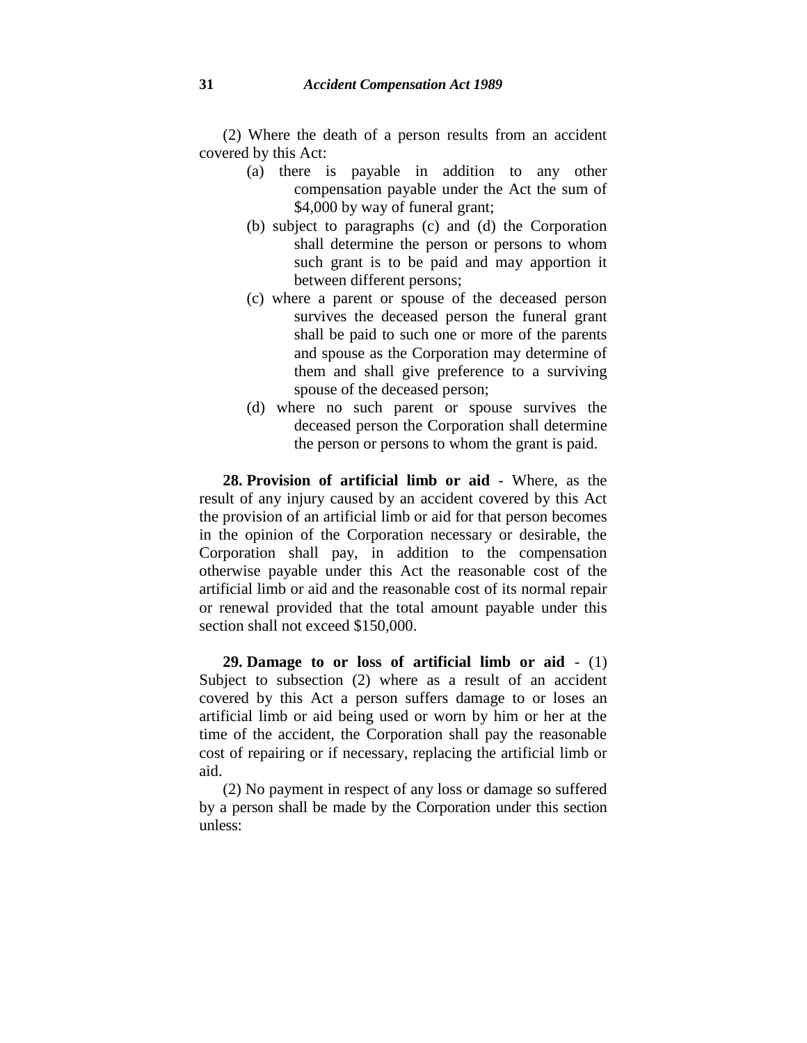(2) Where the death of a person results from an accident covered by this Act:

- (a) there is payable in addition to any other compensation payable under the Act the sum of \$4,000 by way of funeral grant;
- (b) subject to paragraphs (c) and (d) the Corporation shall determine the person or persons to whom such grant is to be paid and may apportion it between different persons;
- (c) where a parent or spouse of the deceased person survives the deceased person the funeral grant shall be paid to such one or more of the parents and spouse as the Corporation may determine of them and shall give preference to a surviving spouse of the deceased person;
- (d) where no such parent or spouse survives the deceased person the Corporation shall determine the person or persons to whom the grant is paid.

**28. Provision of artificial limb or aid** - Where, as the result of any injury caused by an accident covered by this Act the provision of an artificial limb or aid for that person becomes in the opinion of the Corporation necessary or desirable, the Corporation shall pay, in addition to the compensation otherwise payable under this Act the reasonable cost of the artificial limb or aid and the reasonable cost of its normal repair or renewal provided that the total amount payable under this section shall not exceed \$150,000.

**29. Damage to or loss of artificial limb or aid** - (1) Subject to subsection (2) where as a result of an accident covered by this Act a person suffers damage to or loses an artificial limb or aid being used or worn by him or her at the time of the accident, the Corporation shall pay the reasonable cost of repairing or if necessary, replacing the artificial limb or aid.

(2) No payment in respect of any loss or damage so suffered by a person shall be made by the Corporation under this section unless: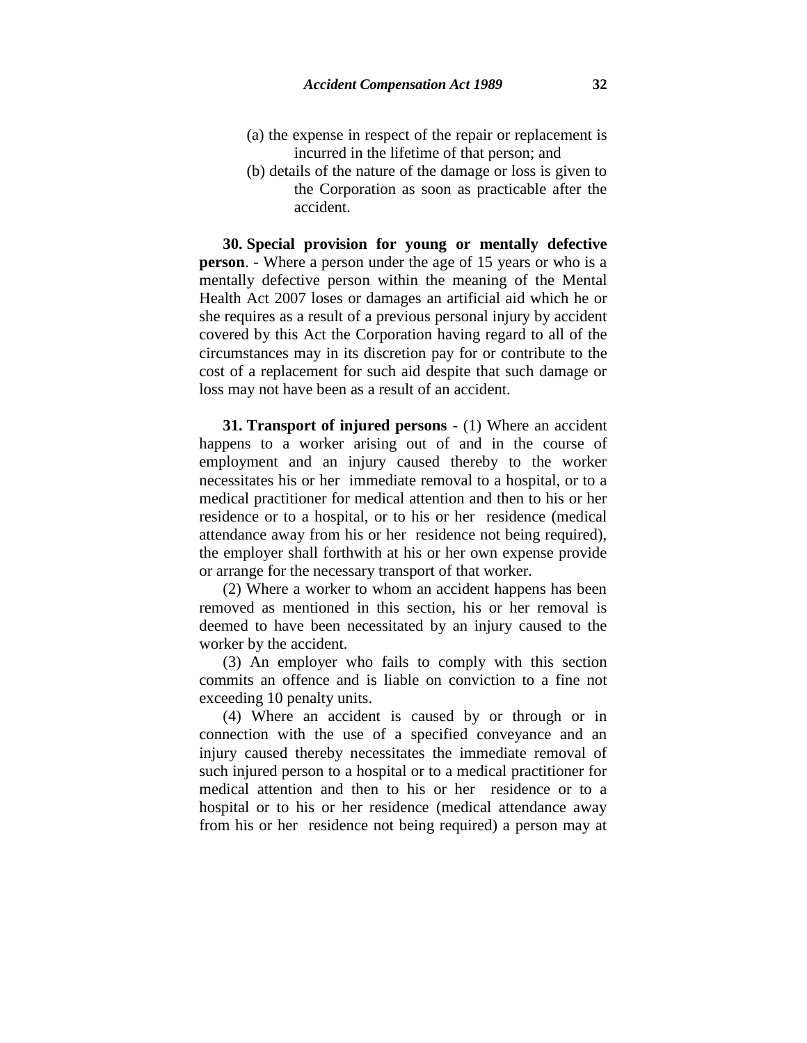- (a) the expense in respect of the repair or replacement is incurred in the lifetime of that person; and
- (b) details of the nature of the damage or loss is given to the Corporation as soon as practicable after the accident.

**30. Special provision for young or mentally defective person**. - Where a person under the age of 15 years or who is a mentally defective person within the meaning of the Mental Health Act 2007 loses or damages an artificial aid which he or she requires as a result of a previous personal injury by accident covered by this Act the Corporation having regard to all of the circumstances may in its discretion pay for or contribute to the cost of a replacement for such aid despite that such damage or loss may not have been as a result of an accident.

**31. Transport of injured persons** - (1) Where an accident happens to a worker arising out of and in the course of employment and an injury caused thereby to the worker necessitates his or her immediate removal to a hospital, or to a medical practitioner for medical attention and then to his or her residence or to a hospital, or to his or her residence (medical attendance away from his or her residence not being required), the employer shall forthwith at his or her own expense provide or arrange for the necessary transport of that worker.

(2) Where a worker to whom an accident happens has been removed as mentioned in this section, his or her removal is deemed to have been necessitated by an injury caused to the worker by the accident.

(3) An employer who fails to comply with this section commits an offence and is liable on conviction to a fine not exceeding 10 penalty units.

(4) Where an accident is caused by or through or in connection with the use of a specified conveyance and an injury caused thereby necessitates the immediate removal of such injured person to a hospital or to a medical practitioner for medical attention and then to his or her residence or to a hospital or to his or her residence (medical attendance away from his or her residence not being required) a person may at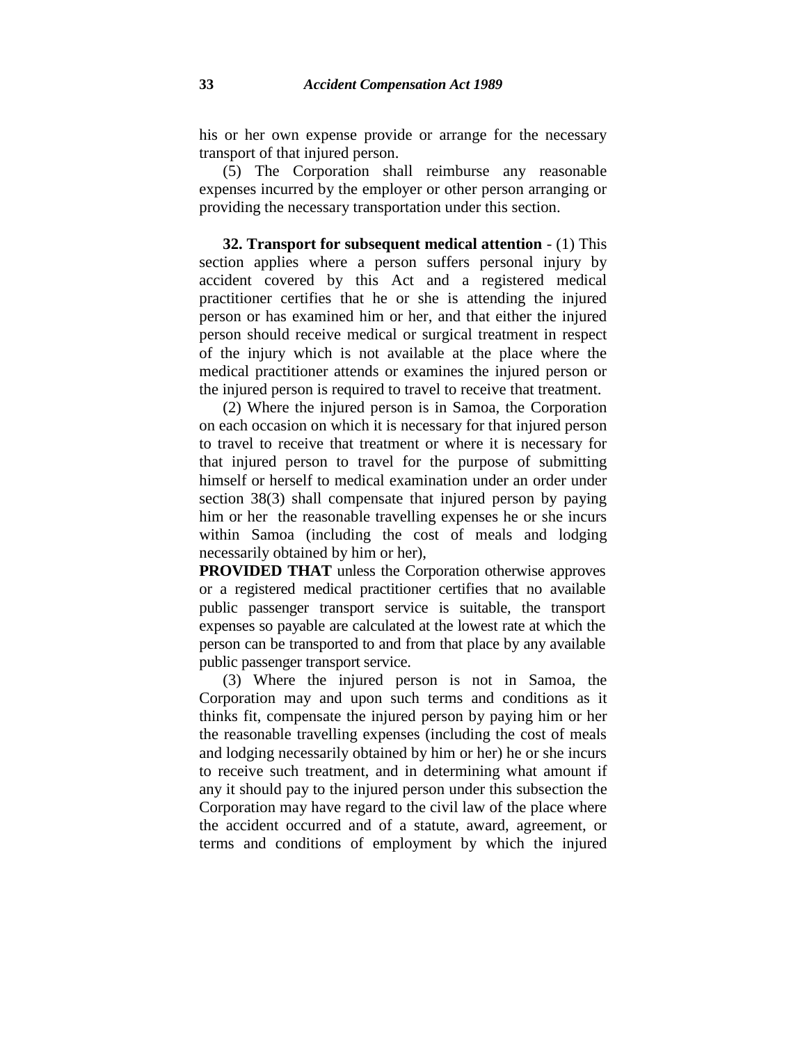his or her own expense provide or arrange for the necessary transport of that injured person.

(5) The Corporation shall reimburse any reasonable expenses incurred by the employer or other person arranging or providing the necessary transportation under this section.

**32. Transport for subsequent medical attention** - (1) This section applies where a person suffers personal injury by accident covered by this Act and a registered medical practitioner certifies that he or she is attending the injured person or has examined him or her, and that either the injured person should receive medical or surgical treatment in respect of the injury which is not available at the place where the medical practitioner attends or examines the injured person or the injured person is required to travel to receive that treatment.

(2) Where the injured person is in Samoa, the Corporation on each occasion on which it is necessary for that injured person to travel to receive that treatment or where it is necessary for that injured person to travel for the purpose of submitting himself or herself to medical examination under an order under section 38(3) shall compensate that injured person by paying him or her the reasonable travelling expenses he or she incurs within Samoa (including the cost of meals and lodging necessarily obtained by him or her),

**PROVIDED THAT** unless the Corporation otherwise approves or a registered medical practitioner certifies that no available public passenger transport service is suitable, the transport expenses so payable are calculated at the lowest rate at which the person can be transported to and from that place by any available public passenger transport service.

(3) Where the injured person is not in Samoa, the Corporation may and upon such terms and conditions as it thinks fit, compensate the injured person by paying him or her the reasonable travelling expenses (including the cost of meals and lodging necessarily obtained by him or her) he or she incurs to receive such treatment, and in determining what amount if any it should pay to the injured person under this subsection the Corporation may have regard to the civil law of the place where the accident occurred and of a statute, award, agreement, or terms and conditions of employment by which the injured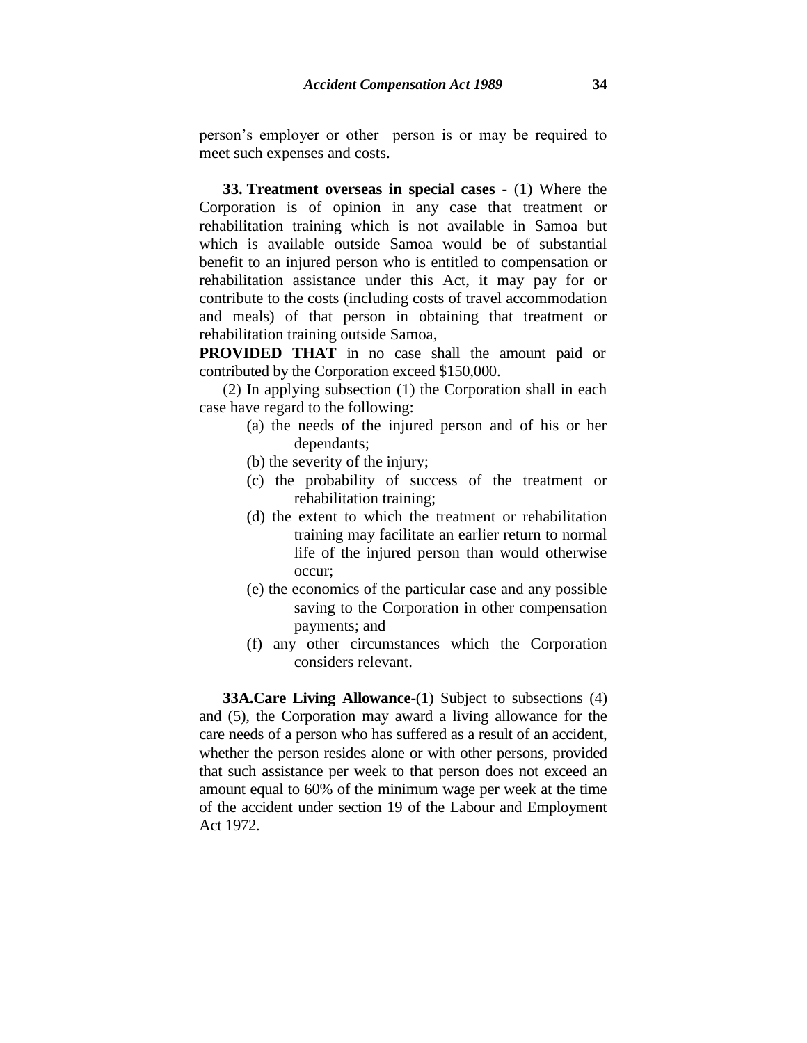**33. Treatment overseas in special cases** - (1) Where the Corporation is of opinion in any case that treatment or rehabilitation training which is not available in Samoa but which is available outside Samoa would be of substantial benefit to an injured person who is entitled to compensation or rehabilitation assistance under this Act, it may pay for or contribute to the costs (including costs of travel accommodation and meals) of that person in obtaining that treatment or rehabilitation training outside Samoa,

**PROVIDED THAT** in no case shall the amount paid or contributed by the Corporation exceed \$150,000.

(2) In applying subsection (1) the Corporation shall in each case have regard to the following:

- (a) the needs of the injured person and of his or her dependants;
- (b) the severity of the injury;
- (c) the probability of success of the treatment or rehabilitation training;
- (d) the extent to which the treatment or rehabilitation training may facilitate an earlier return to normal life of the injured person than would otherwise occur;
- (e) the economics of the particular case and any possible saving to the Corporation in other compensation payments; and
- (f) any other circumstances which the Corporation considers relevant.

**33A.Care Living Allowance-(1)** Subject to subsections (4) and (5), the Corporation may award a living allowance for the care needs of a person who has suffered as a result of an accident, whether the person resides alone or with other persons, provided that such assistance per week to that person does not exceed an amount equal to 60% of the minimum wage per week at the time of the accident under section 19 of the Labour and Employment Act 1972.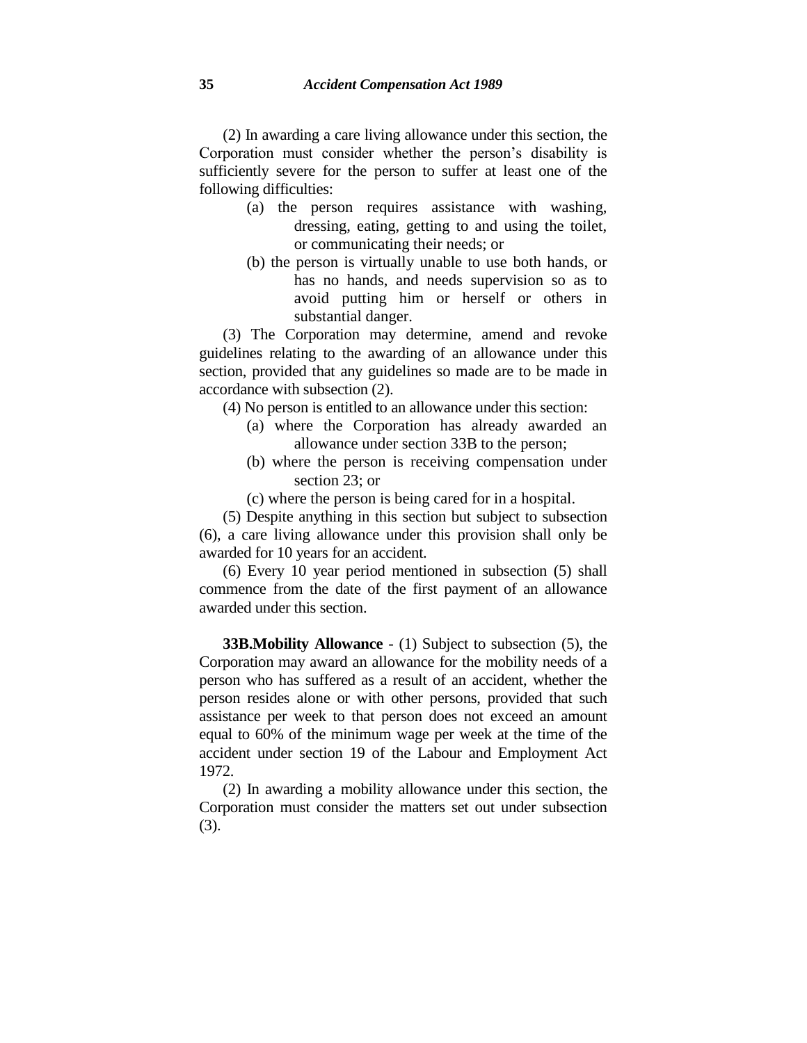(2) In awarding a care living allowance under this section, the Corporation must consider whether the person's disability is sufficiently severe for the person to suffer at least one of the following difficulties:

- (a) the person requires assistance with washing, dressing, eating, getting to and using the toilet, or communicating their needs; or
- (b) the person is virtually unable to use both hands, or has no hands, and needs supervision so as to avoid putting him or herself or others in substantial danger.

(3) The Corporation may determine, amend and revoke guidelines relating to the awarding of an allowance under this section, provided that any guidelines so made are to be made in accordance with subsection (2).

(4) No person is entitled to an allowance under this section:

- (a) where the Corporation has already awarded an allowance under section 33B to the person;
- (b) where the person is receiving compensation under section 23; or

(c) where the person is being cared for in a hospital.

(5) Despite anything in this section but subject to subsection (6), a care living allowance under this provision shall only be awarded for 10 years for an accident.

(6) Every 10 year period mentioned in subsection (5) shall commence from the date of the first payment of an allowance awarded under this section.

**33B.Mobility Allowance** - (1) Subject to subsection (5), the Corporation may award an allowance for the mobility needs of a person who has suffered as a result of an accident, whether the person resides alone or with other persons, provided that such assistance per week to that person does not exceed an amount equal to 60% of the minimum wage per week at the time of the accident under section 19 of the Labour and Employment Act 1972.

(2) In awarding a mobility allowance under this section, the Corporation must consider the matters set out under subsection (3).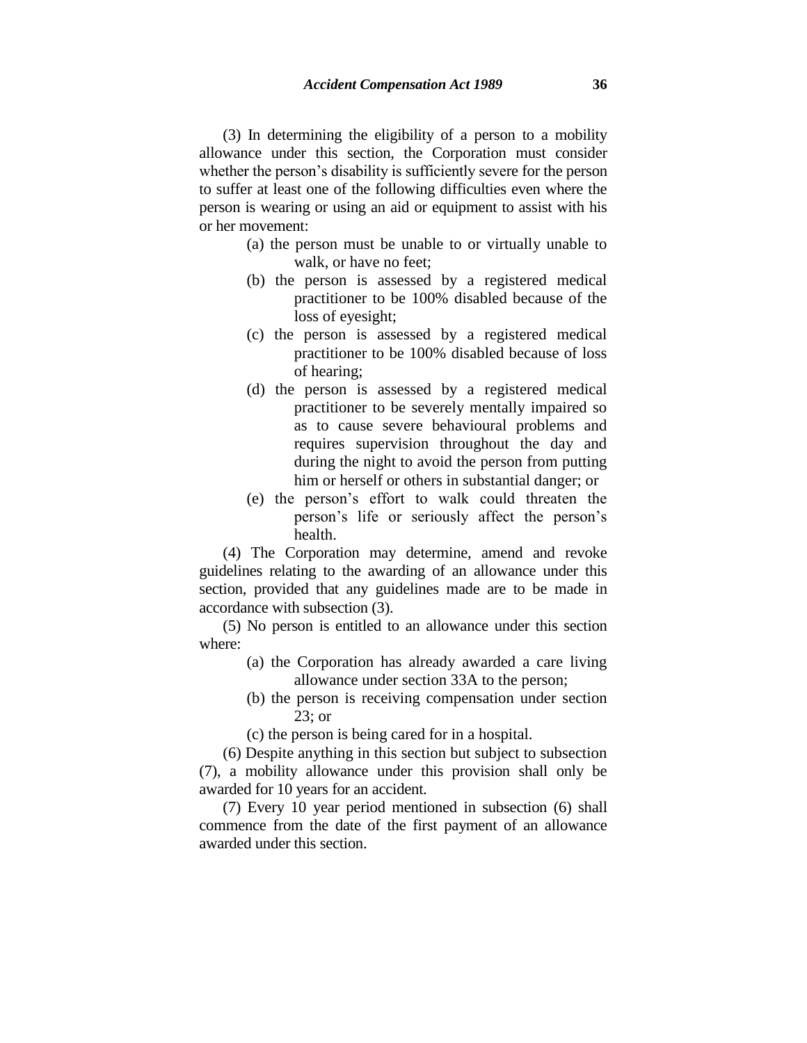(3) In determining the eligibility of a person to a mobility allowance under this section, the Corporation must consider whether the person's disability is sufficiently severe for the person to suffer at least one of the following difficulties even where the person is wearing or using an aid or equipment to assist with his or her movement:

- (a) the person must be unable to or virtually unable to walk, or have no feet;
- (b) the person is assessed by a registered medical practitioner to be 100% disabled because of the loss of eyesight;
- (c) the person is assessed by a registered medical practitioner to be 100% disabled because of loss of hearing;
- (d) the person is assessed by a registered medical practitioner to be severely mentally impaired so as to cause severe behavioural problems and requires supervision throughout the day and during the night to avoid the person from putting him or herself or others in substantial danger; or
- (e) the person's effort to walk could threaten the person's life or seriously affect the person's health.

(4) The Corporation may determine, amend and revoke guidelines relating to the awarding of an allowance under this section, provided that any guidelines made are to be made in accordance with subsection (3).

(5) No person is entitled to an allowance under this section where:

- (a) the Corporation has already awarded a care living allowance under section 33A to the person;
- (b) the person is receiving compensation under section 23; or
- (c) the person is being cared for in a hospital.

(6) Despite anything in this section but subject to subsection (7), a mobility allowance under this provision shall only be awarded for 10 years for an accident.

(7) Every 10 year period mentioned in subsection (6) shall commence from the date of the first payment of an allowance awarded under this section.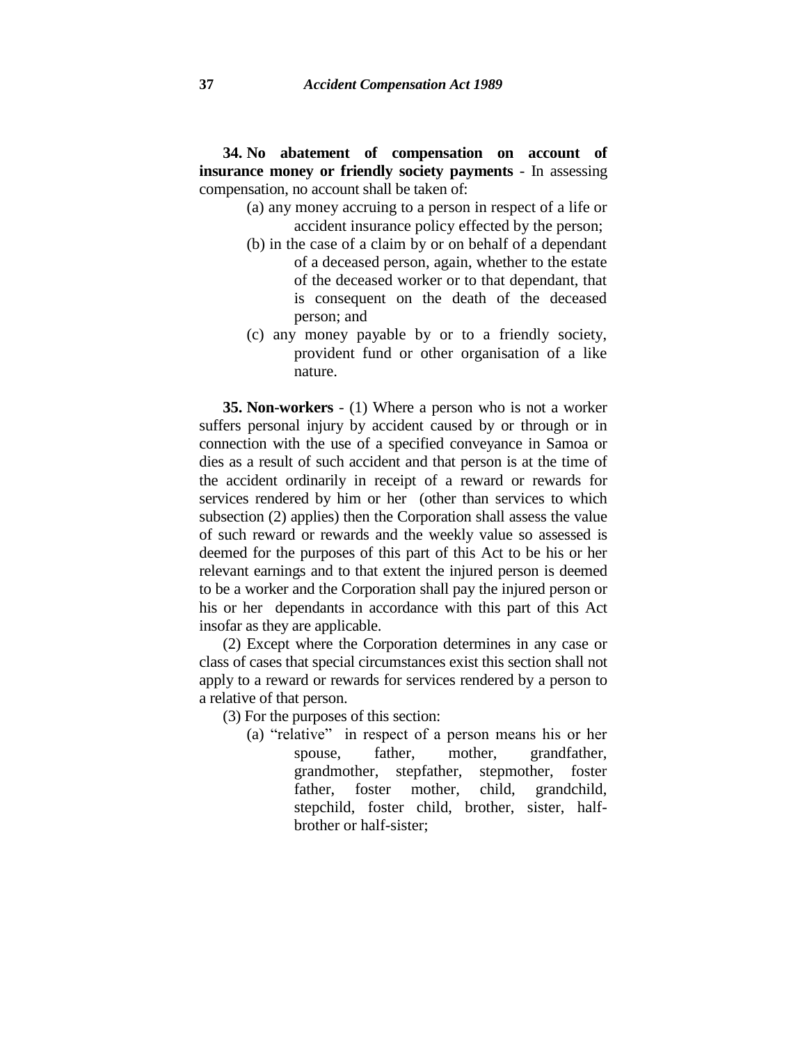**34. No abatement of compensation on account of insurance money or friendly society payments** - In assessing compensation, no account shall be taken of:

- (a) any money accruing to a person in respect of a life or accident insurance policy effected by the person;
- (b) in the case of a claim by or on behalf of a dependant of a deceased person, again, whether to the estate of the deceased worker or to that dependant, that is consequent on the death of the deceased person; and
- (c) any money payable by or to a friendly society, provident fund or other organisation of a like nature.

**35. Non-workers** - (1) Where a person who is not a worker suffers personal injury by accident caused by or through or in connection with the use of a specified conveyance in Samoa or dies as a result of such accident and that person is at the time of the accident ordinarily in receipt of a reward or rewards for services rendered by him or her (other than services to which subsection (2) applies) then the Corporation shall assess the value of such reward or rewards and the weekly value so assessed is deemed for the purposes of this part of this Act to be his or her relevant earnings and to that extent the injured person is deemed to be a worker and the Corporation shall pay the injured person or his or her dependants in accordance with this part of this Act insofar as they are applicable.

(2) Except where the Corporation determines in any case or class of cases that special circumstances exist this section shall not apply to a reward or rewards for services rendered by a person to a relative of that person.

- (3) For the purposes of this section:
	- (a) "relative" in respect of a person means his or her spouse, father, mother, grandfather, grandmother, stepfather, stepmother, foster father, foster mother, child, grandchild, stepchild, foster child, brother, sister, halfbrother or half-sister;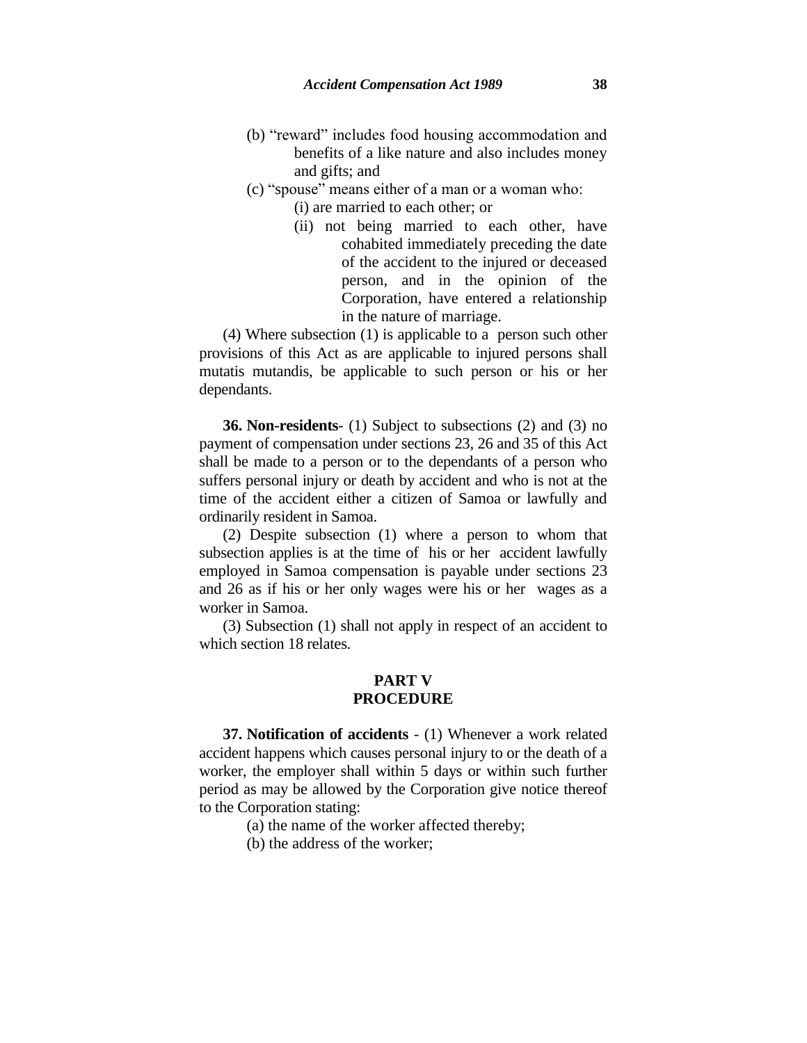- (b) "reward" includes food housing accommodation and benefits of a like nature and also includes money and gifts; and
- (c) "spouse" means either of a man or a woman who:
	- (i) are married to each other; or
		- (ii) not being married to each other, have cohabited immediately preceding the date of the accident to the injured or deceased person, and in the opinion of the Corporation, have entered a relationship in the nature of marriage.

(4) Where subsection (1) is applicable to a person such other provisions of this Act as are applicable to injured persons shall mutatis mutandis, be applicable to such person or his or her dependants.

**36. Non-residents**- (1) Subject to subsections (2) and (3) no payment of compensation under sections 23, 26 and 35 of this Act shall be made to a person or to the dependants of a person who suffers personal injury or death by accident and who is not at the time of the accident either a citizen of Samoa or lawfully and ordinarily resident in Samoa.

(2) Despite subsection (1) where a person to whom that subsection applies is at the time of his or her accident lawfully employed in Samoa compensation is payable under sections 23 and 26 as if his or her only wages were his or her wages as a worker in Samoa.

(3) Subsection (1) shall not apply in respect of an accident to which section 18 relates.

## **PART V PROCEDURE**

**37. Notification of accidents** - (1) Whenever a work related accident happens which causes personal injury to or the death of a worker, the employer shall within 5 days or within such further period as may be allowed by the Corporation give notice thereof to the Corporation stating:

(a) the name of the worker affected thereby;

(b) the address of the worker;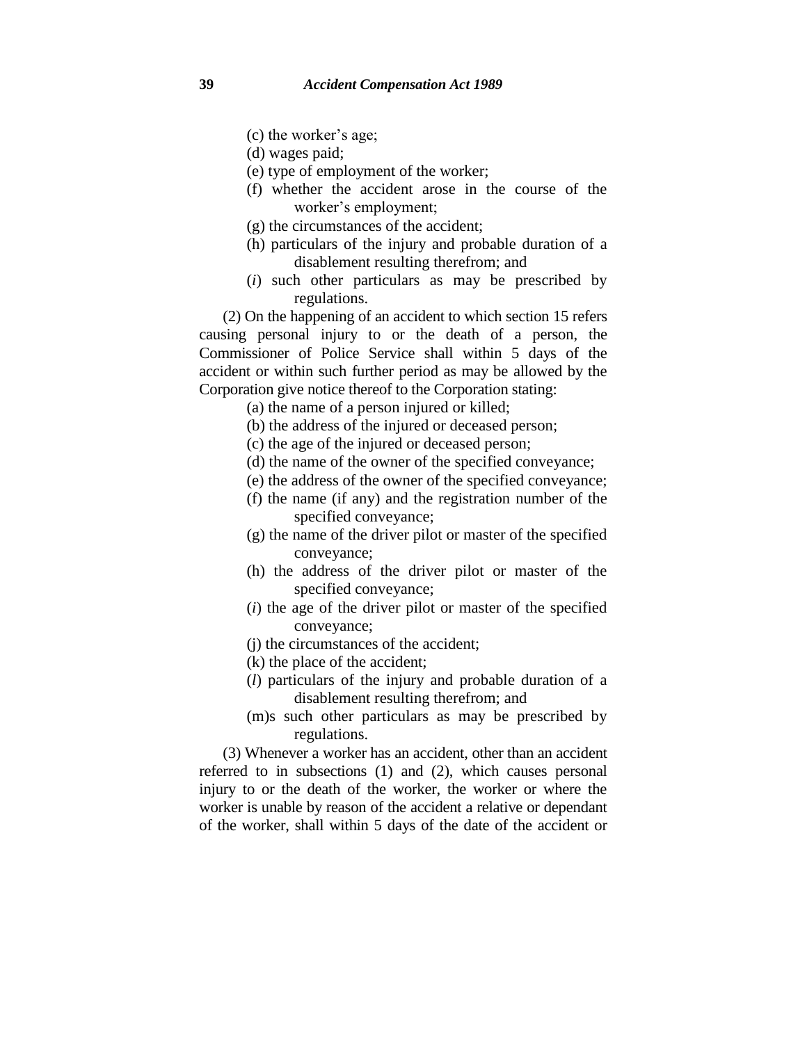- (c) the worker's age;
- (d) wages paid;
- (e) type of employment of the worker;
- (f) whether the accident arose in the course of the worker's employment;
- (g) the circumstances of the accident;
- (h) particulars of the injury and probable duration of a disablement resulting therefrom; and
- (*i*) such other particulars as may be prescribed by regulations.

(2) On the happening of an accident to which section 15 refers causing personal injury to or the death of a person, the Commissioner of Police Service shall within 5 days of the accident or within such further period as may be allowed by the Corporation give notice thereof to the Corporation stating:

(a) the name of a person injured or killed;

- (b) the address of the injured or deceased person;
- (c) the age of the injured or deceased person;
- (d) the name of the owner of the specified conveyance;
- (e) the address of the owner of the specified conveyance;
- (f) the name (if any) and the registration number of the specified conveyance;
- (g) the name of the driver pilot or master of the specified conveyance;
- (h) the address of the driver pilot or master of the specified conveyance;
- (*i*) the age of the driver pilot or master of the specified conveyance;
- (j) the circumstances of the accident;
- (k) the place of the accident;
- (*l*) particulars of the injury and probable duration of a disablement resulting therefrom; and
- (m)s such other particulars as may be prescribed by regulations.

(3) Whenever a worker has an accident, other than an accident referred to in subsections (1) and (2), which causes personal injury to or the death of the worker, the worker or where the worker is unable by reason of the accident a relative or dependant of the worker, shall within 5 days of the date of the accident or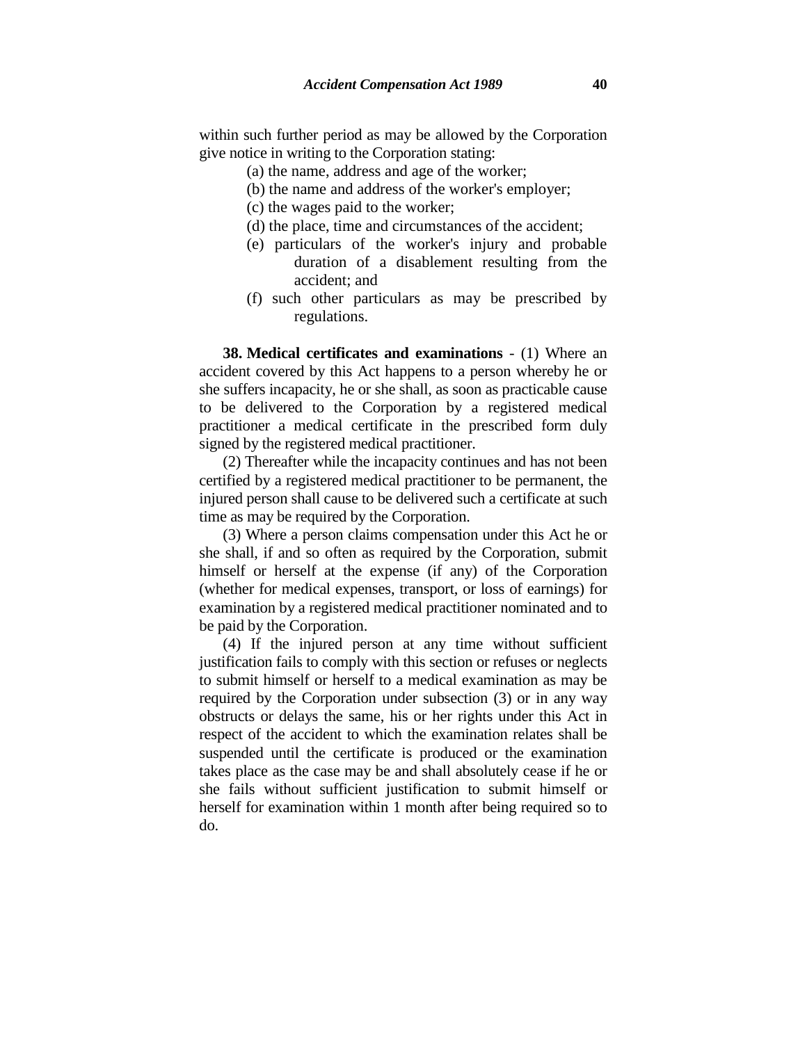within such further period as may be allowed by the Corporation give notice in writing to the Corporation stating:

- (a) the name, address and age of the worker;
- (b) the name and address of the worker's employer;
- (c) the wages paid to the worker;
- (d) the place, time and circumstances of the accident;
- (e) particulars of the worker's injury and probable duration of a disablement resulting from the accident; and
- (f) such other particulars as may be prescribed by regulations.

**38. Medical certificates and examinations** - (1) Where an accident covered by this Act happens to a person whereby he or she suffers incapacity, he or she shall, as soon as practicable cause to be delivered to the Corporation by a registered medical practitioner a medical certificate in the prescribed form duly signed by the registered medical practitioner.

(2) Thereafter while the incapacity continues and has not been certified by a registered medical practitioner to be permanent, the injured person shall cause to be delivered such a certificate at such time as may be required by the Corporation.

(3) Where a person claims compensation under this Act he or she shall, if and so often as required by the Corporation, submit himself or herself at the expense (if any) of the Corporation (whether for medical expenses, transport, or loss of earnings) for examination by a registered medical practitioner nominated and to be paid by the Corporation.

(4) If the injured person at any time without sufficient justification fails to comply with this section or refuses or neglects to submit himself or herself to a medical examination as may be required by the Corporation under subsection (3) or in any way obstructs or delays the same, his or her rights under this Act in respect of the accident to which the examination relates shall be suspended until the certificate is produced or the examination takes place as the case may be and shall absolutely cease if he or she fails without sufficient justification to submit himself or herself for examination within 1 month after being required so to do.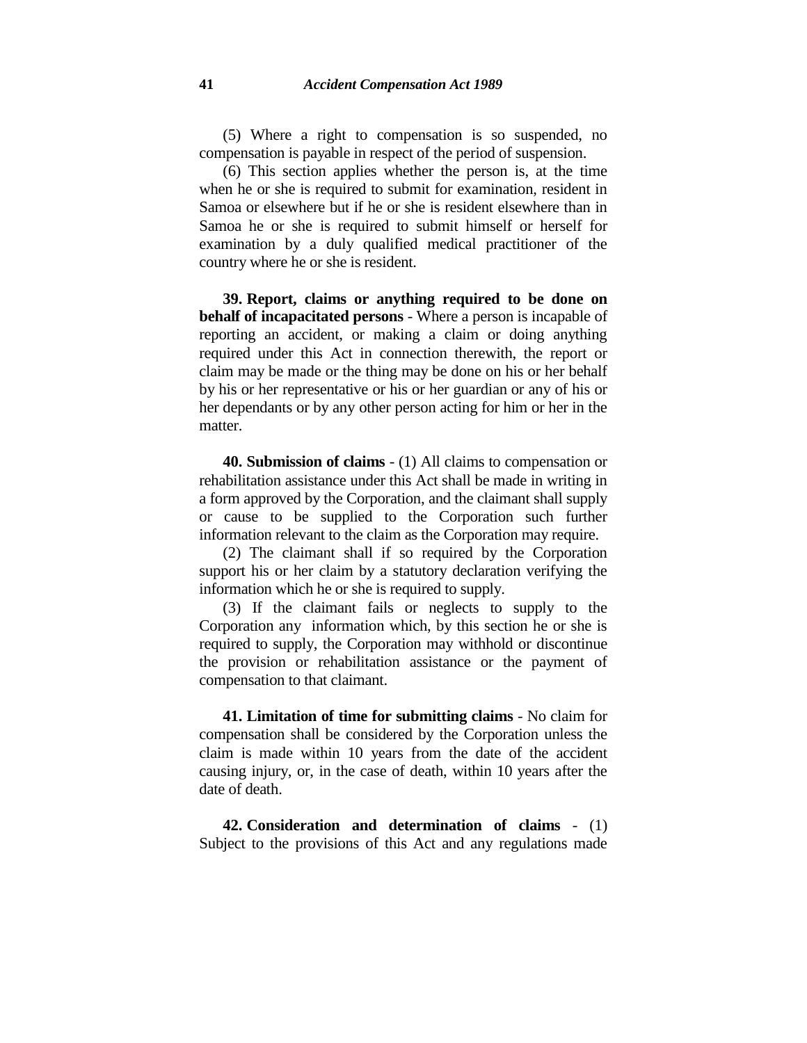(5) Where a right to compensation is so suspended, no compensation is payable in respect of the period of suspension.

(6) This section applies whether the person is, at the time when he or she is required to submit for examination, resident in Samoa or elsewhere but if he or she is resident elsewhere than in Samoa he or she is required to submit himself or herself for examination by a duly qualified medical practitioner of the country where he or she is resident.

**39. Report, claims or anything required to be done on behalf of incapacitated persons** - Where a person is incapable of reporting an accident, or making a claim or doing anything required under this Act in connection therewith, the report or claim may be made or the thing may be done on his or her behalf by his or her representative or his or her guardian or any of his or her dependants or by any other person acting for him or her in the matter.

**40. Submission of claims** - (1) All claims to compensation or rehabilitation assistance under this Act shall be made in writing in a form approved by the Corporation, and the claimant shall supply or cause to be supplied to the Corporation such further information relevant to the claim as the Corporation may require.

(2) The claimant shall if so required by the Corporation support his or her claim by a statutory declaration verifying the information which he or she is required to supply.

(3) If the claimant fails or neglects to supply to the Corporation any information which, by this section he or she is required to supply, the Corporation may withhold or discontinue the provision or rehabilitation assistance or the payment of compensation to that claimant.

**41. Limitation of time for submitting claims** - No claim for compensation shall be considered by the Corporation unless the claim is made within 10 years from the date of the accident causing injury, or, in the case of death, within 10 years after the date of death.

**42. Consideration and determination of claims** - (1) Subject to the provisions of this Act and any regulations made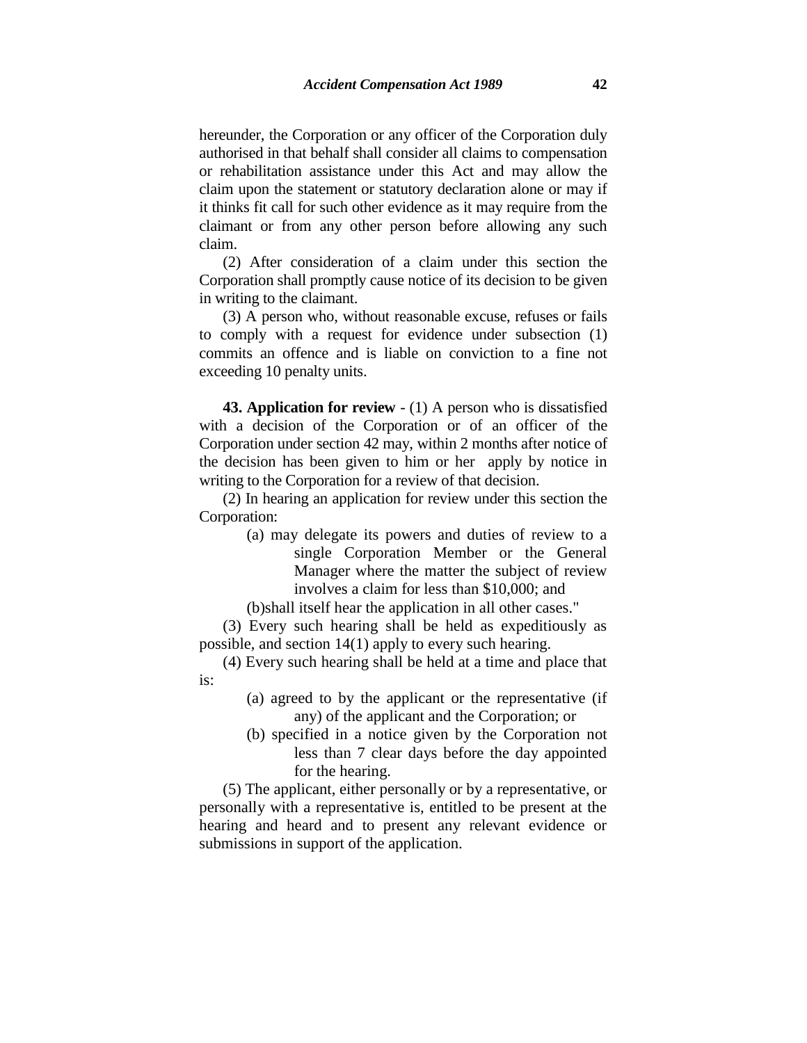hereunder, the Corporation or any officer of the Corporation duly authorised in that behalf shall consider all claims to compensation or rehabilitation assistance under this Act and may allow the claim upon the statement or statutory declaration alone or may if it thinks fit call for such other evidence as it may require from the claimant or from any other person before allowing any such claim.

(2) After consideration of a claim under this section the Corporation shall promptly cause notice of its decision to be given in writing to the claimant.

(3) A person who, without reasonable excuse, refuses or fails to comply with a request for evidence under subsection (1) commits an offence and is liable on conviction to a fine not exceeding 10 penalty units.

**43. Application for review** - (1) A person who is dissatisfied with a decision of the Corporation or of an officer of the Corporation under section 42 may, within 2 months after notice of the decision has been given to him or her apply by notice in writing to the Corporation for a review of that decision.

(2) In hearing an application for review under this section the Corporation:

- (a) may delegate its powers and duties of review to a single Corporation Member or the General Manager where the matter the subject of review involves a claim for less than \$10,000; and
- (b)shall itself hear the application in all other cases."

(3) Every such hearing shall be held as expeditiously as possible, and section 14(1) apply to every such hearing.

(4) Every such hearing shall be held at a time and place that is:

- (a) agreed to by the applicant or the representative (if any) of the applicant and the Corporation; or
- (b) specified in a notice given by the Corporation not less than 7 clear days before the day appointed for the hearing.

(5) The applicant, either personally or by a representative, or personally with a representative is, entitled to be present at the hearing and heard and to present any relevant evidence or submissions in support of the application.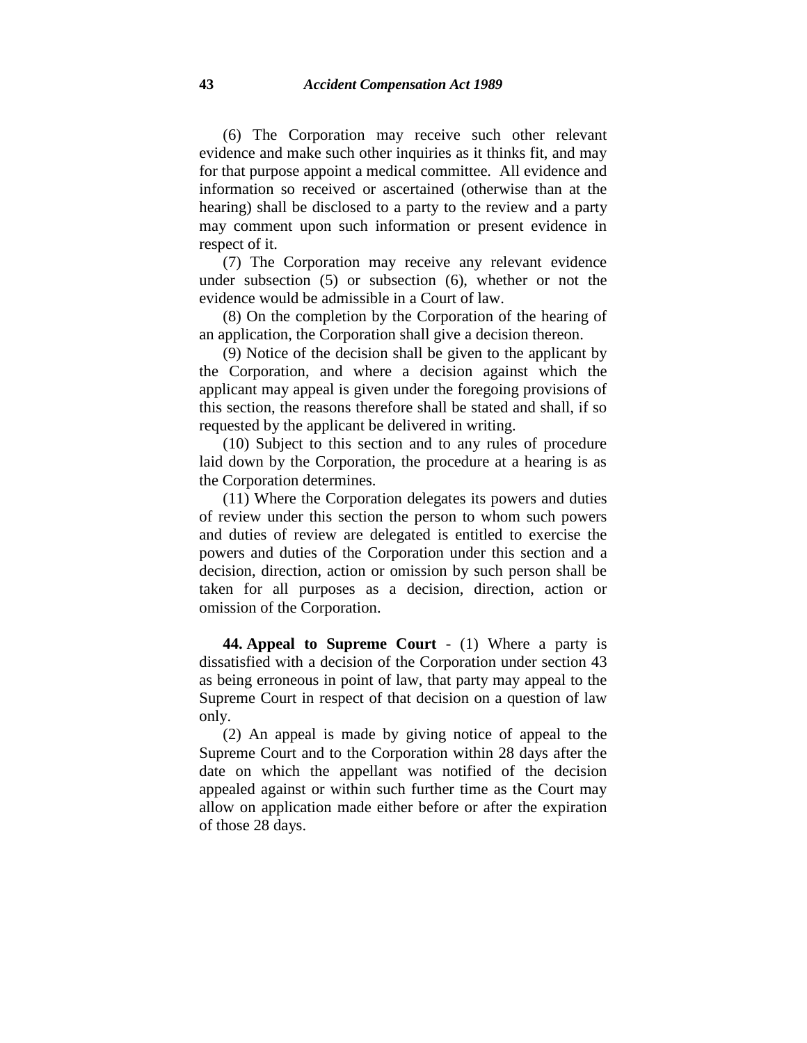(6) The Corporation may receive such other relevant evidence and make such other inquiries as it thinks fit, and may for that purpose appoint a medical committee. All evidence and information so received or ascertained (otherwise than at the hearing) shall be disclosed to a party to the review and a party may comment upon such information or present evidence in respect of it.

(7) The Corporation may receive any relevant evidence under subsection (5) or subsection (6), whether or not the evidence would be admissible in a Court of law.

(8) On the completion by the Corporation of the hearing of an application, the Corporation shall give a decision thereon.

(9) Notice of the decision shall be given to the applicant by the Corporation, and where a decision against which the applicant may appeal is given under the foregoing provisions of this section, the reasons therefore shall be stated and shall, if so requested by the applicant be delivered in writing.

(10) Subject to this section and to any rules of procedure laid down by the Corporation, the procedure at a hearing is as the Corporation determines.

(11) Where the Corporation delegates its powers and duties of review under this section the person to whom such powers and duties of review are delegated is entitled to exercise the powers and duties of the Corporation under this section and a decision, direction, action or omission by such person shall be taken for all purposes as a decision, direction, action or omission of the Corporation.

**44. Appeal to Supreme Court** - (1) Where a party is dissatisfied with a decision of the Corporation under section 43 as being erroneous in point of law, that party may appeal to the Supreme Court in respect of that decision on a question of law only.

(2) An appeal is made by giving notice of appeal to the Supreme Court and to the Corporation within 28 days after the date on which the appellant was notified of the decision appealed against or within such further time as the Court may allow on application made either before or after the expiration of those 28 days.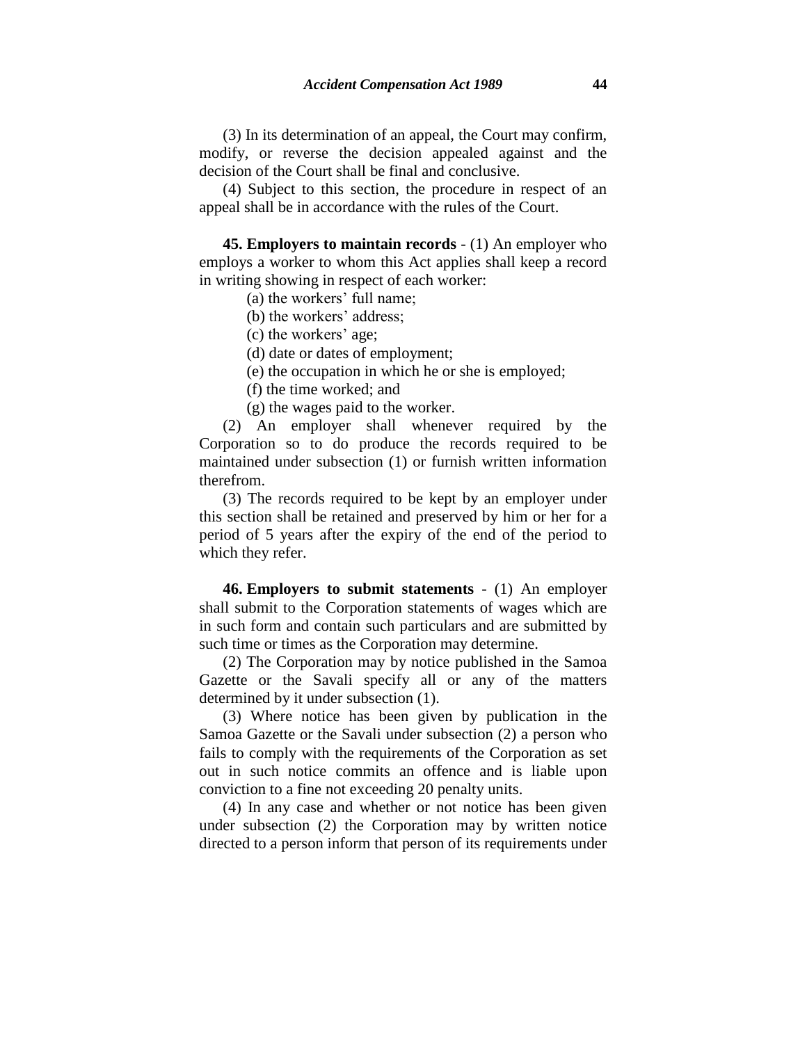(3) In its determination of an appeal, the Court may confirm, modify, or reverse the decision appealed against and the decision of the Court shall be final and conclusive.

(4) Subject to this section, the procedure in respect of an appeal shall be in accordance with the rules of the Court.

**45. Employers to maintain records** - (1) An employer who employs a worker to whom this Act applies shall keep a record in writing showing in respect of each worker:

(a) the workers' full name;

- (b) the workers' address;
- (c) the workers' age;
- (d) date or dates of employment;
- (e) the occupation in which he or she is employed;
- (f) the time worked; and
- (g) the wages paid to the worker.

(2) An employer shall whenever required by the Corporation so to do produce the records required to be maintained under subsection (1) or furnish written information therefrom.

(3) The records required to be kept by an employer under this section shall be retained and preserved by him or her for a period of 5 years after the expiry of the end of the period to which they refer.

**46. Employers to submit statements** - (1) An employer shall submit to the Corporation statements of wages which are in such form and contain such particulars and are submitted by such time or times as the Corporation may determine.

(2) The Corporation may by notice published in the Samoa Gazette or the Savali specify all or any of the matters determined by it under subsection (1).

(3) Where notice has been given by publication in the Samoa Gazette or the Savali under subsection (2) a person who fails to comply with the requirements of the Corporation as set out in such notice commits an offence and is liable upon conviction to a fine not exceeding 20 penalty units.

(4) In any case and whether or not notice has been given under subsection (2) the Corporation may by written notice directed to a person inform that person of its requirements under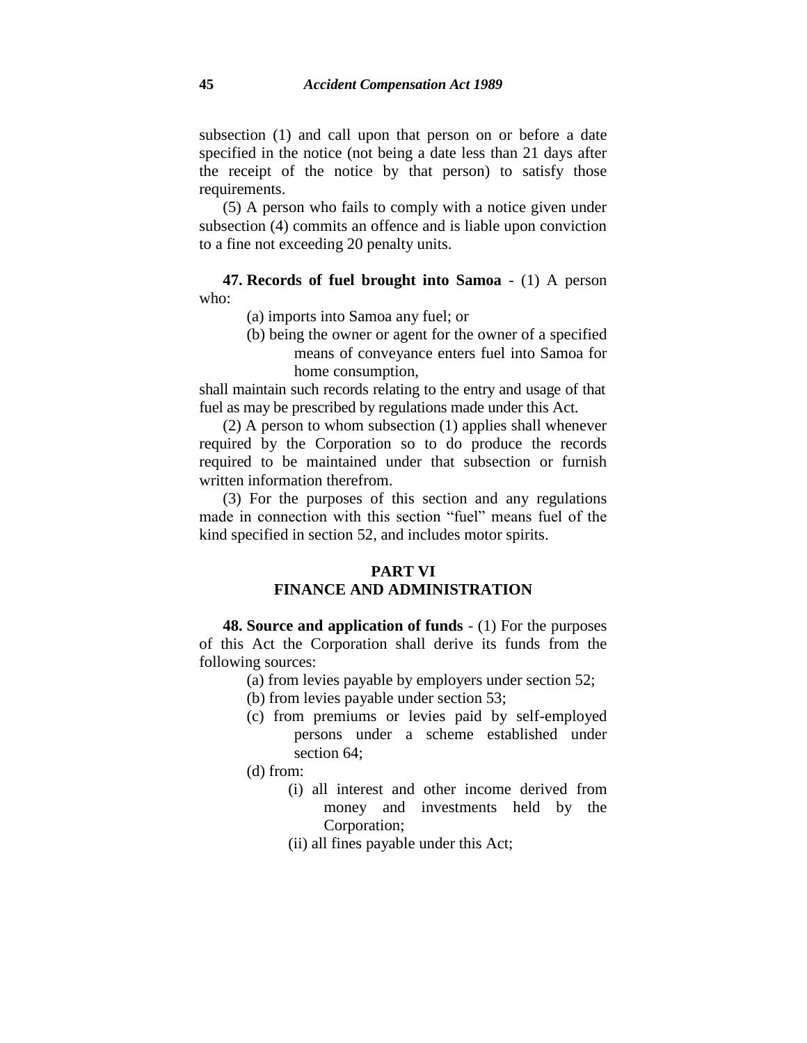subsection (1) and call upon that person on or before a date specified in the notice (not being a date less than 21 days after the receipt of the notice by that person) to satisfy those requirements.

(5) A person who fails to comply with a notice given under subsection (4) commits an offence and is liable upon conviction to a fine not exceeding 20 penalty units.

**47. Records of fuel brought into Samoa** - (1) A person who:

- (a) imports into Samoa any fuel; or
- (b) being the owner or agent for the owner of a specified means of conveyance enters fuel into Samoa for home consumption,

shall maintain such records relating to the entry and usage of that fuel as may be prescribed by regulations made under this Act.

(2) A person to whom subsection (1) applies shall whenever required by the Corporation so to do produce the records required to be maintained under that subsection or furnish written information therefrom.

(3) For the purposes of this section and any regulations made in connection with this section "fuel" means fuel of the kind specified in section 52, and includes motor spirits.

## **PART VI FINANCE AND ADMINISTRATION**

**48. Source and application of funds** - (1) For the purposes of this Act the Corporation shall derive its funds from the following sources:

- (a) from levies payable by employers under section 52;
- (b) from levies payable under section 53;
- (c) from premiums or levies paid by self-employed persons under a scheme established under section 64;
- (d) from:
	- (i) all interest and other income derived from money and investments held by the Corporation;
	- (ii) all fines payable under this Act;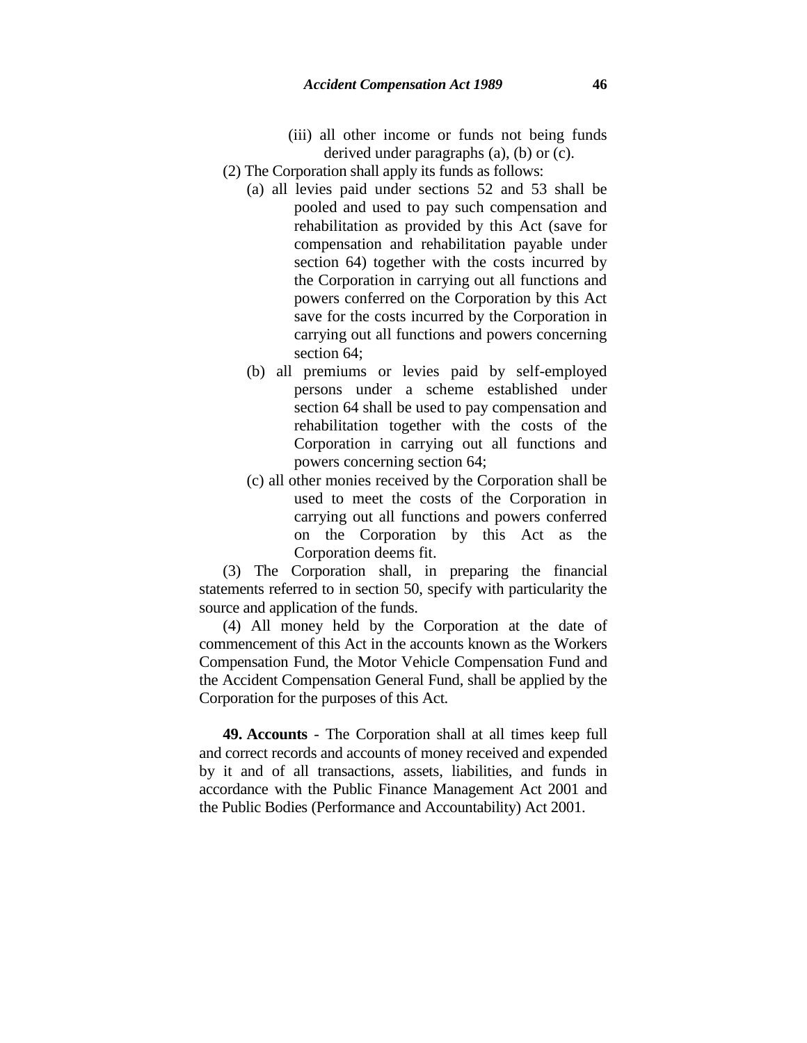- (iii) all other income or funds not being funds derived under paragraphs (a), (b) or (c).
- (2) The Corporation shall apply its funds as follows:
	- (a) all levies paid under sections 52 and 53 shall be pooled and used to pay such compensation and rehabilitation as provided by this Act (save for compensation and rehabilitation payable under section 64) together with the costs incurred by the Corporation in carrying out all functions and powers conferred on the Corporation by this Act save for the costs incurred by the Corporation in carrying out all functions and powers concerning section 64;
	- (b) all premiums or levies paid by self-employed persons under a scheme established under section 64 shall be used to pay compensation and rehabilitation together with the costs of the Corporation in carrying out all functions and powers concerning section 64;
	- (c) all other monies received by the Corporation shall be used to meet the costs of the Corporation in carrying out all functions and powers conferred on the Corporation by this Act as the Corporation deems fit.

(3) The Corporation shall, in preparing the financial statements referred to in section 50, specify with particularity the source and application of the funds.

(4) All money held by the Corporation at the date of commencement of this Act in the accounts known as the Workers Compensation Fund, the Motor Vehicle Compensation Fund and the Accident Compensation General Fund, shall be applied by the Corporation for the purposes of this Act.

**49. Accounts** - The Corporation shall at all times keep full and correct records and accounts of money received and expended by it and of all transactions, assets, liabilities, and funds in accordance with the Public Finance Management Act 2001 and the Public Bodies (Performance and Accountability) Act 2001.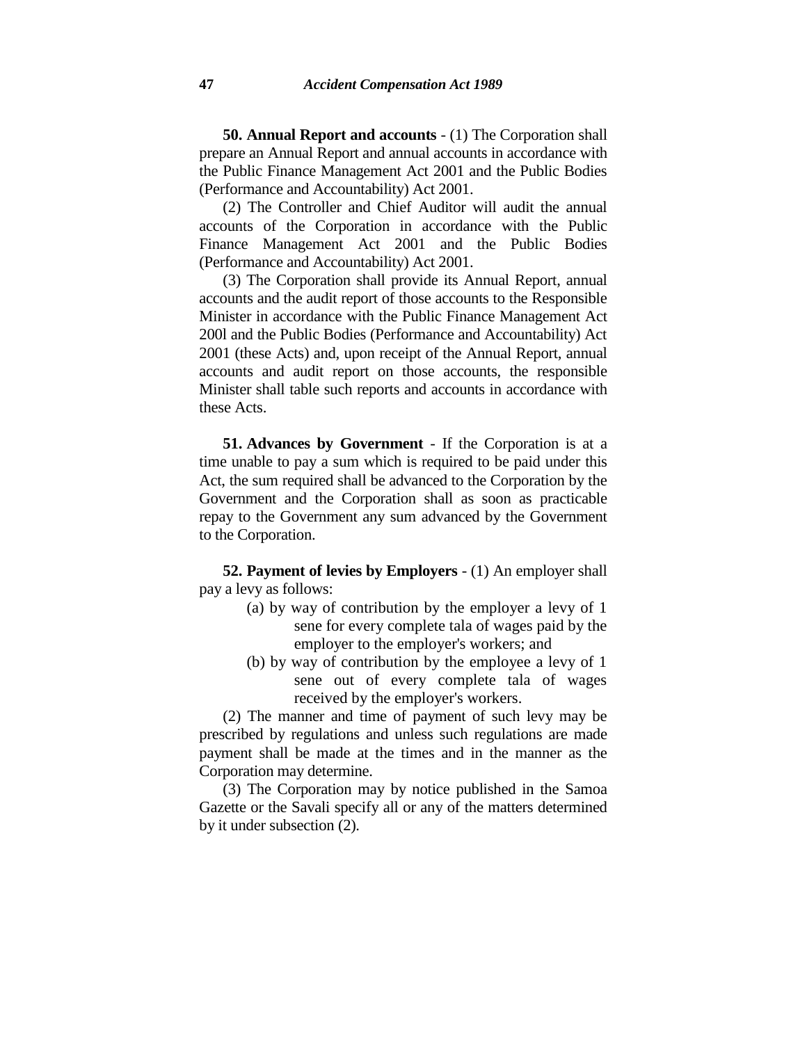**50. Annual Report and accounts** - (1) The Corporation shall prepare an Annual Report and annual accounts in accordance with the Public Finance Management Act 2001 and the Public Bodies (Performance and Accountability) Act 2001.

(2) The Controller and Chief Auditor will audit the annual accounts of the Corporation in accordance with the Public Finance Management Act 2001 and the Public Bodies (Performance and Accountability) Act 2001.

(3) The Corporation shall provide its Annual Report, annual accounts and the audit report of those accounts to the Responsible Minister in accordance with the Public Finance Management Act 200l and the Public Bodies (Performance and Accountability) Act 2001 (these Acts) and, upon receipt of the Annual Report, annual accounts and audit report on those accounts, the responsible Minister shall table such reports and accounts in accordance with these Acts.

**51. Advances by Government** - If the Corporation is at a time unable to pay a sum which is required to be paid under this Act, the sum required shall be advanced to the Corporation by the Government and the Corporation shall as soon as practicable repay to the Government any sum advanced by the Government to the Corporation.

**52. Payment of levies by Employers** - (1) An employer shall pay a levy as follows:

- (a) by way of contribution by the employer a levy of 1 sene for every complete tala of wages paid by the employer to the employer's workers; and
- (b) by way of contribution by the employee a levy of 1 sene out of every complete tala of wages received by the employer's workers.

(2) The manner and time of payment of such levy may be prescribed by regulations and unless such regulations are made payment shall be made at the times and in the manner as the Corporation may determine.

(3) The Corporation may by notice published in the Samoa Gazette or the Savali specify all or any of the matters determined by it under subsection (2).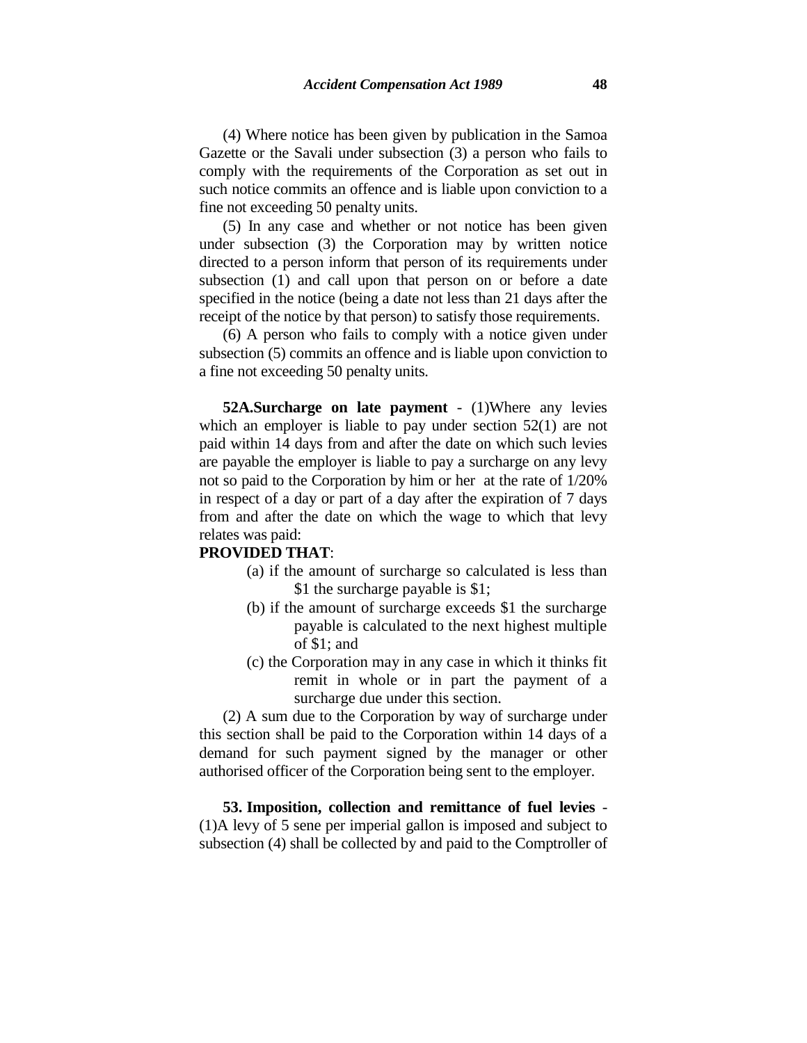(4) Where notice has been given by publication in the Samoa Gazette or the Savali under subsection (3) a person who fails to comply with the requirements of the Corporation as set out in such notice commits an offence and is liable upon conviction to a fine not exceeding 50 penalty units.

(5) In any case and whether or not notice has been given under subsection (3) the Corporation may by written notice directed to a person inform that person of its requirements under subsection (1) and call upon that person on or before a date specified in the notice (being a date not less than 21 days after the receipt of the notice by that person) to satisfy those requirements.

(6) A person who fails to comply with a notice given under subsection (5) commits an offence and is liable upon conviction to a fine not exceeding 50 penalty units.

**52A.Surcharge on late payment** - (1)Where any levies which an employer is liable to pay under section 52(1) are not paid within 14 days from and after the date on which such levies are payable the employer is liable to pay a surcharge on any levy not so paid to the Corporation by him or her at the rate of 1/20% in respect of a day or part of a day after the expiration of 7 days from and after the date on which the wage to which that levy relates was paid:

#### **PROVIDED THAT**:

- (a) if the amount of surcharge so calculated is less than \$1 the surcharge payable is \$1;
- (b) if the amount of surcharge exceeds \$1 the surcharge payable is calculated to the next highest multiple of \$1; and
- (c) the Corporation may in any case in which it thinks fit remit in whole or in part the payment of a surcharge due under this section.

(2) A sum due to the Corporation by way of surcharge under this section shall be paid to the Corporation within 14 days of a demand for such payment signed by the manager or other authorised officer of the Corporation being sent to the employer.

**53. Imposition, collection and remittance of fuel levies** - (1)A levy of 5 sene per imperial gallon is imposed and subject to subsection (4) shall be collected by and paid to the Comptroller of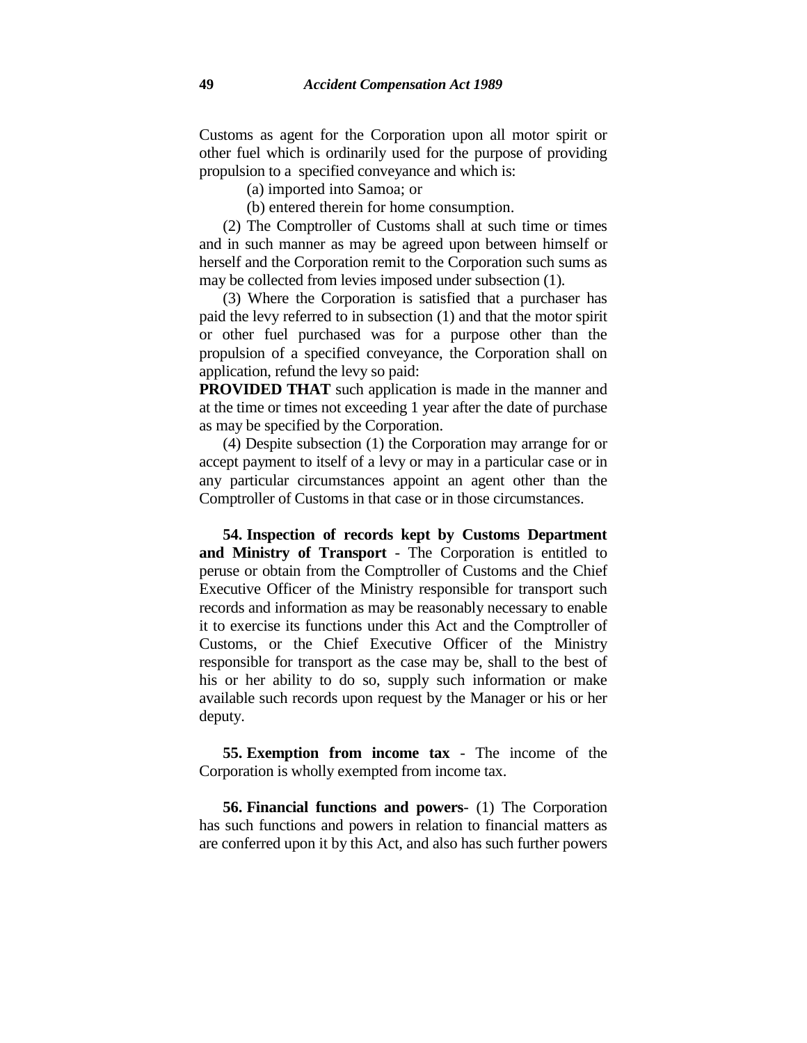Customs as agent for the Corporation upon all motor spirit or other fuel which is ordinarily used for the purpose of providing propulsion to a specified conveyance and which is:

(a) imported into Samoa; or

(b) entered therein for home consumption.

(2) The Comptroller of Customs shall at such time or times and in such manner as may be agreed upon between himself or herself and the Corporation remit to the Corporation such sums as may be collected from levies imposed under subsection (1).

(3) Where the Corporation is satisfied that a purchaser has paid the levy referred to in subsection (1) and that the motor spirit or other fuel purchased was for a purpose other than the propulsion of a specified conveyance, the Corporation shall on application, refund the levy so paid:

**PROVIDED THAT** such application is made in the manner and at the time or times not exceeding 1 year after the date of purchase as may be specified by the Corporation.

(4) Despite subsection (1) the Corporation may arrange for or accept payment to itself of a levy or may in a particular case or in any particular circumstances appoint an agent other than the Comptroller of Customs in that case or in those circumstances.

**54. Inspection of records kept by Customs Department and Ministry of Transport** - The Corporation is entitled to peruse or obtain from the Comptroller of Customs and the Chief Executive Officer of the Ministry responsible for transport such records and information as may be reasonably necessary to enable it to exercise its functions under this Act and the Comptroller of Customs, or the Chief Executive Officer of the Ministry responsible for transport as the case may be, shall to the best of his or her ability to do so, supply such information or make available such records upon request by the Manager or his or her deputy.

**55. Exemption from income tax** - The income of the Corporation is wholly exempted from income tax.

**56. Financial functions and powers**- (1) The Corporation has such functions and powers in relation to financial matters as are conferred upon it by this Act, and also has such further powers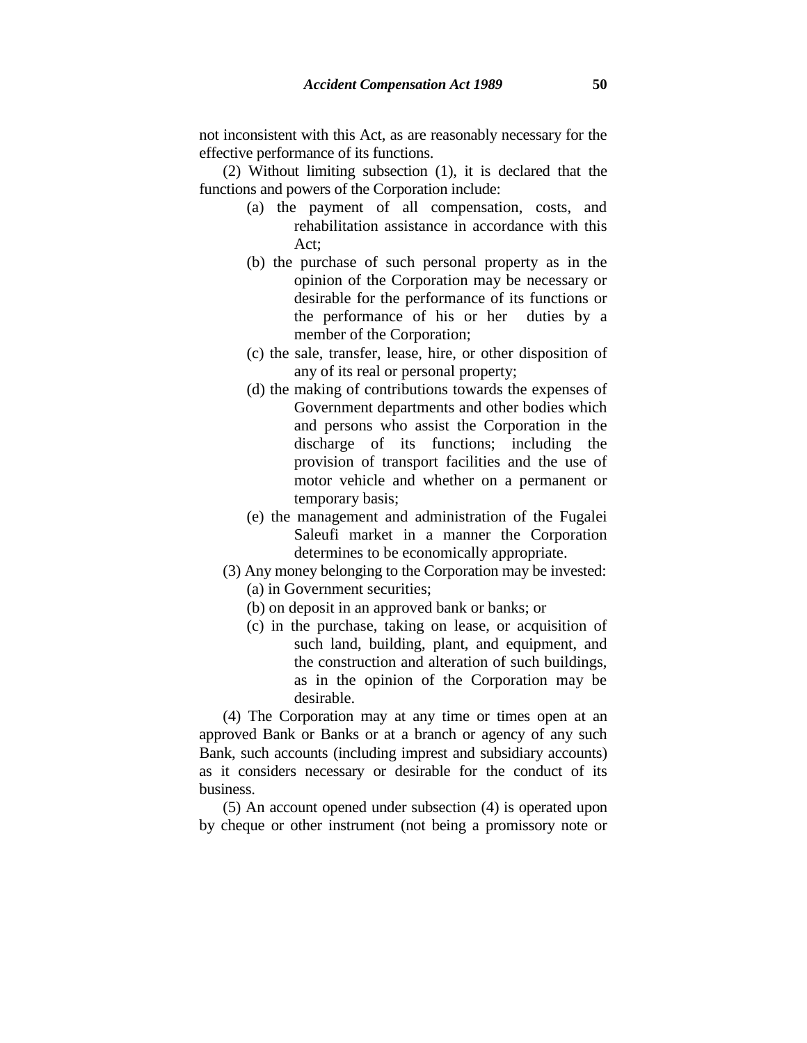not inconsistent with this Act, as are reasonably necessary for the effective performance of its functions.

(2) Without limiting subsection (1), it is declared that the functions and powers of the Corporation include:

- (a) the payment of all compensation, costs, and rehabilitation assistance in accordance with this Act;
- (b) the purchase of such personal property as in the opinion of the Corporation may be necessary or desirable for the performance of its functions or the performance of his or her duties by a member of the Corporation;
- (c) the sale, transfer, lease, hire, or other disposition of any of its real or personal property;
- (d) the making of contributions towards the expenses of Government departments and other bodies which and persons who assist the Corporation in the discharge of its functions; including the provision of transport facilities and the use of motor vehicle and whether on a permanent or temporary basis;
- (e) the management and administration of the Fugalei Saleufi market in a manner the Corporation determines to be economically appropriate.
- (3) Any money belonging to the Corporation may be invested: (a) in Government securities;
	- (b) on deposit in an approved bank or banks; or
	- (c) in the purchase, taking on lease, or acquisition of such land, building, plant, and equipment, and the construction and alteration of such buildings, as in the opinion of the Corporation may be desirable.

(4) The Corporation may at any time or times open at an approved Bank or Banks or at a branch or agency of any such Bank, such accounts (including imprest and subsidiary accounts) as it considers necessary or desirable for the conduct of its business.

(5) An account opened under subsection (4) is operated upon by cheque or other instrument (not being a promissory note or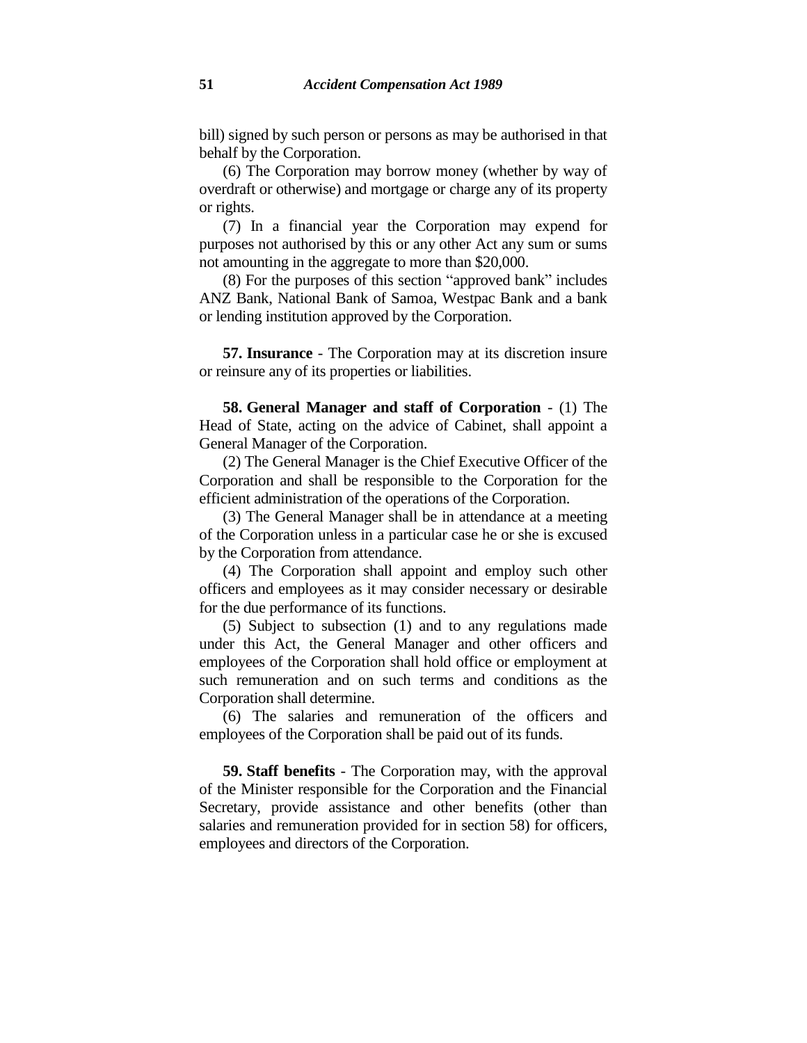bill) signed by such person or persons as may be authorised in that behalf by the Corporation.

(6) The Corporation may borrow money (whether by way of overdraft or otherwise) and mortgage or charge any of its property or rights.

(7) In a financial year the Corporation may expend for purposes not authorised by this or any other Act any sum or sums not amounting in the aggregate to more than \$20,000.

(8) For the purposes of this section "approved bank" includes ANZ Bank, National Bank of Samoa, Westpac Bank and a bank or lending institution approved by the Corporation.

**57. Insurance** - The Corporation may at its discretion insure or reinsure any of its properties or liabilities.

**58. General Manager and staff of Corporation** - (1) The Head of State, acting on the advice of Cabinet, shall appoint a General Manager of the Corporation.

(2) The General Manager is the Chief Executive Officer of the Corporation and shall be responsible to the Corporation for the efficient administration of the operations of the Corporation.

(3) The General Manager shall be in attendance at a meeting of the Corporation unless in a particular case he or she is excused by the Corporation from attendance.

(4) The Corporation shall appoint and employ such other officers and employees as it may consider necessary or desirable for the due performance of its functions.

(5) Subject to subsection (1) and to any regulations made under this Act, the General Manager and other officers and employees of the Corporation shall hold office or employment at such remuneration and on such terms and conditions as the Corporation shall determine.

(6) The salaries and remuneration of the officers and employees of the Corporation shall be paid out of its funds.

**59. Staff benefits** - The Corporation may, with the approval of the Minister responsible for the Corporation and the Financial Secretary, provide assistance and other benefits (other than salaries and remuneration provided for in section 58) for officers, employees and directors of the Corporation.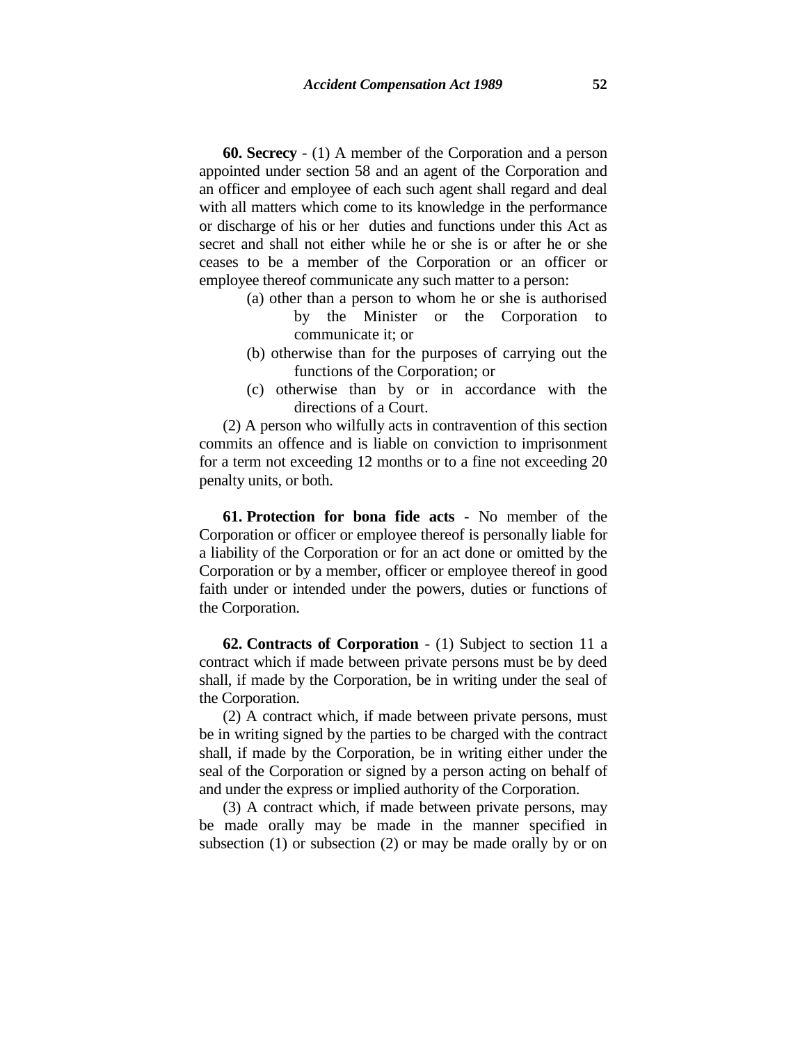**60. Secrecy** - (1) A member of the Corporation and a person appointed under section 58 and an agent of the Corporation and an officer and employee of each such agent shall regard and deal with all matters which come to its knowledge in the performance or discharge of his or her duties and functions under this Act as secret and shall not either while he or she is or after he or she ceases to be a member of the Corporation or an officer or employee thereof communicate any such matter to a person:

- (a) other than a person to whom he or she is authorised
	- by the Minister or the Corporation to communicate it; or
- (b) otherwise than for the purposes of carrying out the functions of the Corporation; or
- (c) otherwise than by or in accordance with the directions of a Court.

(2) A person who wilfully acts in contravention of this section commits an offence and is liable on conviction to imprisonment for a term not exceeding 12 months or to a fine not exceeding 20 penalty units, or both.

**61. Protection for bona fide acts** - No member of the Corporation or officer or employee thereof is personally liable for a liability of the Corporation or for an act done or omitted by the Corporation or by a member, officer or employee thereof in good faith under or intended under the powers, duties or functions of the Corporation.

**62. Contracts of Corporation** - (1) Subject to section 11 a contract which if made between private persons must be by deed shall, if made by the Corporation, be in writing under the seal of the Corporation.

(2) A contract which, if made between private persons, must be in writing signed by the parties to be charged with the contract shall, if made by the Corporation, be in writing either under the seal of the Corporation or signed by a person acting on behalf of and under the express or implied authority of the Corporation.

(3) A contract which, if made between private persons, may be made orally may be made in the manner specified in subsection (1) or subsection (2) or may be made orally by or on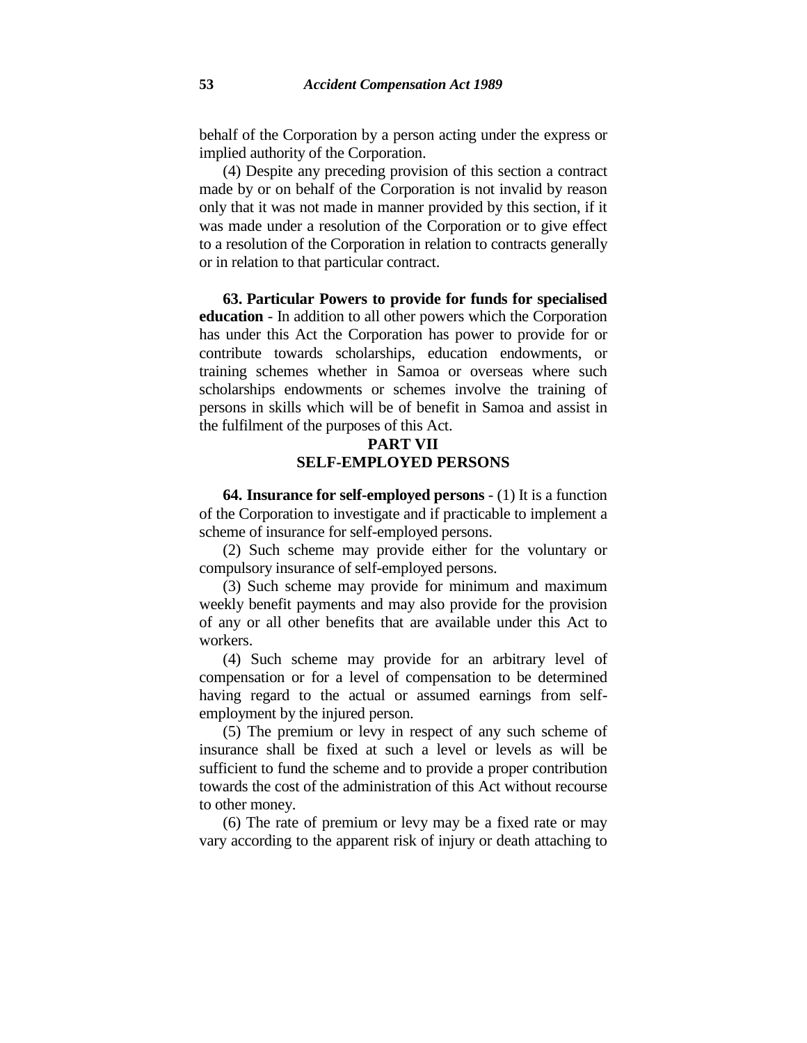behalf of the Corporation by a person acting under the express or implied authority of the Corporation.

(4) Despite any preceding provision of this section a contract made by or on behalf of the Corporation is not invalid by reason only that it was not made in manner provided by this section, if it was made under a resolution of the Corporation or to give effect to a resolution of the Corporation in relation to contracts generally or in relation to that particular contract.

**63. Particular Powers to provide for funds for specialised education** - In addition to all other powers which the Corporation has under this Act the Corporation has power to provide for or contribute towards scholarships, education endowments, or training schemes whether in Samoa or overseas where such scholarships endowments or schemes involve the training of persons in skills which will be of benefit in Samoa and assist in the fulfilment of the purposes of this Act.

## **PART VII SELF-EMPLOYED PERSONS**

**64. Insurance for self-employed persons** - (1) It is a function of the Corporation to investigate and if practicable to implement a scheme of insurance for self-employed persons.

(2) Such scheme may provide either for the voluntary or compulsory insurance of self-employed persons.

(3) Such scheme may provide for minimum and maximum weekly benefit payments and may also provide for the provision of any or all other benefits that are available under this Act to workers.

(4) Such scheme may provide for an arbitrary level of compensation or for a level of compensation to be determined having regard to the actual or assumed earnings from selfemployment by the injured person.

(5) The premium or levy in respect of any such scheme of insurance shall be fixed at such a level or levels as will be sufficient to fund the scheme and to provide a proper contribution towards the cost of the administration of this Act without recourse to other money.

(6) The rate of premium or levy may be a fixed rate or may vary according to the apparent risk of injury or death attaching to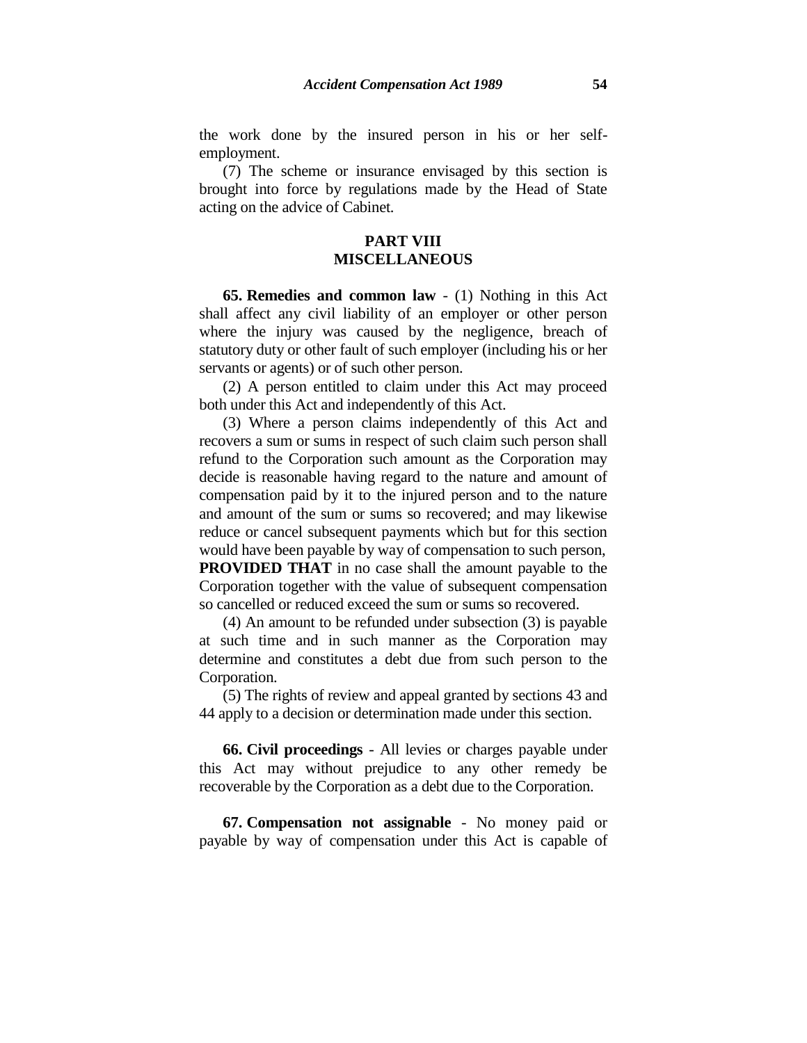the work done by the insured person in his or her selfemployment.

(7) The scheme or insurance envisaged by this section is brought into force by regulations made by the Head of State acting on the advice of Cabinet.

## **PART VIII MISCELLANEOUS**

**65. Remedies and common law** - (1) Nothing in this Act shall affect any civil liability of an employer or other person where the injury was caused by the negligence, breach of statutory duty or other fault of such employer (including his or her servants or agents) or of such other person.

(2) A person entitled to claim under this Act may proceed both under this Act and independently of this Act.

(3) Where a person claims independently of this Act and recovers a sum or sums in respect of such claim such person shall refund to the Corporation such amount as the Corporation may decide is reasonable having regard to the nature and amount of compensation paid by it to the injured person and to the nature and amount of the sum or sums so recovered; and may likewise reduce or cancel subsequent payments which but for this section would have been payable by way of compensation to such person, **PROVIDED THAT** in no case shall the amount payable to the Corporation together with the value of subsequent compensation so cancelled or reduced exceed the sum or sums so recovered.

(4) An amount to be refunded under subsection (3) is payable at such time and in such manner as the Corporation may determine and constitutes a debt due from such person to the Corporation.

(5) The rights of review and appeal granted by sections 43 and 44 apply to a decision or determination made under this section.

**66. Civil proceedings** - All levies or charges payable under this Act may without prejudice to any other remedy be recoverable by the Corporation as a debt due to the Corporation.

**67. Compensation not assignable** - No money paid or payable by way of compensation under this Act is capable of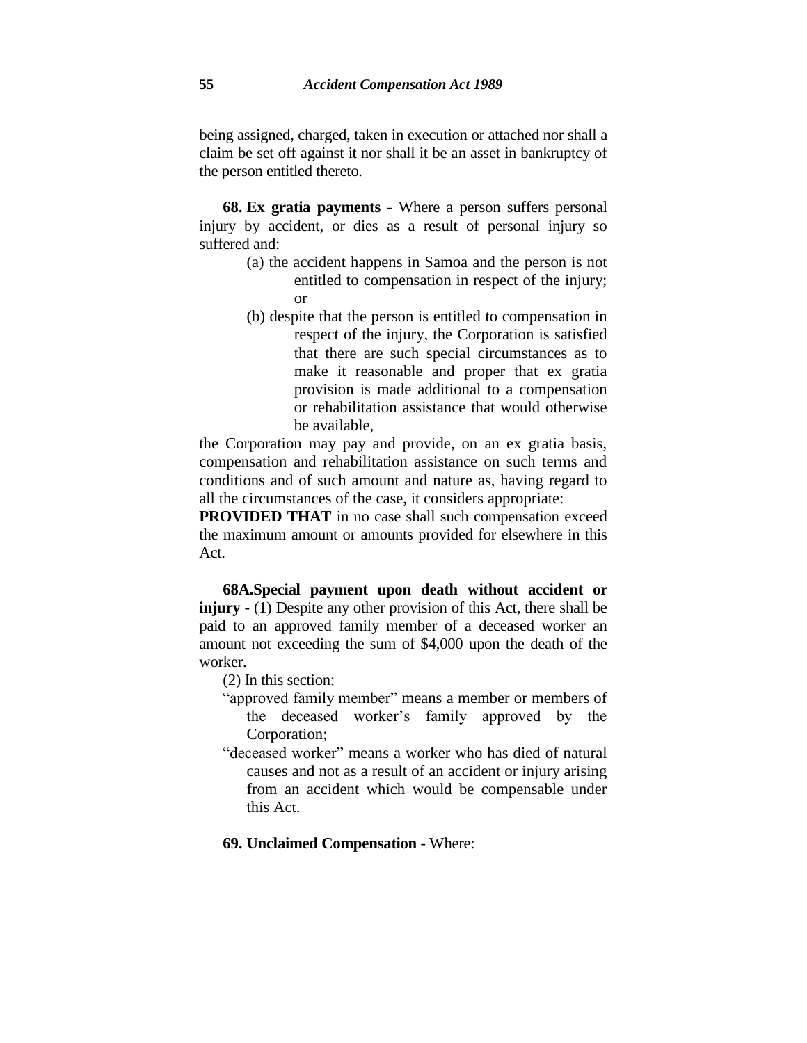being assigned, charged, taken in execution or attached nor shall a claim be set off against it nor shall it be an asset in bankruptcy of the person entitled thereto.

**68. Ex gratia payments** - Where a person suffers personal injury by accident, or dies as a result of personal injury so suffered and:

- (a) the accident happens in Samoa and the person is not entitled to compensation in respect of the injury; or
- (b) despite that the person is entitled to compensation in respect of the injury, the Corporation is satisfied that there are such special circumstances as to make it reasonable and proper that ex gratia provision is made additional to a compensation or rehabilitation assistance that would otherwise be available,

the Corporation may pay and provide, on an ex gratia basis, compensation and rehabilitation assistance on such terms and conditions and of such amount and nature as, having regard to all the circumstances of the case, it considers appropriate:

**PROVIDED THAT** in no case shall such compensation exceed the maximum amount or amounts provided for elsewhere in this Act.

**68A.Special payment upon death without accident or injury** - (1) Despite any other provision of this Act, there shall be paid to an approved family member of a deceased worker an amount not exceeding the sum of \$4,000 upon the death of the worker.

(2) In this section:

- "approved family member" means a member or members of the deceased worker's family approved by the Corporation:
- "deceased worker" means a worker who has died of natural causes and not as a result of an accident or injury arising from an accident which would be compensable under this Act.

**69. Unclaimed Compensation** - Where: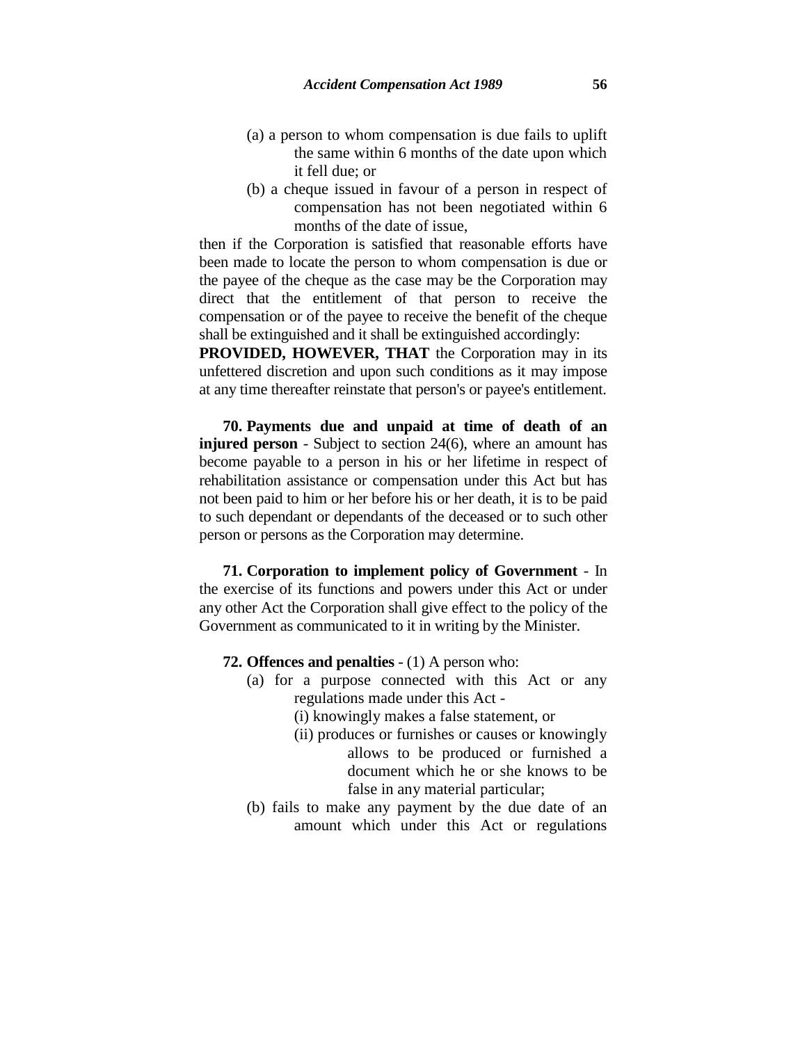- (a) a person to whom compensation is due fails to uplift the same within 6 months of the date upon which it fell due; or
- (b) a cheque issued in favour of a person in respect of compensation has not been negotiated within 6 months of the date of issue,

then if the Corporation is satisfied that reasonable efforts have been made to locate the person to whom compensation is due or the payee of the cheque as the case may be the Corporation may direct that the entitlement of that person to receive the compensation or of the payee to receive the benefit of the cheque shall be extinguished and it shall be extinguished accordingly:

**PROVIDED, HOWEVER, THAT** the Corporation may in its unfettered discretion and upon such conditions as it may impose at any time thereafter reinstate that person's or payee's entitlement.

**70. Payments due and unpaid at time of death of an injured person** - Subject to section 24(6), where an amount has become payable to a person in his or her lifetime in respect of rehabilitation assistance or compensation under this Act but has not been paid to him or her before his or her death, it is to be paid to such dependant or dependants of the deceased or to such other person or persons as the Corporation may determine.

**71. Corporation to implement policy of Government** - In the exercise of its functions and powers under this Act or under any other Act the Corporation shall give effect to the policy of the Government as communicated to it in writing by the Minister.

- **72. Offences and penalties** (1) A person who:
	- (a) for a purpose connected with this Act or any regulations made under this Act -
		- (i) knowingly makes a false statement, or
		- (ii) produces or furnishes or causes or knowingly allows to be produced or furnished a document which he or she knows to be false in any material particular;
	- (b) fails to make any payment by the due date of an amount which under this Act or regulations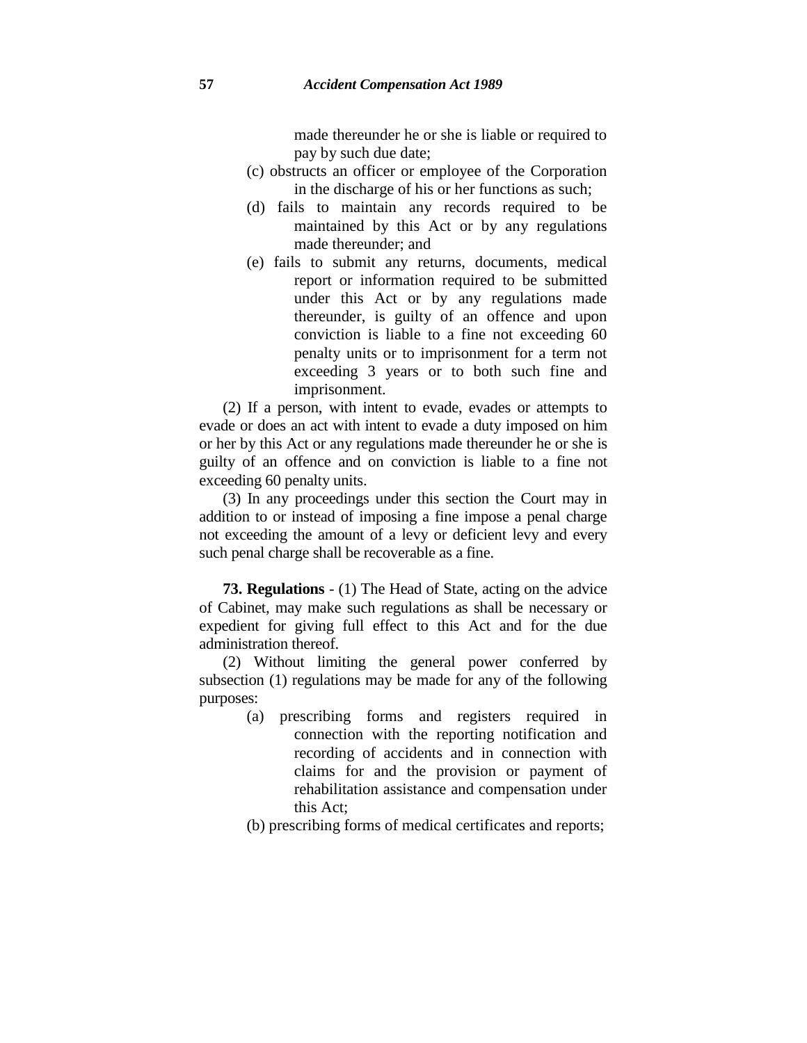made thereunder he or she is liable or required to pay by such due date;

- (c) obstructs an officer or employee of the Corporation in the discharge of his or her functions as such;
- (d) fails to maintain any records required to be maintained by this Act or by any regulations made thereunder; and
- (e) fails to submit any returns, documents, medical report or information required to be submitted under this Act or by any regulations made thereunder, is guilty of an offence and upon conviction is liable to a fine not exceeding 60 penalty units or to imprisonment for a term not exceeding 3 years or to both such fine and imprisonment.

(2) If a person, with intent to evade, evades or attempts to evade or does an act with intent to evade a duty imposed on him or her by this Act or any regulations made thereunder he or she is guilty of an offence and on conviction is liable to a fine not exceeding 60 penalty units.

(3) In any proceedings under this section the Court may in addition to or instead of imposing a fine impose a penal charge not exceeding the amount of a levy or deficient levy and every such penal charge shall be recoverable as a fine.

**73. Regulations** - (1) The Head of State, acting on the advice of Cabinet, may make such regulations as shall be necessary or expedient for giving full effect to this Act and for the due administration thereof.

(2) Without limiting the general power conferred by subsection (1) regulations may be made for any of the following purposes:

- (a) prescribing forms and registers required in connection with the reporting notification and recording of accidents and in connection with claims for and the provision or payment of rehabilitation assistance and compensation under this Act;
- (b) prescribing forms of medical certificates and reports;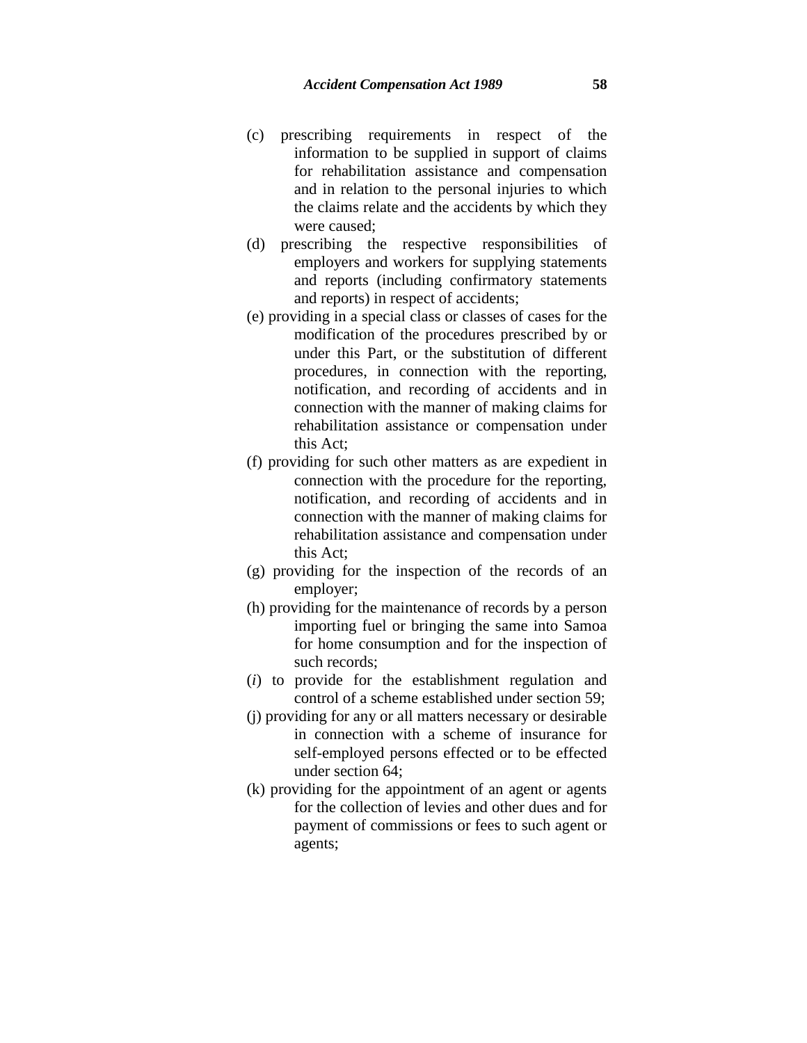- (c) prescribing requirements in respect of the information to be supplied in support of claims for rehabilitation assistance and compensation and in relation to the personal injuries to which the claims relate and the accidents by which they were caused;
- (d) prescribing the respective responsibilities of employers and workers for supplying statements and reports (including confirmatory statements and reports) in respect of accidents;
- (e) providing in a special class or classes of cases for the modification of the procedures prescribed by or under this Part, or the substitution of different procedures, in connection with the reporting, notification, and recording of accidents and in connection with the manner of making claims for rehabilitation assistance or compensation under this Act;
- (f) providing for such other matters as are expedient in connection with the procedure for the reporting, notification, and recording of accidents and in connection with the manner of making claims for rehabilitation assistance and compensation under this Act;
- (g) providing for the inspection of the records of an employer;
- (h) providing for the maintenance of records by a person importing fuel or bringing the same into Samoa for home consumption and for the inspection of such records;
- (*i*) to provide for the establishment regulation and control of a scheme established under section 59;
- (j) providing for any or all matters necessary or desirable in connection with a scheme of insurance for self-employed persons effected or to be effected under section 64;
- (k) providing for the appointment of an agent or agents for the collection of levies and other dues and for payment of commissions or fees to such agent or agents;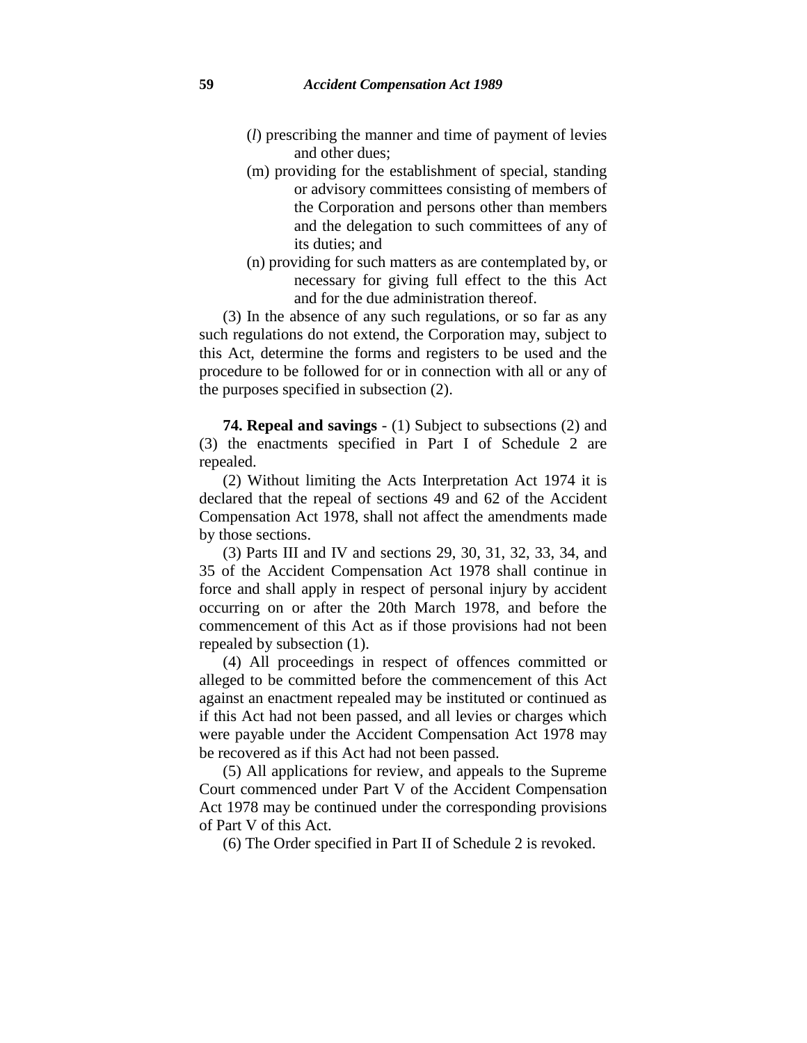- (*l*) prescribing the manner and time of payment of levies and other dues;
- (m) providing for the establishment of special, standing or advisory committees consisting of members of the Corporation and persons other than members and the delegation to such committees of any of its duties; and
- (n) providing for such matters as are contemplated by, or necessary for giving full effect to the this Act and for the due administration thereof.

(3) In the absence of any such regulations, or so far as any such regulations do not extend, the Corporation may, subject to this Act, determine the forms and registers to be used and the procedure to be followed for or in connection with all or any of the purposes specified in subsection (2).

**74. Repeal and savings** - (1) Subject to subsections (2) and (3) the enactments specified in Part I of Schedule 2 are repealed.

(2) Without limiting the Acts Interpretation Act 1974 it is declared that the repeal of sections 49 and 62 of the Accident Compensation Act 1978, shall not affect the amendments made by those sections.

(3) Parts III and IV and sections 29, 30, 31, 32, 33, 34, and 35 of the Accident Compensation Act 1978 shall continue in force and shall apply in respect of personal injury by accident occurring on or after the 20th March 1978, and before the commencement of this Act as if those provisions had not been repealed by subsection (1).

(4) All proceedings in respect of offences committed or alleged to be committed before the commencement of this Act against an enactment repealed may be instituted or continued as if this Act had not been passed, and all levies or charges which were payable under the Accident Compensation Act 1978 may be recovered as if this Act had not been passed.

(5) All applications for review, and appeals to the Supreme Court commenced under Part V of the Accident Compensation Act 1978 may be continued under the corresponding provisions of Part V of this Act.

(6) The Order specified in Part II of Schedule 2 is revoked.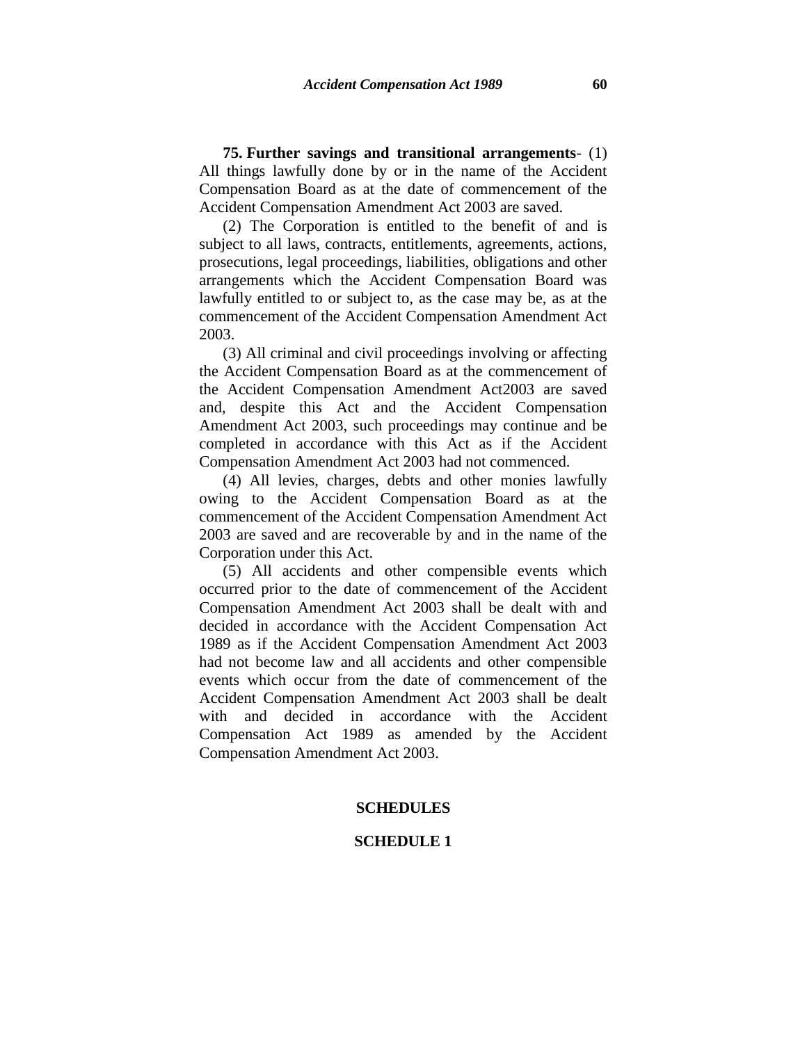**75. Further savings and transitional arrangements**- (1) All things lawfully done by or in the name of the Accident Compensation Board as at the date of commencement of the Accident Compensation Amendment Act 2003 are saved.

(2) The Corporation is entitled to the benefit of and is subject to all laws, contracts, entitlements, agreements, actions, prosecutions, legal proceedings, liabilities, obligations and other arrangements which the Accident Compensation Board was lawfully entitled to or subject to, as the case may be, as at the commencement of the Accident Compensation Amendment Act 2003.

(3) All criminal and civil proceedings involving or affecting the Accident Compensation Board as at the commencement of the Accident Compensation Amendment Act2003 are saved and, despite this Act and the Accident Compensation Amendment Act 2003, such proceedings may continue and be completed in accordance with this Act as if the Accident Compensation Amendment Act 2003 had not commenced.

(4) All levies, charges, debts and other monies lawfully owing to the Accident Compensation Board as at the commencement of the Accident Compensation Amendment Act 2003 are saved and are recoverable by and in the name of the Corporation under this Act.

(5) All accidents and other compensible events which occurred prior to the date of commencement of the Accident Compensation Amendment Act 2003 shall be dealt with and decided in accordance with the Accident Compensation Act 1989 as if the Accident Compensation Amendment Act 2003 had not become law and all accidents and other compensible events which occur from the date of commencement of the Accident Compensation Amendment Act 2003 shall be dealt with and decided in accordance with the Accident Compensation Act 1989 as amended by the Accident Compensation Amendment Act 2003.

## **SCHEDULES**

## **SCHEDULE 1**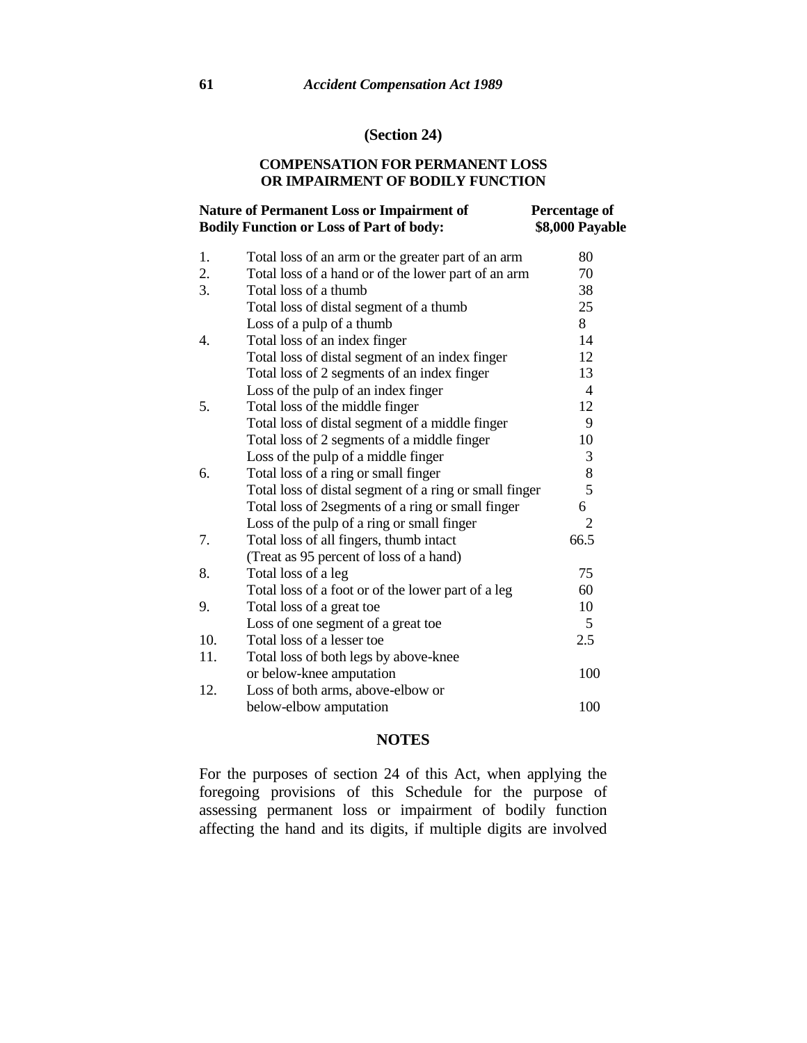## **(Section 24)**

## **COMPENSATION FOR PERMANENT LOSS OR IMPAIRMENT OF BODILY FUNCTION**

#### **Nature of Permanent Loss or Impairment of Bodily Function or Loss of Part of body: Percentage of \$8,000 Payable**

| 1.  | Total loss of an arm or the greater part of an arm     | 80             |
|-----|--------------------------------------------------------|----------------|
| 2.  | Total loss of a hand or of the lower part of an arm    | 70             |
| 3.  | Total loss of a thumb                                  | 38             |
|     | Total loss of distal segment of a thumb                | 25             |
|     | Loss of a pulp of a thumb                              | 8              |
| 4.  | Total loss of an index finger                          | 14             |
|     | Total loss of distal segment of an index finger        | 12             |
|     | Total loss of 2 segments of an index finger            | 13             |
|     | Loss of the pulp of an index finger                    | 4              |
| 5.  | Total loss of the middle finger                        | 12             |
|     | Total loss of distal segment of a middle finger        | 9              |
|     | Total loss of 2 segments of a middle finger            | 10             |
|     | Loss of the pulp of a middle finger                    | 3              |
| 6.  | Total loss of a ring or small finger                   | $8\,$          |
|     | Total loss of distal segment of a ring or small finger | 5              |
|     | Total loss of 2segments of a ring or small finger      | 6              |
|     | Loss of the pulp of a ring or small finger             | $\overline{2}$ |
| 7.  | Total loss of all fingers, thumb intact                | 66.5           |
|     | (Treat as 95 percent of loss of a hand)                |                |
| 8.  | Total loss of a leg                                    | 75             |
|     | Total loss of a foot or of the lower part of a leg     | 60             |
| 9.  | Total loss of a great toe                              | 10             |
|     | Loss of one segment of a great toe                     | 5              |
| 10. | Total loss of a lesser toe                             | 2.5            |
| 11. | Total loss of both legs by above-knee                  |                |
|     | or below-knee amputation                               | 100            |
| 12. | Loss of both arms, above-elbow or                      |                |
|     | below-elbow amputation                                 | 100            |

## **NOTES**

For the purposes of section 24 of this Act, when applying the foregoing provisions of this Schedule for the purpose of assessing permanent loss or impairment of bodily function affecting the hand and its digits, if multiple digits are involved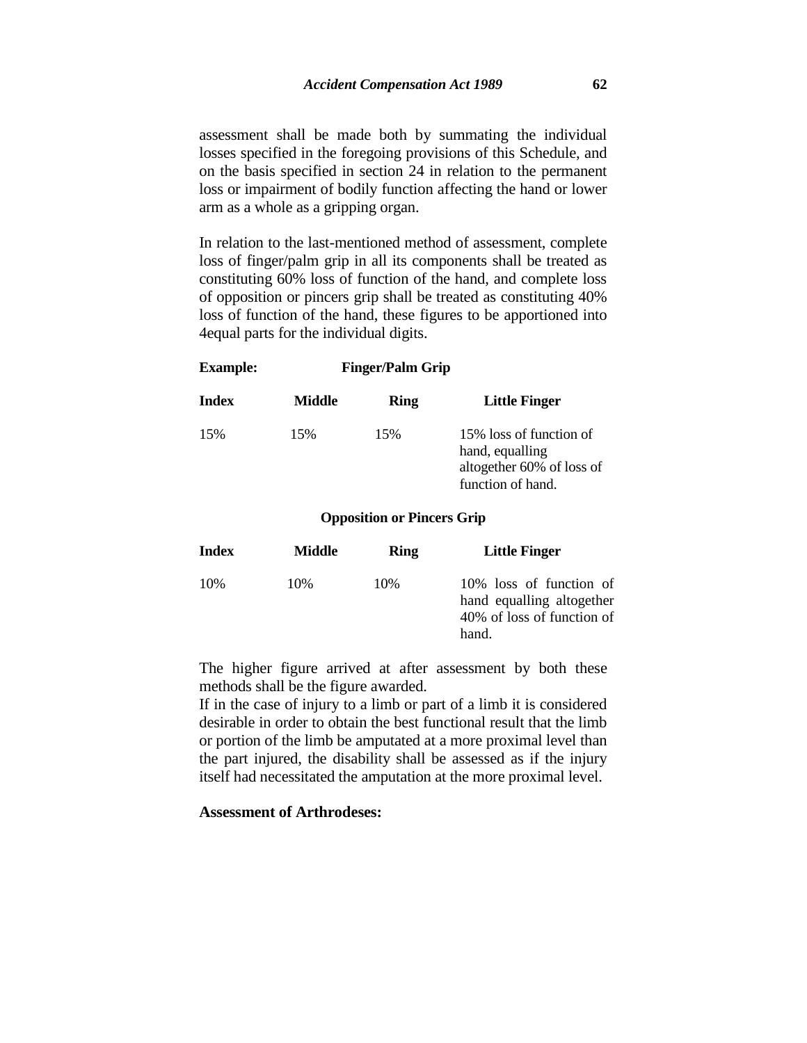assessment shall be made both by summating the individual losses specified in the foregoing provisions of this Schedule, and on the basis specified in section 24 in relation to the permanent loss or impairment of bodily function affecting the hand or lower arm as a whole as a gripping organ.

In relation to the last-mentioned method of assessment, complete loss of finger/palm grip in all its components shall be treated as constituting 60% loss of function of the hand, and complete loss of opposition or pincers grip shall be treated as constituting 40% loss of function of the hand, these figures to be apportioned into 4equal parts for the individual digits.

| Index | Middle | Ring                              | <b>Little Finger</b>                                                                         |
|-------|--------|-----------------------------------|----------------------------------------------------------------------------------------------|
| 15%   | 15%    | 15%                               | 15% loss of function of<br>hand, equalling<br>altogether 60% of loss of<br>function of hand. |
|       |        | <b>Opposition or Pincers Grip</b> |                                                                                              |

**Example: Finger/Palm Grip**

| Index | Middle | <b>Ring</b> | <b>Little Finger</b>                                                                        |
|-------|--------|-------------|---------------------------------------------------------------------------------------------|
| 10%   | 10%    | 10%         | 10% loss of function of<br>hand equalling altogether<br>40% of loss of function of<br>hand. |

The higher figure arrived at after assessment by both these methods shall be the figure awarded.

If in the case of injury to a limb or part of a limb it is considered desirable in order to obtain the best functional result that the limb or portion of the limb be amputated at a more proximal level than the part injured, the disability shall be assessed as if the injury itself had necessitated the amputation at the more proximal level.

## **Assessment of Arthrodeses:**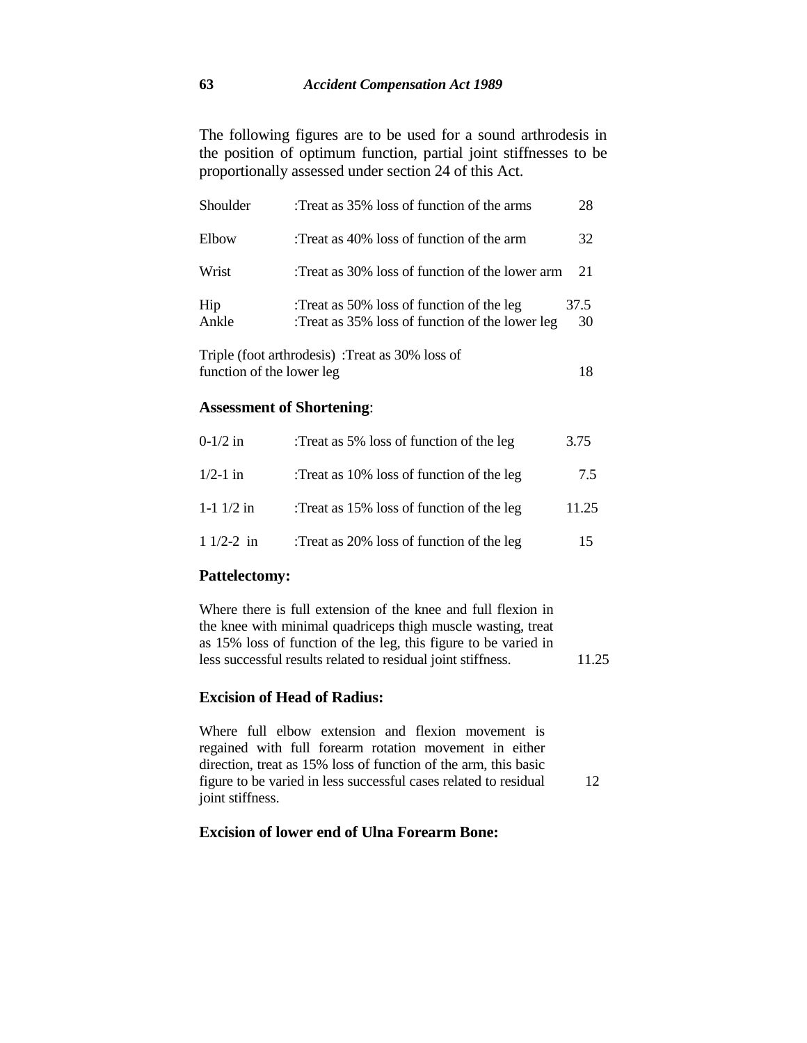The following figures are to be used for a sound arthrodesis in the position of optimum function, partial joint stiffnesses to be proportionally assessed under section 24 of this Act.

| Shoulder     | Treat as 35% loss of function of the arms:                                                   | 28         |
|--------------|----------------------------------------------------------------------------------------------|------------|
| Elbow        | Treat as 40% loss of function of the arm:                                                    | 32         |
| Wrist        | Treat as 30% loss of function of the lower arm:                                              | 21         |
| Hip<br>Ankle | :Treat as 50% loss of function of the leg<br>:Treat as 35% loss of function of the lower leg | 37.5<br>30 |
|              | Triple (foot arthrodesis) :Treat as 30% loss of                                              |            |

| function of the lower leg |  |
|---------------------------|--|
|---------------------------|--|

## **Assessment of Shortening**:

| $0-1/2$ in     | :Treat as 5% loss of function of the leg  | 3.75  |
|----------------|-------------------------------------------|-------|
| $1/2 - 1$ in   | :Treat as 10% loss of function of the leg | 7.5   |
| $1-1$ $1/2$ in | :Treat as 15% loss of function of the leg | 11.25 |
| $11/2-2$ in    | :Treat as 20% loss of function of the leg | 15    |

## **Pattelectomy:**

Where there is full extension of the knee and full flexion in the knee with minimal quadriceps thigh muscle wasting, treat as 15% loss of function of the leg, this figure to be varied in less successful results related to residual joint stiffness. 11.25

## **Excision of Head of Radius:**

Where full elbow extension and flexion movement is regained with full forearm rotation movement in either direction, treat as 15% loss of function of the arm, this basic figure to be varied in less successful cases related to residual joint stiffness. 12

## **Excision of lower end of Ulna Forearm Bone:**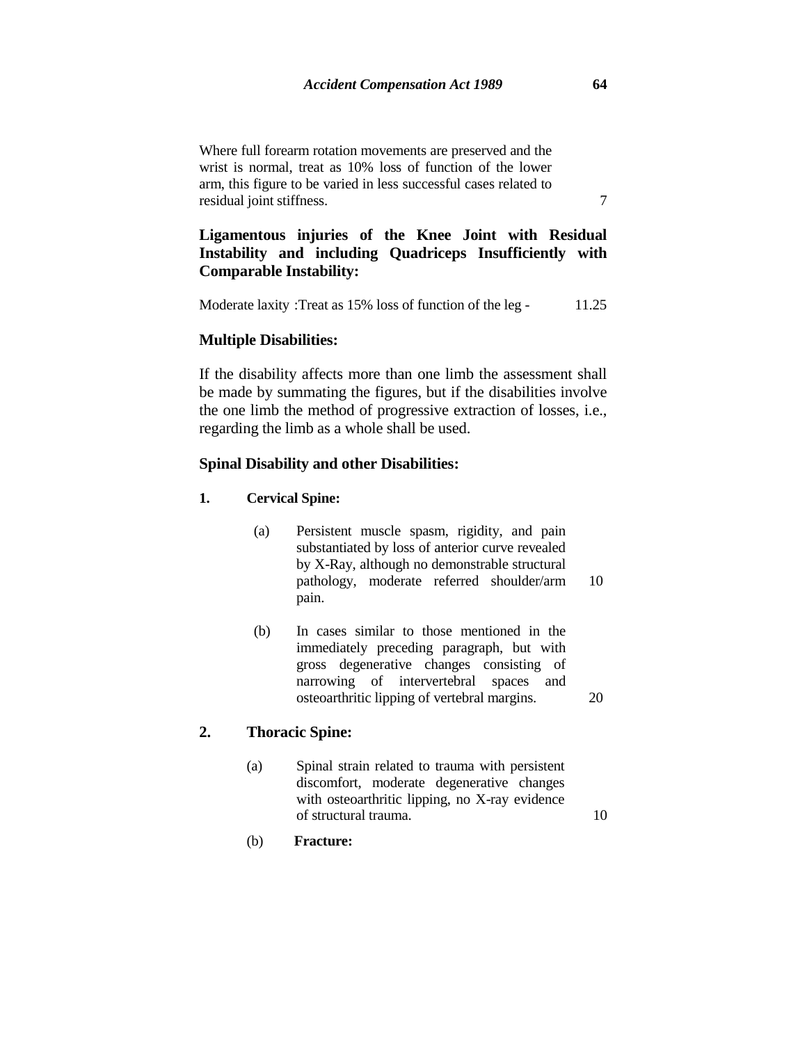Where full forearm rotation movements are preserved and the wrist is normal, treat as 10% loss of function of the lower arm, this figure to be varied in less successful cases related to residual joint stiffness. 7

## **Ligamentous injuries of the Knee Joint with Residual Instability and including Quadriceps Insufficiently with Comparable Instability:**

Moderate laxity : Treat as 15% loss of function of the leg - 11.25

## **Multiple Disabilities:**

If the disability affects more than one limb the assessment shall be made by summating the figures, but if the disabilities involve the one limb the method of progressive extraction of losses, i.e., regarding the limb as a whole shall be used.

## **Spinal Disability and other Disabilities:**

### **1. Cervical Spine:**

- (a) Persistent muscle spasm, rigidity, and pain substantiated by loss of anterior curve revealed by X-Ray, although no demonstrable structural pathology, moderate referred shoulder/arm pain. 10
- (b) In cases similar to those mentioned in the immediately preceding paragraph, but with gross degenerative changes consisting of narrowing of intervertebral spaces and osteoarthritic lipping of vertebral margins. 20

## **2. Thoracic Spine:**

- (a) Spinal strain related to trauma with persistent discomfort, moderate degenerative changes with osteoarthritic lipping, no X-ray evidence of structural trauma. 10
- (b) **Fracture:**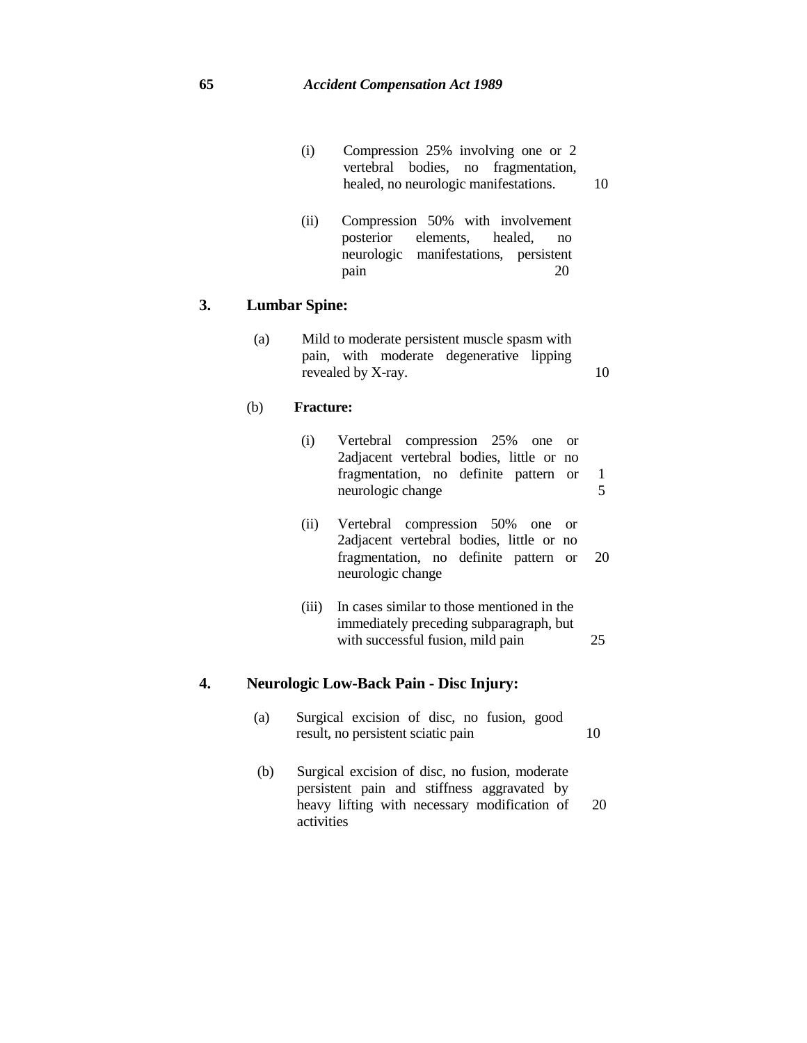| (i) |                                       | Compression 25% involving one or 2  |    |
|-----|---------------------------------------|-------------------------------------|----|
|     |                                       | vertebral bodies, no fragmentation, |    |
|     | healed, no neurologic manifestations. |                                     | 10 |

(ii) Compression 50% with involvement<br>posterior elements, healed, no elements, healed, no neurologic manifestations, persistent pain 20 pain

## **3. Lumbar Spine:**

| (a) | Mild to moderate persistent muscle spasm with |  |  |                                          |  |    |
|-----|-----------------------------------------------|--|--|------------------------------------------|--|----|
|     |                                               |  |  | pain, with moderate degenerative lipping |  |    |
|     | revealed by X-ray.                            |  |  |                                          |  | 10 |

## (b) **Fracture:**

| (1) | Vertebral compression 25% one or<br>2adjacent vertebral bodies, little or no<br>fragmentation, no definite pattern or<br>neurologic change |    |
|-----|--------------------------------------------------------------------------------------------------------------------------------------------|----|
| (i) | Vertebral compression 50% one or<br>2adjacent vertebral bodies, little or no<br>fragmentation, no definite pattern or<br>neurologic change | 20 |

(iii) In cases similar to those mentioned in the immediately preceding subparagraph, but with successful fusion, mild pain 25

# **4. Neurologic Low-Back Pain - Disc Injury:**

| (a) | Surgical excision of disc, no fusion, good |  |  |    |
|-----|--------------------------------------------|--|--|----|
|     | result, no persistent sciatic pain         |  |  | 10 |

(b) Surgical excision of disc, no fusion, moderate persistent pain and stiffness aggravated by heavy lifting with necessary modification of activities 20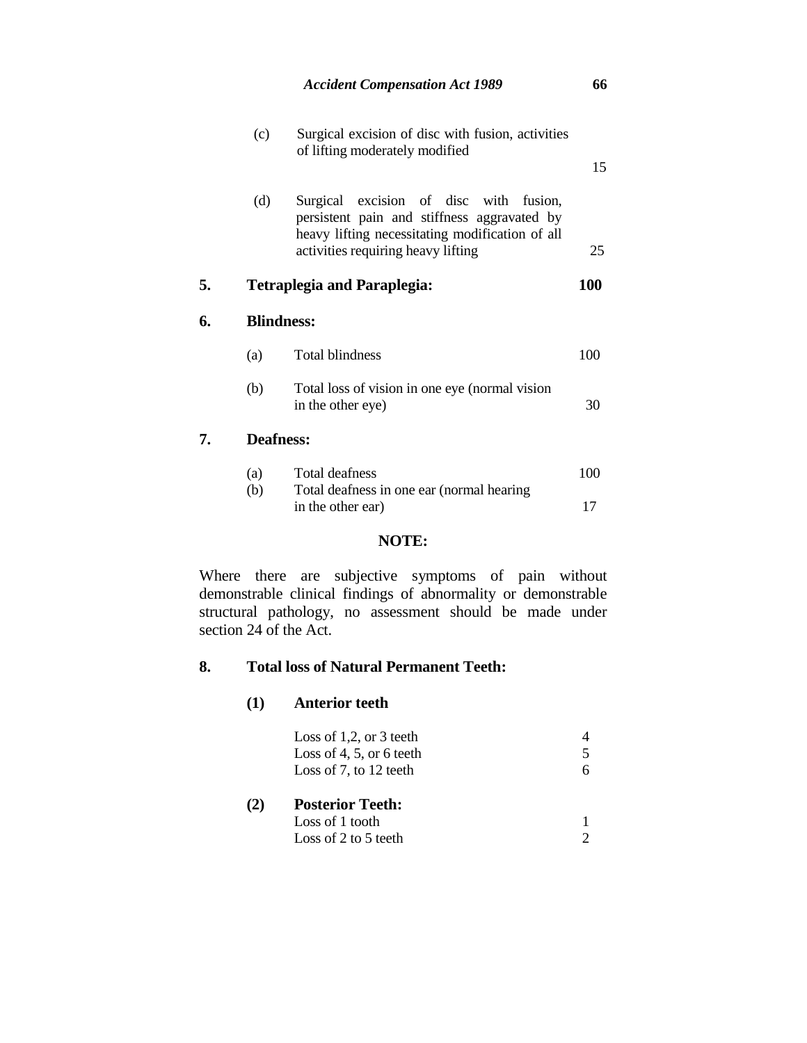|    | (c)<br>Surgical excision of disc with fusion, activities<br>of lifting moderately modified |                                                                                                                                                                                   |     |  |  |  |
|----|--------------------------------------------------------------------------------------------|-----------------------------------------------------------------------------------------------------------------------------------------------------------------------------------|-----|--|--|--|
|    | (d)                                                                                        | Surgical excision of disc with<br>fusion.<br>persistent pain and stiffness aggravated by<br>heavy lifting necessitating modification of all<br>activities requiring heavy lifting | 25  |  |  |  |
| 5. |                                                                                            | <b>Tetraplegia and Paraplegia:</b>                                                                                                                                                | 100 |  |  |  |
| 6. | <b>Blindness:</b>                                                                          |                                                                                                                                                                                   |     |  |  |  |
|    | (a)                                                                                        | <b>Total blindness</b>                                                                                                                                                            | 100 |  |  |  |
|    | (b)                                                                                        | Total loss of vision in one eye (normal vision<br>in the other eye)                                                                                                               | 30  |  |  |  |
| 7. | <b>Deafness:</b>                                                                           |                                                                                                                                                                                   |     |  |  |  |
|    | (a)                                                                                        | Total deafness                                                                                                                                                                    | 100 |  |  |  |
|    | (b)                                                                                        | Total deafness in one ear (normal hearing)<br>in the other ear)                                                                                                                   | 17  |  |  |  |

## **NOTE:**

Where there are subjective symptoms of pain without demonstrable clinical findings of abnormality or demonstrable structural pathology, no assessment should be made under section 24 of the Act.

## **8. Total loss of Natural Permanent Teeth:**

## **(1) Anterior teeth**

|     | Loss of 1,2, or $3$ teeth<br>Loss of 4, 5, or 6 teeth<br>Loss of 7, to 12 teeth |  |
|-----|---------------------------------------------------------------------------------|--|
| (2) | <b>Posterior Teeth:</b><br>Loss of 1 tooth<br>Loss of 2 to 5 teeth              |  |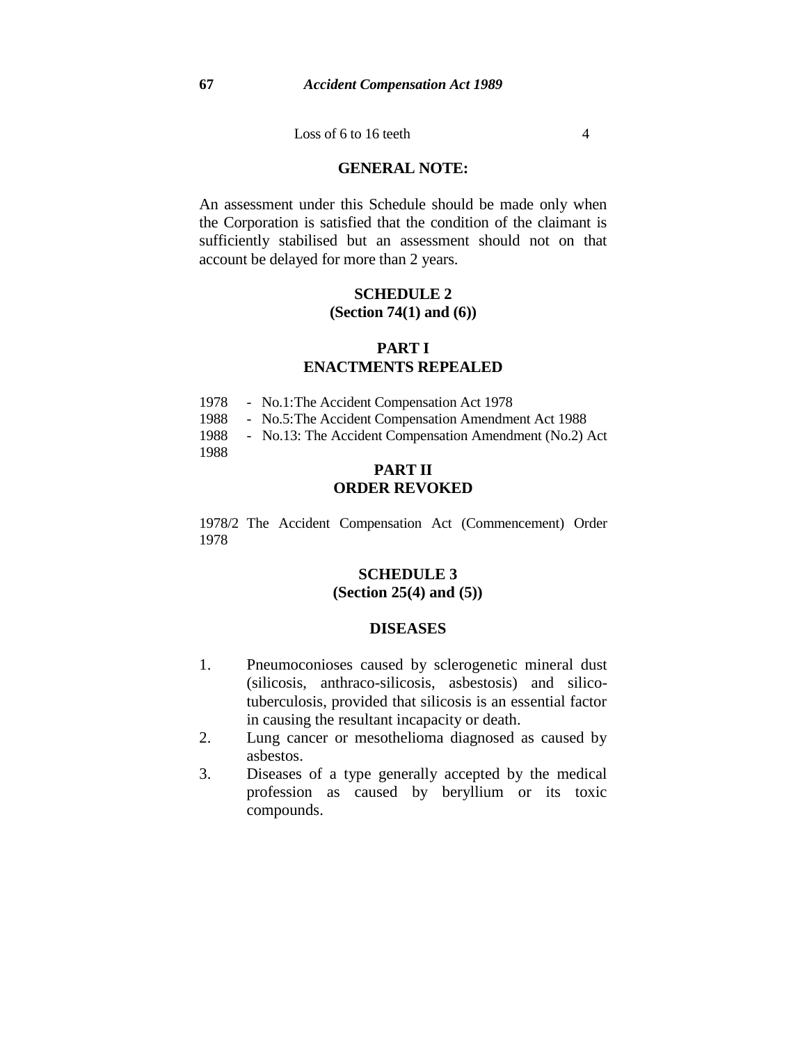Loss of 6 to 16 teeth  $4$ 

## **GENERAL NOTE:**

An assessment under this Schedule should be made only when the Corporation is satisfied that the condition of the claimant is sufficiently stabilised but an assessment should not on that account be delayed for more than 2 years.

## **SCHEDULE 2 (Section 74(1) and (6))**

## **PART I ENACTMENTS REPEALED**

| 1978 | - No.1: The Accident Compensation Act 1978           |  |
|------|------------------------------------------------------|--|
| 1988 | - No.5: The Accident Compensation Amendment Act 1988 |  |

1988 - No.13: The Accident Compensation Amendment (No.2) Act

1988

## **PART II ORDER REVOKED**

1978/2 The Accident Compensation Act (Commencement) Order 1978

## **SCHEDULE 3 (Section 25(4) and (5))**

## **DISEASES**

- 1. Pneumoconioses caused by sclerogenetic mineral dust (silicosis, anthraco-silicosis, asbestosis) and silicotuberculosis, provided that silicosis is an essential factor in causing the resultant incapacity or death.
- 2. Lung cancer or mesothelioma diagnosed as caused by asbestos.
- 3. Diseases of a type generally accepted by the medical profession as caused by beryllium or its toxic compounds.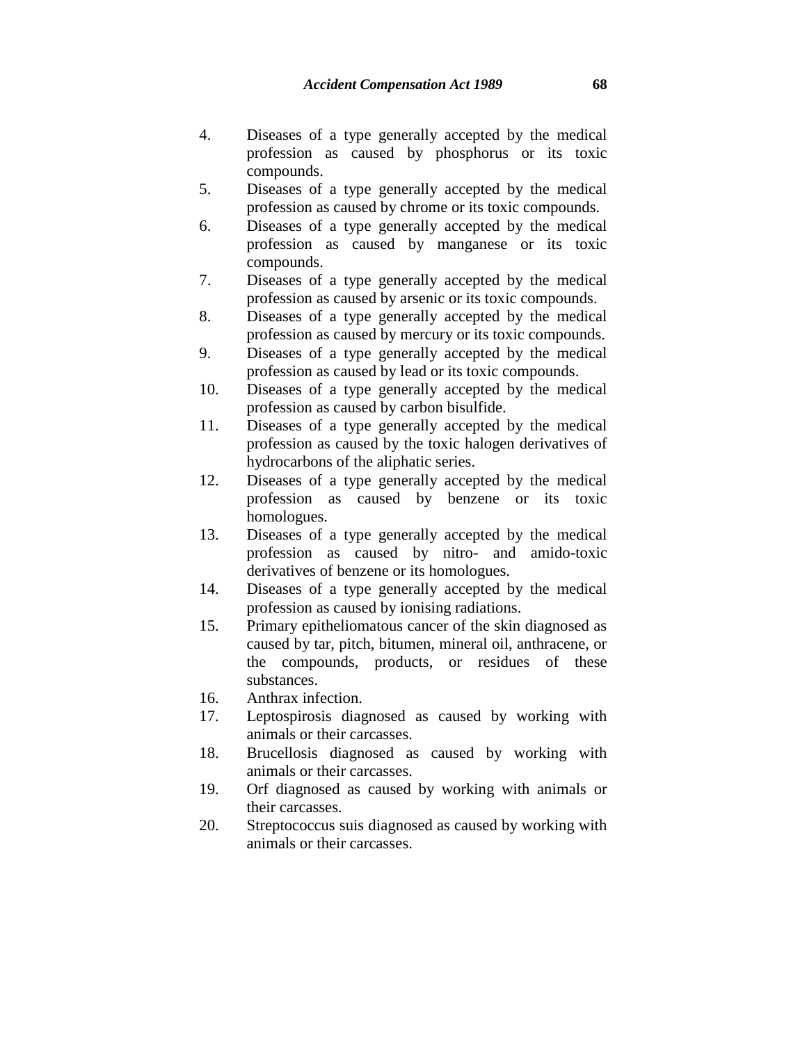- 4. Diseases of a type generally accepted by the medical profession as caused by phosphorus or its toxic compounds.
- 5. Diseases of a type generally accepted by the medical profession as caused by chrome or its toxic compounds.
- 6. Diseases of a type generally accepted by the medical profession as caused by manganese or its toxic compounds.
- 7. Diseases of a type generally accepted by the medical profession as caused by arsenic or its toxic compounds.
- 8. Diseases of a type generally accepted by the medical profession as caused by mercury or its toxic compounds.
- 9. Diseases of a type generally accepted by the medical profession as caused by lead or its toxic compounds.
- 10. Diseases of a type generally accepted by the medical profession as caused by carbon bisulfide.
- 11. Diseases of a type generally accepted by the medical profession as caused by the toxic halogen derivatives of hydrocarbons of the aliphatic series.
- 12. Diseases of a type generally accepted by the medical profession as caused by benzene or its toxic homologues.
- 13. Diseases of a type generally accepted by the medical profession as caused by nitro- and amido-toxic derivatives of benzene or its homologues.
- 14. Diseases of a type generally accepted by the medical profession as caused by ionising radiations.
- 15. Primary epitheliomatous cancer of the skin diagnosed as caused by tar, pitch, bitumen, mineral oil, anthracene, or the compounds, products, or residues of these substances.
- 16. Anthrax infection.
- 17. Leptospirosis diagnosed as caused by working with animals or their carcasses.
- 18. Brucellosis diagnosed as caused by working with animals or their carcasses.
- 19. Orf diagnosed as caused by working with animals or their carcasses.
- 20. Streptococcus suis diagnosed as caused by working with animals or their carcasses.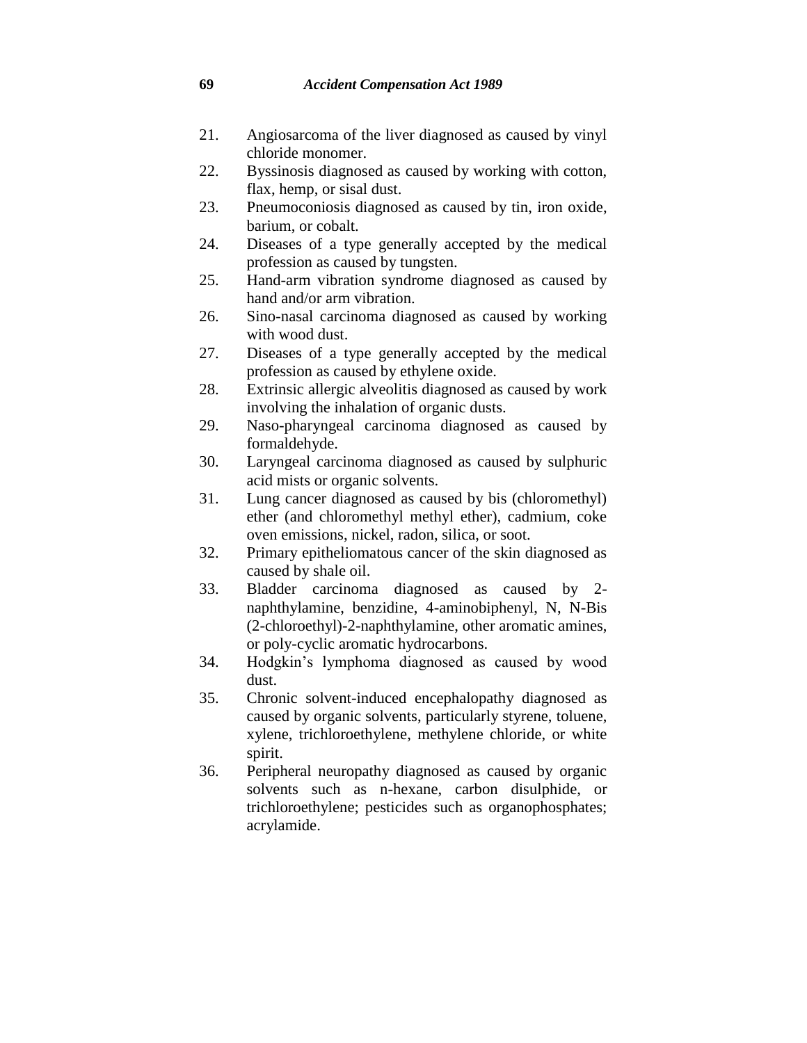- 21. Angiosarcoma of the liver diagnosed as caused by vinyl chloride monomer.
- 22. Byssinosis diagnosed as caused by working with cotton, flax, hemp, or sisal dust.
- 23. Pneumoconiosis diagnosed as caused by tin, iron oxide, barium, or cobalt.
- 24. Diseases of a type generally accepted by the medical profession as caused by tungsten.
- 25. Hand-arm vibration syndrome diagnosed as caused by hand and/or arm vibration.
- 26. Sino-nasal carcinoma diagnosed as caused by working with wood dust.
- 27. Diseases of a type generally accepted by the medical profession as caused by ethylene oxide.
- 28. Extrinsic allergic alveolitis diagnosed as caused by work involving the inhalation of organic dusts.
- 29. Naso-pharyngeal carcinoma diagnosed as caused by formaldehyde.
- 30. Laryngeal carcinoma diagnosed as caused by sulphuric acid mists or organic solvents.
- 31. Lung cancer diagnosed as caused by bis (chloromethyl) ether (and chloromethyl methyl ether), cadmium, coke oven emissions, nickel, radon, silica, or soot.
- 32. Primary epitheliomatous cancer of the skin diagnosed as caused by shale oil.
- 33. Bladder carcinoma diagnosed as caused by 2 naphthylamine, benzidine, 4-aminobiphenyl, N, N-Bis (2-chloroethyl)-2-naphthylamine, other aromatic amines, or poly-cyclic aromatic hydrocarbons.
- 34. Hodgkin's lymphoma diagnosed as caused by wood dust.
- 35. Chronic solvent-induced encephalopathy diagnosed as caused by organic solvents, particularly styrene, toluene, xylene, trichloroethylene, methylene chloride, or white spirit.
- 36. Peripheral neuropathy diagnosed as caused by organic solvents such as n-hexane, carbon disulphide, or trichloroethylene; pesticides such as organophosphates; acrylamide.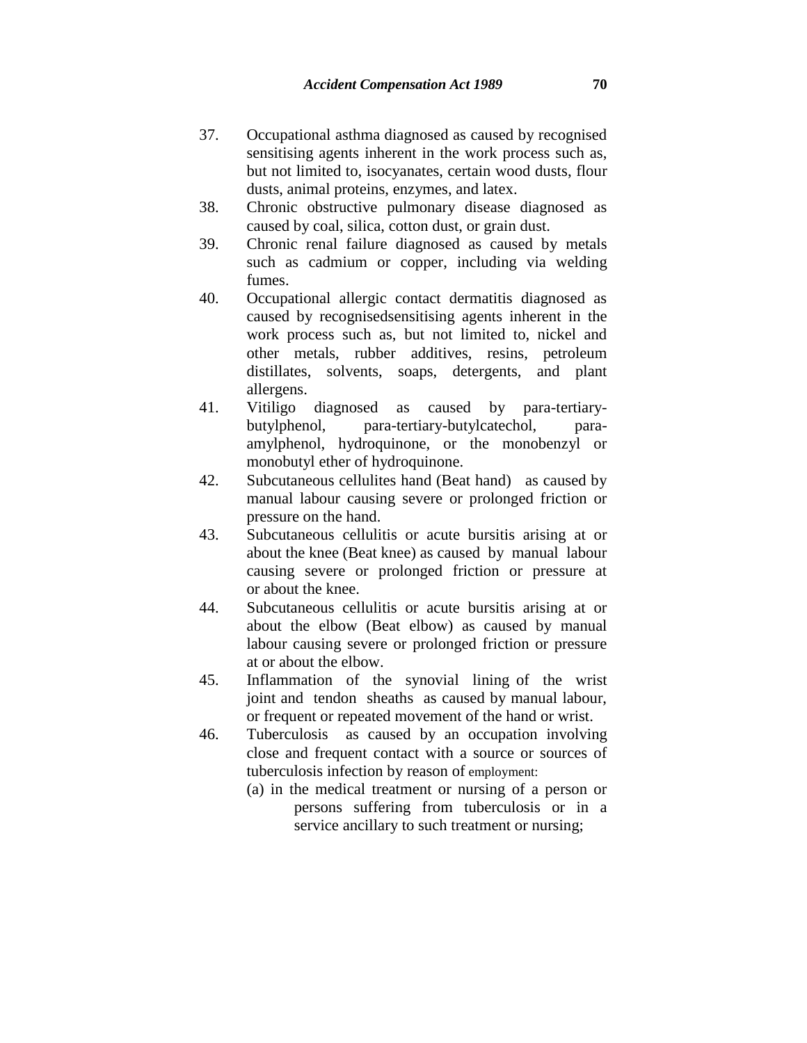- 37. Occupational asthma diagnosed as caused by recognised sensitising agents inherent in the work process such as, but not limited to, isocyanates, certain wood dusts, flour dusts, animal proteins, enzymes, and latex.
- 38. Chronic obstructive pulmonary disease diagnosed as caused by coal, silica, cotton dust, or grain dust.
- 39. Chronic renal failure diagnosed as caused by metals such as cadmium or copper, including via welding fumes.
- 40. Occupational allergic contact dermatitis diagnosed as caused by recognisedsensitising agents inherent in the work process such as, but not limited to, nickel and other metals, rubber additives, resins, petroleum distillates, solvents, soaps, detergents, and plant allergens.
- 41. Vitiligo diagnosed as caused by para-tertiarybutylphenol, para-tertiary-butylcatechol, paraamylphenol, hydroquinone, or the monobenzyl or monobutyl ether of hydroquinone.
- 42. Subcutaneous cellulites hand (Beat hand) as caused by manual labour causing severe or prolonged friction or pressure on the hand.
- 43. Subcutaneous cellulitis or acute bursitis arising at or about the knee (Beat knee) as caused by manual labour causing severe or prolonged friction or pressure at or about the knee.
- 44. Subcutaneous cellulitis or acute bursitis arising at or about the elbow (Beat elbow) as caused by manual labour causing severe or prolonged friction or pressure at or about the elbow.
- 45. Inflammation of the synovial lining of the wrist joint and tendon sheaths as caused by manual labour, or frequent or repeated movement of the hand or wrist.
- 46. Tuberculosis as caused by an occupation involving close and frequent contact with a source or sources of tuberculosis infection by reason of employment:
	- (a) in the medical treatment or nursing of a person or persons suffering from tuberculosis or in a service ancillary to such treatment or nursing;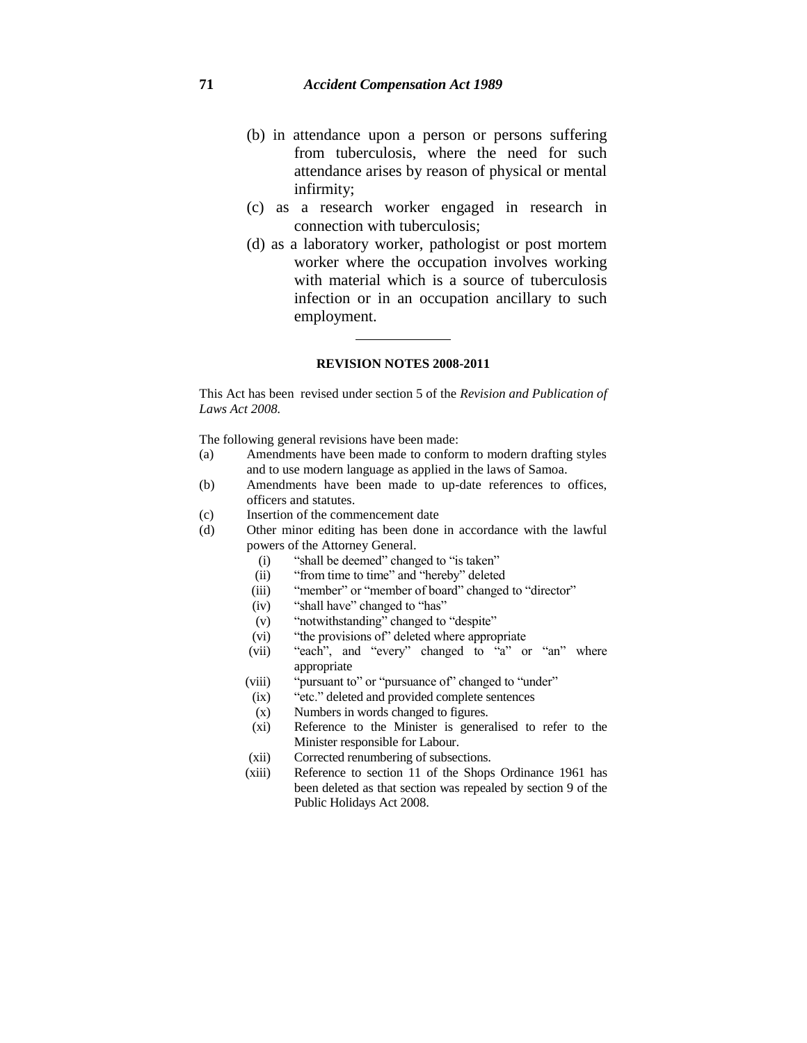- (b) in attendance upon a person or persons suffering from tuberculosis, where the need for such attendance arises by reason of physical or mental infirmity;
- (c) as a research worker engaged in research in connection with tuberculosis;
- (d) as a laboratory worker, pathologist or post mortem worker where the occupation involves working with material which is a source of tuberculosis infection or in an occupation ancillary to such employment.

#### **REVISION NOTES 2008-2011**

This Act has been revised under section 5 of the *Revision and Publication of Laws Act 2008.* 

The following general revisions have been made:

- (a) Amendments have been made to conform to modern drafting styles and to use modern language as applied in the laws of Samoa.
- (b) Amendments have been made to up-date references to offices, officers and statutes.
- (c) Insertion of the commencement date
- (d) Other minor editing has been done in accordance with the lawful powers of the Attorney General.
	- (i) "shall be deemed" changed to "is taken"
	- (ii) "from time to time" and "hereby" deleted
	- (iii) "member" or "member of board" changed to "director"
	- (iv) "shall have" changed to "has"
	- (v) "notwithstanding" changed to "despite"
	- (vi) "the provisions of" deleted where appropriate
	- (vii) "each", and "every" changed to "a" or "an" where appropriate
	- (viii) "pursuant to" or "pursuance of" changed to "under"
	- (ix) "etc." deleted and provided complete sentences
	- (x) Numbers in words changed to figures.
	- (xi) Reference to the Minister is generalised to refer to the Minister responsible for Labour.
	- (xii) Corrected renumbering of subsections.
	- (xiii) Reference to section 11 of the Shops Ordinance 1961 has been deleted as that section was repealed by section 9 of the Public Holidays Act 2008.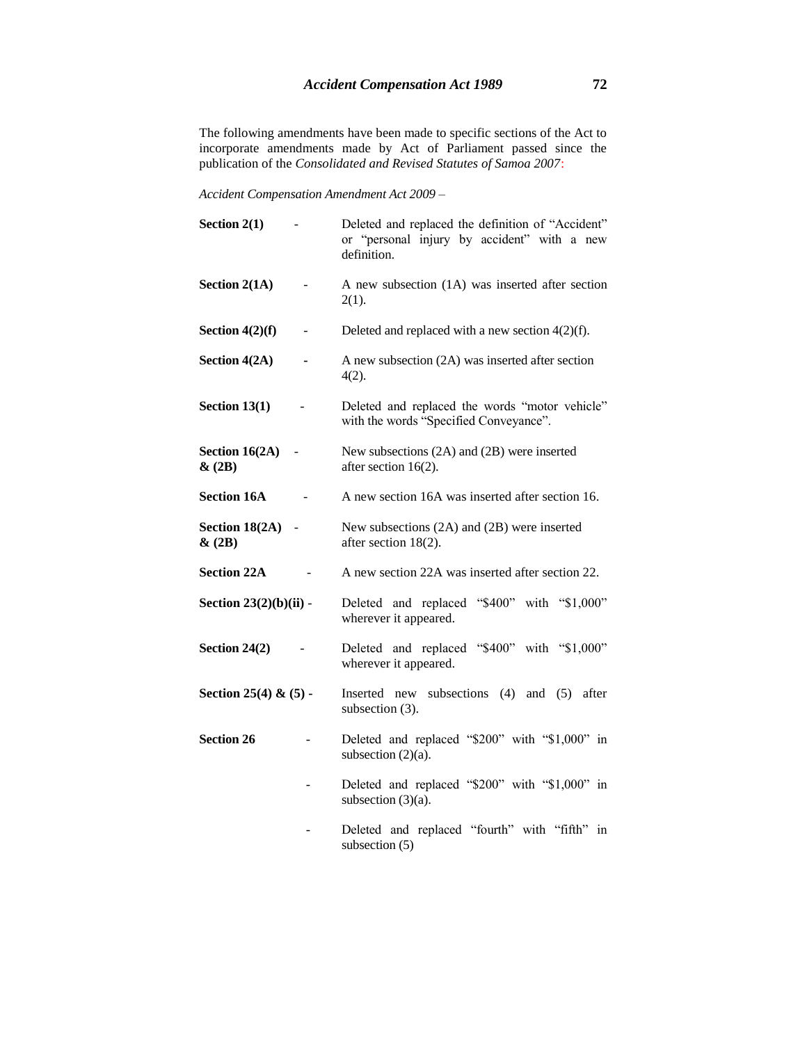The following amendments have been made to specific sections of the Act to incorporate amendments made by Act of Parliament passed since the publication of the *Consolidated and Revised Statutes of Samoa 2007*:

*Accident Compensation Amendment Act 2009 –*

| Section $2(1)$                 | Deleted and replaced the definition of "Accident"<br>or "personal injury by accident" with a new<br>definition. |
|--------------------------------|-----------------------------------------------------------------------------------------------------------------|
| Section 2(1A)                  | A new subsection (1A) was inserted after section<br>$2(1)$ .                                                    |
| Section $4(2)(f)$              | Deleted and replaced with a new section $4(2)(f)$ .                                                             |
| Section 4(2A)                  | A new subsection (2A) was inserted after section<br>4(2).                                                       |
| Section $13(1)$                | Deleted and replaced the words "motor vehicle"<br>with the words "Specified Conveyance".                        |
| Section $16(2A)$<br>$\&(2B)$   | New subsections (2A) and (2B) were inserted<br>after section 16(2).                                             |
| <b>Section 16A</b>             | A new section 16A was inserted after section 16.                                                                |
| Section $18(2A)$ -<br>$\&(2B)$ | New subsections (2A) and (2B) were inserted<br>after section 18(2).                                             |
| <b>Section 22A</b>             | A new section 22A was inserted after section 22.                                                                |
| Section $23(2)(b)(ii)$ -       | Deleted and replaced "\$400" with "\$1,000"<br>wherever it appeared.                                            |
| Section 24(2)                  | Deleted and replaced "\$400" with "\$1,000"<br>wherever it appeared.                                            |
| Section 25(4) & $(5)$ -        | Inserted new subsections $(4)$ and $(5)$<br>after<br>subsection (3).                                            |
| <b>Section 26</b>              | Deleted and replaced "\$200" with "\$1,000" in<br>subsection $(2)(a)$ .                                         |
|                                | Deleted and replaced "\$200" with "\$1,000" in<br>subsection $(3)(a)$ .                                         |
|                                | Deleted and replaced "fourth" with "fifth" in<br>subsection $(5)$                                               |